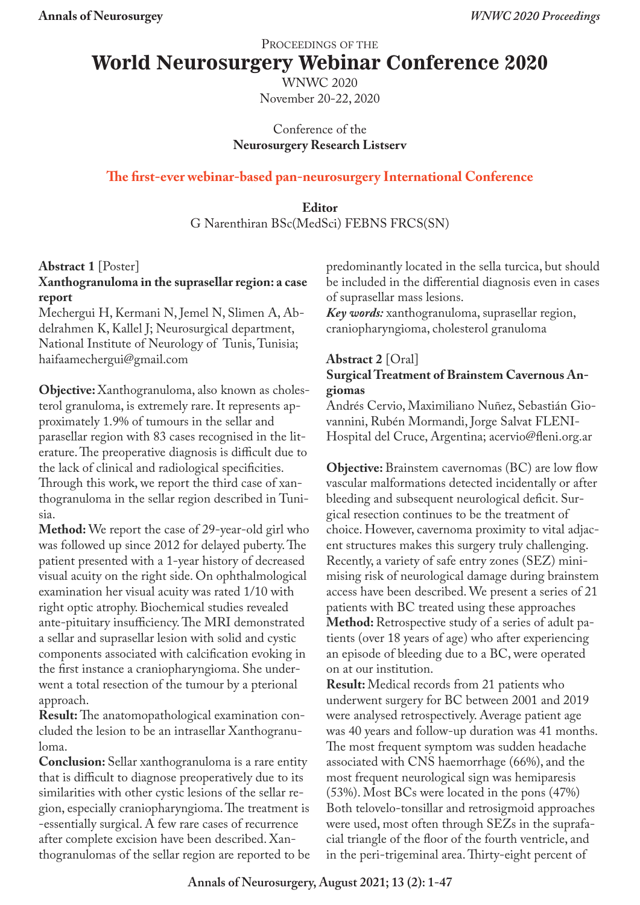PROCEEDINGS OF THE

# **World Neurosurgery Webinar Conference 2020**

WNWC 2020 November 20-22, 2020

Conference of the **Neurosurgery Research Listserv**

## **The first-ever webinar-based pan-neurosurgery International Conference**

## **Editor** G Narenthiran BSc(MedSci) FEBNS FRCS(SN)

## **Abstract 1** [Poster]

## **Xanthogranuloma in the suprasellar region: a case report**

Mechergui H, Kermani N, Jemel N, Slimen A, Abdelrahmen K, Kallel J; Neurosurgical department, National Institute of Neurology of Tunis, Tunisia; haifaamechergui@gmail.com

**Objective:** Xanthogranuloma, also known as cholesterol granuloma, is extremely rare. It represents approximately 1.9% of tumours in the sellar and parasellar region with 83 cases recognised in the literature. The preoperative diagnosis is difficult due to the lack of clinical and radiological specificities. Through this work, we report the third case of xanthogranuloma in the sellar region described in Tunisia.

**Method:** We report the case of 29-year-old girl who was followed up since 2012 for delayed puberty. The patient presented with a 1-year history of decreased visual acuity on the right side. On ophthalmological examination her visual acuity was rated 1/10 with right optic atrophy. Biochemical studies revealed ante-pituitary insufficiency. The MRI demonstrated a sellar and suprasellar lesion with solid and cystic components associated with calcification evoking in the first instance a craniopharyngioma. She underwent a total resection of the tumour by a pterional approach.

**Result:** The anatomopathological examination concluded the lesion to be an intrasellar Xanthogranuloma.

**Conclusion:** Sellar xanthogranuloma is a rare entity that is difficult to diagnose preoperatively due to its similarities with other cystic lesions of the sellar region, especially craniopharyngioma. The treatment is -essentially surgical. A few rare cases of recurrence after complete excision have been described. Xanthogranulomas of the sellar region are reported to be predominantly located in the sella turcica, but should be included in the differential diagnosis even in cases of suprasellar mass lesions.

*Key words:* xanthogranuloma, suprasellar region, craniopharyngioma, cholesterol granuloma

### **Abstract 2** [Oral] **Surgical Treatment of Brainstem Cavernous Angiomas**

Andrés Cervio, Maximiliano Nuñez, Sebastián Giovannini, Rubén Mormandi, Jorge Salvat FLENI-Hospital del Cruce, Argentina; acervio@fleni.org.ar

**Objective:** Brainstem cavernomas (BC) are low flow vascular malformations detected incidentally or after bleeding and subsequent neurological deficit. Surgical resection continues to be the treatment of choice. However, cavernoma proximity to vital adjacent structures makes this surgery truly challenging. Recently, a variety of safe entry zones (SEZ) minimising risk of neurological damage during brainstem access have been described. We present a series of 21 patients with BC treated using these approaches **Method:** Retrospective study of a series of adult patients (over 18 years of age) who after experiencing an episode of bleeding due to a BC, were operated on at our institution.

**Result:** Medical records from 21 patients who underwent surgery for BC between 2001 and 2019 were analysed retrospectively. Average patient age was 40 years and follow-up duration was 41 months. The most frequent symptom was sudden headache associated with CNS haemorrhage (66%), and the most frequent neurological sign was hemiparesis (53%). Most BCs were located in the pons (47%) Both telovelo-tonsillar and retrosigmoid approaches were used, most often through SEZs in the suprafacial triangle of the floor of the fourth ventricle, and in the peri-trigeminal area. Thirty-eight percent of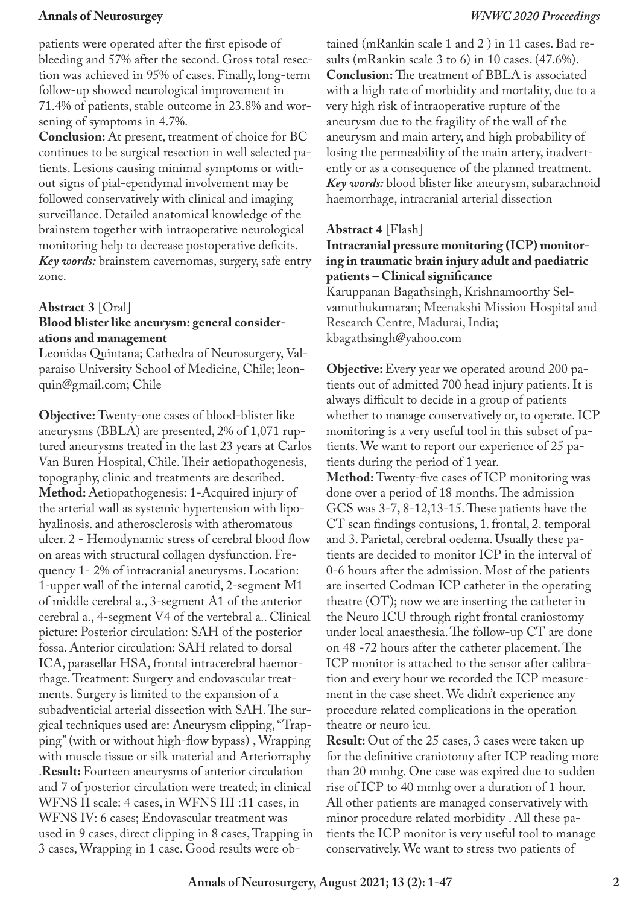patients were operated after the first episode of bleeding and 57% after the second. Gross total resection was achieved in 95% of cases. Finally, long-term follow-up showed neurological improvement in 71.4% of patients, stable outcome in 23.8% and worsening of symptoms in 4.7%.

**Conclusion:** At present, treatment of choice for BC continues to be surgical resection in well selected patients. Lesions causing minimal symptoms or without signs of pial-ependymal involvement may be followed conservatively with clinical and imaging surveillance. Detailed anatomical knowledge of the brainstem together with intraoperative neurological monitoring help to decrease postoperative deficits. *Key words:* brainstem cavernomas, surgery, safe entry zone.

## **Abstract 3** [Oral]

## **Blood blister like aneurysm: general considerations and management**

Leonidas Quintana; Cathedra of Neurosurgery, Valparaiso University School of Medicine, Chile; leonquin@gmail.com; Chile

**Objective:** Twenty-one cases of blood-blister like aneurysms (BBLA) are presented, 2% of 1,071 ruptured aneurysms treated in the last 23 years at Carlos Van Buren Hospital, Chile. Their aetiopathogenesis, topography, clinic and treatments are described. **Method:** Aetiopathogenesis: 1-Acquired injury of the arterial wall as systemic hypertension with lipohyalinosis. and atherosclerosis with atheromatous ulcer. 2 - Hemodynamic stress of cerebral blood flow on areas with structural collagen dysfunction. Frequency 1- 2% of intracranial aneurysms. Location: 1-upper wall of the internal carotid, 2-segment M1 of middle cerebral a., 3-segment A1 of the anterior cerebral a., 4-segment V4 of the vertebral a.. Clinical picture: Posterior circulation: SAH of the posterior fossa. Anterior circulation: SAH related to dorsal ICA, parasellar HSA, frontal intracerebral haemorrhage. Treatment: Surgery and endovascular treatments. Surgery is limited to the expansion of a subadventicial arterial dissection with SAH. The surgical techniques used are: Aneurysm clipping, "Trapping" (with or without high-flow bypass) , Wrapping with muscle tissue or silk material and Arteriorraphy .**Result:** Fourteen aneurysms of anterior circulation and 7 of posterior circulation were treated; in clinical WFNS II scale: 4 cases, in WFNS III :11 cases, in WFNS IV: 6 cases; Endovascular treatment was used in 9 cases, direct clipping in 8 cases, Trapping in 3 cases, Wrapping in 1 case. Good results were obtained (mRankin scale 1 and 2 ) in 11 cases. Bad results (mRankin scale 3 to 6) in 10 cases. (47.6%). **Conclusion:** The treatment of BBLA is associated with a high rate of morbidity and mortality, due to a very high risk of intraoperative rupture of the aneurysm due to the fragility of the wall of the aneurysm and main artery, and high probability of losing the permeability of the main artery, inadvertently or as a consequence of the planned treatment. *Key words:* blood blister like aneurysm, subarachnoid haemorrhage, intracranial arterial dissection

## **Abstract 4** [Flash]

## **Intracranial pressure monitoring (ICP) monitoring in traumatic brain injury adult and paediatric patients – Clinical significance**

Karuppanan Bagathsingh, Krishnamoorthy Selvamuthukumaran; Meenakshi Mission Hospital and Research Centre, Madurai, India; kbagathsingh@yahoo.com

**Objective:** Every year we operated around 200 patients out of admitted 700 head injury patients. It is always difficult to decide in a group of patients whether to manage conservatively or, to operate. ICP monitoring is a very useful tool in this subset of patients. We want to report our experience of 25 patients during the period of 1 year.

**Method:** Twenty-five cases of ICP monitoring was done over a period of 18 months. The admission GCS was 3-7, 8-12,13-15. These patients have the CT scan findings contusions, 1. frontal, 2. temporal and 3. Parietal, cerebral oedema. Usually these patients are decided to monitor ICP in the interval of 0-6 hours after the admission. Most of the patients are inserted Codman ICP catheter in the operating theatre (OT); now we are inserting the catheter in the Neuro ICU through right frontal craniostomy under local anaesthesia. The follow-up CT are done on 48 -72 hours after the catheter placement. The ICP monitor is attached to the sensor after calibration and every hour we recorded the ICP measurement in the case sheet. We didn't experience any procedure related complications in the operation theatre or neuro icu.

**Result:** Out of the 25 cases, 3 cases were taken up for the definitive craniotomy after ICP reading more than 20 mmhg. One case was expired due to sudden rise of ICP to 40 mmhg over a duration of 1 hour. All other patients are managed conservatively with minor procedure related morbidity . All these patients the ICP monitor is very useful tool to manage conservatively. We want to stress two patients of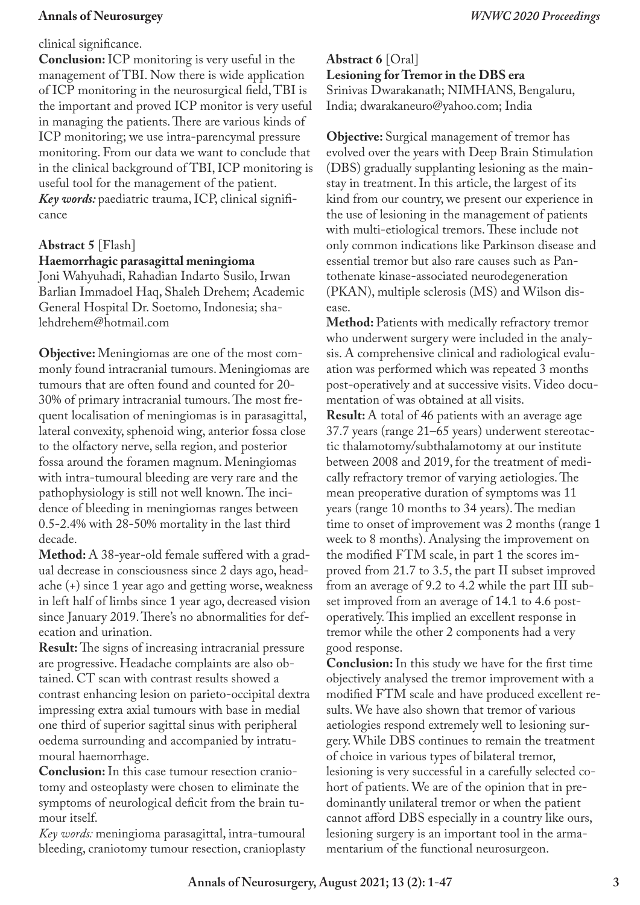#### clinical significance.

**Conclusion:** ICP monitoring is very useful in the management of TBI. Now there is wide application of ICP monitoring in the neurosurgical field, TBI is the important and proved ICP monitor is very useful in managing the patients. There are various kinds of ICP monitoring; we use intra-parencymal pressure monitoring. From our data we want to conclude that in the clinical background of TBI, ICP monitoring is useful tool for the management of the patient. *Key words:* paediatric trauma, ICP, clinical significance

## **Abstract 5** [Flash]

#### **Haemorrhagic parasagittal meningioma**

Joni Wahyuhadi, Rahadian Indarto Susilo, Irwan Barlian Immadoel Haq, Shaleh Drehem; Academic General Hospital Dr. Soetomo, Indonesia; shalehdrehem@hotmail.com

**Objective:** Meningiomas are one of the most commonly found intracranial tumours. Meningiomas are tumours that are often found and counted for 20- 30% of primary intracranial tumours. The most frequent localisation of meningiomas is in parasagittal, lateral convexity, sphenoid wing, anterior fossa close to the olfactory nerve, sella region, and posterior fossa around the foramen magnum. Meningiomas with intra-tumoural bleeding are very rare and the pathophysiology is still not well known. The incidence of bleeding in meningiomas ranges between 0.5-2.4% with 28-50% mortality in the last third decade.

**Method:** A 38-year-old female suffered with a gradual decrease in consciousness since 2 days ago, headache (+) since 1 year ago and getting worse, weakness in left half of limbs since 1 year ago, decreased vision since January 2019. There's no abnormalities for defecation and urination.

**Result:** The signs of increasing intracranial pressure are progressive. Headache complaints are also obtained. CT scan with contrast results showed a contrast enhancing lesion on parieto-occipital dextra impressing extra axial tumours with base in medial one third of superior sagittal sinus with peripheral oedema surrounding and accompanied by intratumoural haemorrhage.

**Conclusion:** In this case tumour resection craniotomy and osteoplasty were chosen to eliminate the symptoms of neurological deficit from the brain tumour itself.

*Key words:* meningioma parasagittal, intra-tumoural bleeding, craniotomy tumour resection, cranioplasty **Abstract 6** [Oral] **Lesioning for Tremor in the DBS era** Srinivas Dwarakanath; NIMHANS, Bengaluru, India; dwarakaneuro@yahoo.com; India

**Objective:** Surgical management of tremor has evolved over the years with Deep Brain Stimulation (DBS) gradually supplanting lesioning as the mainstay in treatment. In this article, the largest of its kind from our country, we present our experience in the use of lesioning in the management of patients with multi-etiological tremors. These include not only common indications like Parkinson disease and essential tremor but also rare causes such as Pantothenate kinase-associated neurodegeneration (PKAN), multiple sclerosis (MS) and Wilson disease.

**Method:** Patients with medically refractory tremor who underwent surgery were included in the analysis. A comprehensive clinical and radiological evaluation was performed which was repeated 3 months post-operatively and at successive visits. Video documentation of was obtained at all visits.

**Result:** A total of 46 patients with an average age 37.7 years (range 21–65 years) underwent stereotactic thalamotomy/subthalamotomy at our institute between 2008 and 2019, for the treatment of medically refractory tremor of varying aetiologies. The mean preoperative duration of symptoms was 11 years (range 10 months to 34 years). The median time to onset of improvement was 2 months (range 1 week to 8 months). Analysing the improvement on the modified FTM scale, in part 1 the scores improved from 21.7 to 3.5, the part II subset improved from an average of 9.2 to 4.2 while the part III subset improved from an average of 14.1 to 4.6 postoperatively. This implied an excellent response in tremor while the other 2 components had a very good response.

**Conclusion:** In this study we have for the first time objectively analysed the tremor improvement with a modified FTM scale and have produced excellent results. We have also shown that tremor of various aetiologies respond extremely well to lesioning surgery. While DBS continues to remain the treatment of choice in various types of bilateral tremor, lesioning is very successful in a carefully selected cohort of patients. We are of the opinion that in predominantly unilateral tremor or when the patient cannot afford DBS especially in a country like ours, lesioning surgery is an important tool in the armamentarium of the functional neurosurgeon.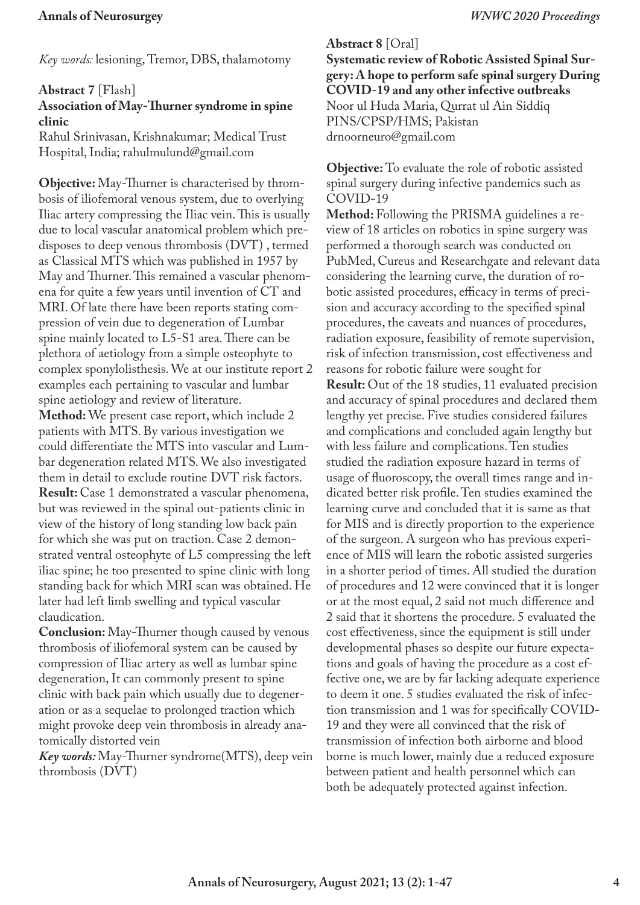*Key words:* lesioning, Tremor, DBS, thalamotomy

### **Abstract 7** [Flash]

## **Association of May-Thurner syndrome in spine clinic**

Rahul Srinivasan, Krishnakumar; Medical Trust Hospital, India; rahulmulund@gmail.com

**Objective:** May-Thurner is characterised by thrombosis of iliofemoral venous system, due to overlying Iliac artery compressing the Iliac vein. This is usually due to local vascular anatomical problem which predisposes to deep venous thrombosis (DVT) , termed as Classical MTS which was published in 1957 by May and Thurner. This remained a vascular phenomena for quite a few years until invention of CT and MRI. Of late there have been reports stating compression of vein due to degeneration of Lumbar spine mainly located to L5-S1 area. There can be plethora of aetiology from a simple osteophyte to complex sponylolisthesis. We at our institute report 2 examples each pertaining to vascular and lumbar spine aetiology and review of literature. **Method:** We present case report, which include 2 patients with MTS. By various investigation we could differentiate the MTS into vascular and Lumbar degeneration related MTS. We also investigated them in detail to exclude routine DVT risk factors. **Result:** Case 1 demonstrated a vascular phenomena, but was reviewed in the spinal out-patients clinic in view of the history of long standing low back pain for which she was put on traction. Case 2 demonstrated ventral osteophyte of L5 compressing the left iliac spine; he too presented to spine clinic with long standing back for which MRI scan was obtained. He later had left limb swelling and typical vascular claudication.

**Conclusion:** May-Thurner though caused by venous thrombosis of iliofemoral system can be caused by compression of Iliac artery as well as lumbar spine degeneration, It can commonly present to spine clinic with back pain which usually due to degeneration or as a sequelae to prolonged traction which might provoke deep vein thrombosis in already anatomically distorted vein

*Key words:* May-Thurner syndrome(MTS), deep vein thrombosis (DVT)

**Abstract 8** [Oral] **Systematic review of Robotic Assisted Spinal Surgery: A hope to perform safe spinal surgery During COVID-19 and any other infective outbreaks** Noor ul Huda Maria, Qurrat ul Ain Siddiq PINS/CPSP/HMS; Pakistan drnoorneuro@gmail.com

**Objective:** To evaluate the role of robotic assisted spinal surgery during infective pandemics such as COVID-19

**Method:** Following the PRISMA guidelines a review of 18 articles on robotics in spine surgery was performed a thorough search was conducted on PubMed, Cureus and Researchgate and relevant data considering the learning curve, the duration of robotic assisted procedures, efficacy in terms of precision and accuracy according to the specified spinal procedures, the caveats and nuances of procedures, radiation exposure, feasibility of remote supervision, risk of infection transmission, cost effectiveness and reasons for robotic failure were sought for

**Result:** Out of the 18 studies, 11 evaluated precision and accuracy of spinal procedures and declared them lengthy yet precise. Five studies considered failures and complications and concluded again lengthy but with less failure and complications. Ten studies studied the radiation exposure hazard in terms of usage of fluoroscopy, the overall times range and indicated better risk profile. Ten studies examined the learning curve and concluded that it is same as that for MIS and is directly proportion to the experience of the surgeon. A surgeon who has previous experience of MIS will learn the robotic assisted surgeries in a shorter period of times. All studied the duration of procedures and 12 were convinced that it is longer or at the most equal, 2 said not much difference and 2 said that it shortens the procedure. 5 evaluated the cost effectiveness, since the equipment is still under developmental phases so despite our future expectations and goals of having the procedure as a cost effective one, we are by far lacking adequate experience to deem it one. 5 studies evaluated the risk of infection transmission and 1 was for specifically COVID-19 and they were all convinced that the risk of transmission of infection both airborne and blood borne is much lower, mainly due a reduced exposure between patient and health personnel which can both be adequately protected against infection.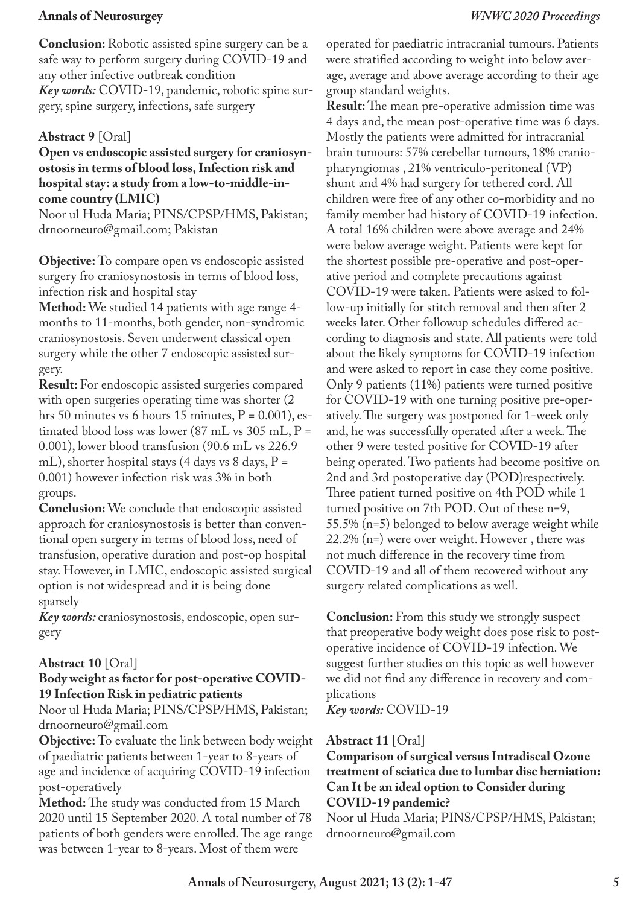**Conclusion:** Robotic assisted spine surgery can be a safe way to perform surgery during COVID-19 and any other infective outbreak condition *Key words:* COVID-19, pandemic, robotic spine surgery, spine surgery, infections, safe surgery

## **Abstract 9** [Oral]

### **Open vs endoscopic assisted surgery for craniosynostosis in terms of blood loss, Infection risk and hospital stay: a study from a low-to-middle-income country (LMIC)**

Noor ul Huda Maria; PINS/CPSP/HMS, Pakistan; drnoorneuro@gmail.com; Pakistan

**Objective:** To compare open vs endoscopic assisted surgery fro craniosynostosis in terms of blood loss, infection risk and hospital stay

**Method:** We studied 14 patients with age range 4 months to 11-months, both gender, non-syndromic craniosynostosis. Seven underwent classical open surgery while the other 7 endoscopic assisted surgery.

**Result:** For endoscopic assisted surgeries compared with open surgeries operating time was shorter  $(2)$ hrs 50 minutes vs 6 hours 15 minutes,  $P = 0.001$ , estimated blood loss was lower  $(87 \text{ mL} \text{ vs } 305 \text{ mL}, P =$ 0.001), lower blood transfusion (90.6 mL vs 226.9 mL), shorter hospital stays (4 days vs 8 days, P = 0.001) however infection risk was 3% in both groups.

**Conclusion:** We conclude that endoscopic assisted approach for craniosynostosis is better than conventional open surgery in terms of blood loss, need of transfusion, operative duration and post-op hospital stay. However, in LMIC, endoscopic assisted surgical option is not widespread and it is being done sparsely

*Key words:* craniosynostosis, endoscopic, open surgery

### **Abstract 10** [Oral]

### **Body weight as factor for post-operative COVID-19 Infection Risk in pediatric patients**

Noor ul Huda Maria; PINS/CPSP/HMS, Pakistan; drnoorneuro@gmail.com

**Objective:** To evaluate the link between body weight of paediatric patients between 1-year to 8-years of age and incidence of acquiring COVID-19 infection post-operatively

**Method:** The study was conducted from 15 March 2020 until 15 September 2020. A total number of 78 patients of both genders were enrolled. The age range was between 1-year to 8-years. Most of them were

operated for paediatric intracranial tumours. Patients were stratified according to weight into below average, average and above average according to their age group standard weights.

**Result:** The mean pre-operative admission time was 4 days and, the mean post-operative time was 6 days. Mostly the patients were admitted for intracranial brain tumours: 57% cerebellar tumours, 18% craniopharyngiomas , 21% ventriculo-peritoneal (VP) shunt and 4% had surgery for tethered cord. All children were free of any other co-morbidity and no family member had history of COVID-19 infection. A total 16% children were above average and 24% were below average weight. Patients were kept for the shortest possible pre-operative and post-operative period and complete precautions against COVID-19 were taken. Patients were asked to follow-up initially for stitch removal and then after 2 weeks later. Other followup schedules differed according to diagnosis and state. All patients were told about the likely symptoms for COVID-19 infection and were asked to report in case they come positive. Only 9 patients (11%) patients were turned positive for COVID-19 with one turning positive pre-operatively. The surgery was postponed for 1-week only and, he was successfully operated after a week. The other 9 were tested positive for COVID-19 after being operated. Two patients had become positive on 2nd and 3rd postoperative day (POD)respectively. Three patient turned positive on 4th POD while 1 turned positive on 7th POD. Out of these n=9, 55.5% (n=5) belonged to below average weight while 22.2% (n=) were over weight. However , there was not much difference in the recovery time from COVID-19 and all of them recovered without any surgery related complications as well.

**Conclusion:** From this study we strongly suspect that preoperative body weight does pose risk to postoperative incidence of COVID-19 infection. We suggest further studies on this topic as well however we did not find any difference in recovery and complications

*Key words:* COVID-19

### **Abstract 11** [Oral]

**Comparison of surgical versus Intradiscal Ozone treatment of sciatica due to lumbar disc herniation: Can It be an ideal option to Consider during COVID-19 pandemic?**

Noor ul Huda Maria; PINS/CPSP/HMS, Pakistan; drnoorneuro@gmail.com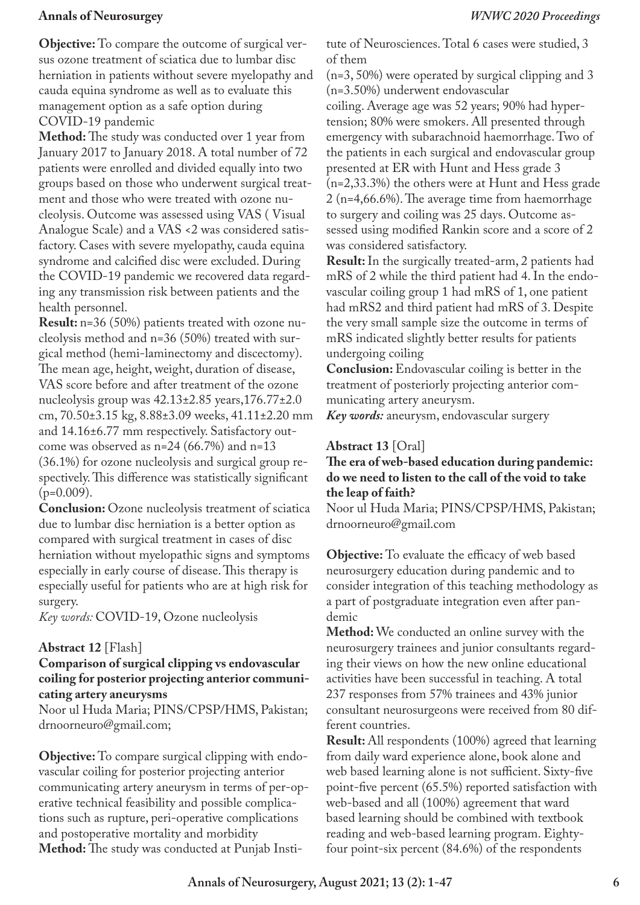**Objective:** To compare the outcome of surgical versus ozone treatment of sciatica due to lumbar disc herniation in patients without severe myelopathy and cauda equina syndrome as well as to evaluate this management option as a safe option during COVID-19 pandemic

**Method:** The study was conducted over 1 year from January 2017 to January 2018. A total number of 72 patients were enrolled and divided equally into two groups based on those who underwent surgical treatment and those who were treated with ozone nucleolysis. Outcome was assessed using VAS ( Visual Analogue Scale) and a VAS <2 was considered satisfactory. Cases with severe myelopathy, cauda equina syndrome and calcified disc were excluded. During the COVID-19 pandemic we recovered data regarding any transmission risk between patients and the health personnel.

**Result:** n=36 (50%) patients treated with ozone nucleolysis method and n=36 (50%) treated with surgical method (hemi-laminectomy and discectomy). The mean age, height, weight, duration of disease, VAS score before and after treatment of the ozone nucleolysis group was 42.13±2.85 years,176.77±2.0 cm, 70.50±3.15 kg, 8.88±3.09 weeks, 41.11±2.20 mm and 14.16±6.77 mm respectively. Satisfactory outcome was observed as  $n=24$  (66.7%) and  $n=13$ (36.1%) for ozone nucleolysis and surgical group respectively. This difference was statistically significant  $(p=0.009)$ .

**Conclusion:** Ozone nucleolysis treatment of sciatica due to lumbar disc herniation is a better option as compared with surgical treatment in cases of disc herniation without myelopathic signs and symptoms especially in early course of disease. This therapy is especially useful for patients who are at high risk for surgery.

*Key words:* COVID-19, Ozone nucleolysis

### **Abstract 12** [Flash]

### **Comparison of surgical clipping vs endovascular coiling for posterior projecting anterior communicating artery aneurysms**

Noor ul Huda Maria; PINS/CPSP/HMS, Pakistan; drnoorneuro@gmail.com;

**Objective:** To compare surgical clipping with endovascular coiling for posterior projecting anterior communicating artery aneurysm in terms of per-operative technical feasibility and possible complications such as rupture, peri-operative complications and postoperative mortality and morbidity **Method:** The study was conducted at Punjab Institute of Neurosciences. Total 6 cases were studied, 3 of them

(n=3, 50%) were operated by surgical clipping and 3 (n=3.50%) underwent endovascular

coiling. Average age was 52 years; 90% had hypertension; 80% were smokers. All presented through emergency with subarachnoid haemorrhage. Two of the patients in each surgical and endovascular group presented at ER with Hunt and Hess grade 3 (n=2,33.3%) the others were at Hunt and Hess grade 2 (n=4,66.6%). The average time from haemorrhage to surgery and coiling was 25 days. Outcome assessed using modified Rankin score and a score of 2 was considered satisfactory.

**Result:** In the surgically treated-arm, 2 patients had mRS of 2 while the third patient had 4. In the endovascular coiling group 1 had mRS of 1, one patient had mRS2 and third patient had mRS of 3. Despite the very small sample size the outcome in terms of mRS indicated slightly better results for patients undergoing coiling

**Conclusion:** Endovascular coiling is better in the treatment of posteriorly projecting anterior communicating artery aneurysm.

*Key words:* aneurysm, endovascular surgery

## **Abstract 13** [Oral]

## **The era of web-based education during pandemic: do we need to listen to the call of the void to take the leap of faith?**

Noor ul Huda Maria; PINS/CPSP/HMS, Pakistan; drnoorneuro@gmail.com

**Objective:** To evaluate the efficacy of web based neurosurgery education during pandemic and to consider integration of this teaching methodology as a part of postgraduate integration even after pandemic

**Method:** We conducted an online survey with the neurosurgery trainees and junior consultants regarding their views on how the new online educational activities have been successful in teaching. A total 237 responses from 57% trainees and 43% junior consultant neurosurgeons were received from 80 different countries.

**Result:** All respondents (100%) agreed that learning from daily ward experience alone, book alone and web based learning alone is not sufficient. Sixty-five point-five percent (65.5%) reported satisfaction with web-based and all (100%) agreement that ward based learning should be combined with textbook reading and web-based learning program. Eightyfour point-six percent (84.6%) of the respondents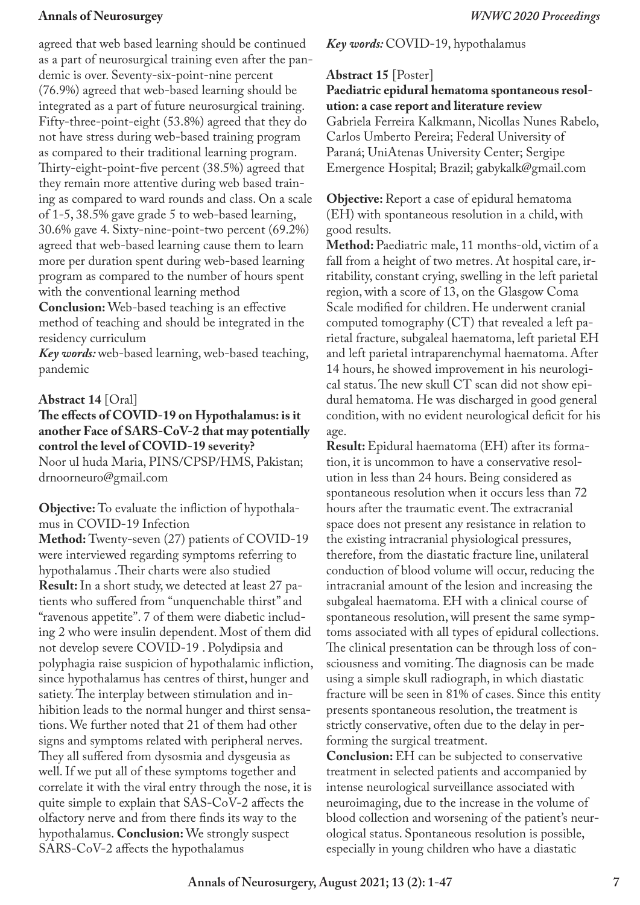agreed that web based learning should be continued as a part of neurosurgical training even after the pandemic is over. Seventy-six-point-nine percent (76.9%) agreed that web-based learning should be integrated as a part of future neurosurgical training. Fifty-three-point-eight (53.8%) agreed that they do not have stress during web-based training program as compared to their traditional learning program. Thirty-eight-point-five percent (38.5%) agreed that they remain more attentive during web based training as compared to ward rounds and class. On a scale of 1-5, 38.5% gave grade 5 to web-based learning, 30.6% gave 4. Sixty-nine-point-two percent (69.2%) agreed that web-based learning cause them to learn more per duration spent during web-based learning program as compared to the number of hours spent with the conventional learning method

**Conclusion:** Web-based teaching is an effective method of teaching and should be integrated in the residency curriculum

*Key words:* web-based learning, web-based teaching, pandemic

### **Abstract 14** [Oral]

### **The effects of COVID-19 on Hypothalamus: is it another Face of SARS-CoV-2 that may potentially control the level of COVID-19 severity?** Noor ul huda Maria, PINS/CPSP/HMS, Pakistan;

drnoorneuro@gmail.com

**Objective:** To evaluate the infliction of hypothalamus in COVID-19 Infection

**Method:** Twenty-seven (27) patients of COVID-19 were interviewed regarding symptoms referring to hypothalamus .Their charts were also studied **Result:** In a short study, we detected at least 27 patients who suffered from "unquenchable thirst" and "ravenous appetite". 7 of them were diabetic including 2 who were insulin dependent. Most of them did not develop severe COVID-19 . Polydipsia and polyphagia raise suspicion of hypothalamic infliction, since hypothalamus has centres of thirst, hunger and satiety. The interplay between stimulation and inhibition leads to the normal hunger and thirst sensations. We further noted that 21 of them had other signs and symptoms related with peripheral nerves. They all suffered from dysosmia and dysgeusia as well. If we put all of these symptoms together and correlate it with the viral entry through the nose, it is quite simple to explain that SAS-CoV-2 affects the olfactory nerve and from there finds its way to the hypothalamus. **Conclusion:** We strongly suspect SARS-CoV-2 affects the hypothalamus

## *Key words:* COVID-19, hypothalamus

## **Abstract 15** [Poster]

## **Paediatric epidural hematoma spontaneous resolution: a case report and literature review**

Gabriela Ferreira Kalkmann, Nicollas Nunes Rabelo, Carlos Umberto Pereira; Federal University of Paraná; UniAtenas University Center; Sergipe Emergence Hospital; Brazil; gabykalk@gmail.com

**Objective:** Report a case of epidural hematoma (EH) with spontaneous resolution in a child, with good results.

**Method:** Paediatric male, 11 months-old, victim of a fall from a height of two metres. At hospital care, irritability, constant crying, swelling in the left parietal region, with a score of 13, on the Glasgow Coma Scale modified for children. He underwent cranial computed tomography (CT) that revealed a left parietal fracture, subgaleal haematoma, left parietal EH and left parietal intraparenchymal haematoma. After 14 hours, he showed improvement in his neurological status. The new skull CT scan did not show epidural hematoma. He was discharged in good general condition, with no evident neurological deficit for his age.

**Result:** Epidural haematoma (EH) after its formation, it is uncommon to have a conservative resolution in less than 24 hours. Being considered as spontaneous resolution when it occurs less than 72 hours after the traumatic event. The extracranial space does not present any resistance in relation to the existing intracranial physiological pressures, therefore, from the diastatic fracture line, unilateral conduction of blood volume will occur, reducing the intracranial amount of the lesion and increasing the subgaleal haematoma. EH with a clinical course of spontaneous resolution, will present the same symptoms associated with all types of epidural collections. The clinical presentation can be through loss of consciousness and vomiting. The diagnosis can be made using a simple skull radiograph, in which diastatic fracture will be seen in 81% of cases. Since this entity presents spontaneous resolution, the treatment is strictly conservative, often due to the delay in performing the surgical treatment.

**Conclusion:** EH can be subjected to conservative treatment in selected patients and accompanied by intense neurological surveillance associated with neuroimaging, due to the increase in the volume of blood collection and worsening of the patient's neurological status. Spontaneous resolution is possible, especially in young children who have a diastatic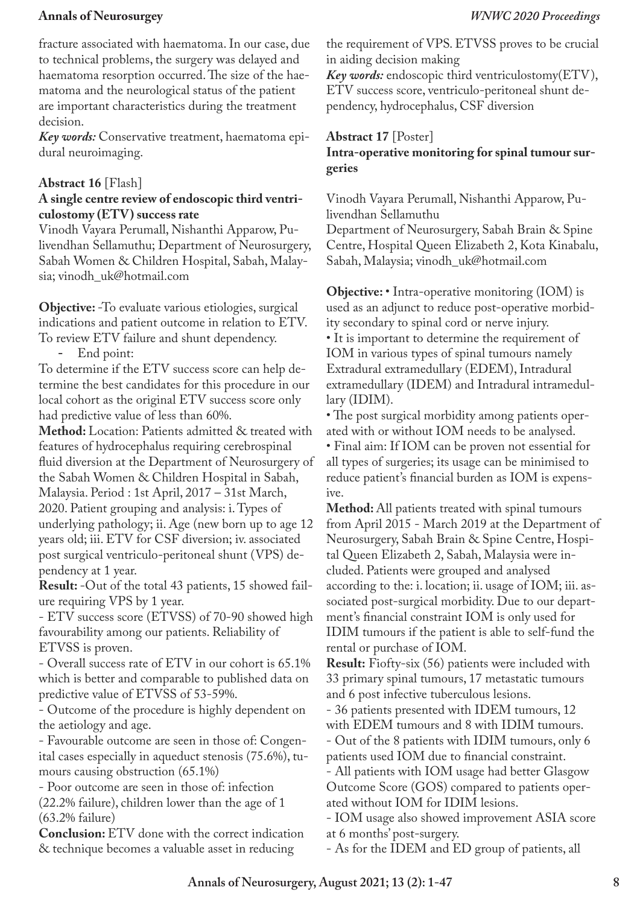fracture associated with haematoma. In our case, due to technical problems, the surgery was delayed and haematoma resorption occurred. The size of the haematoma and the neurological status of the patient are important characteristics during the treatment decision.

*Key words:* Conservative treatment, haematoma epidural neuroimaging.

## **Abstract 16** [Flash]

## **A single centre review of endoscopic third ventriculostomy (ETV) success rate**

Vinodh Vayara Perumall, Nishanthi Apparow, Pulivendhan Sellamuthu; Department of Neurosurgery, Sabah Women & Children Hospital, Sabah, Malaysia; vinodh\_uk@hotmail.com

**Objective:** -To evaluate various etiologies, surgical indications and patient outcome in relation to ETV. To review ETV failure and shunt dependency.

End point:

To determine if the ETV success score can help determine the best candidates for this procedure in our local cohort as the original ETV success score only had predictive value of less than 60%.

**Method:** Location: Patients admitted & treated with features of hydrocephalus requiring cerebrospinal fluid diversion at the Department of Neurosurgery of the Sabah Women & Children Hospital in Sabah, Malaysia. Period : 1st April, 2017 – 31st March, 2020. Patient grouping and analysis: i. Types of underlying pathology; ii. Age (new born up to age 12 years old; iii. ETV for CSF diversion; iv. associated post surgical ventriculo-peritoneal shunt (VPS) dependency at 1 year.

**Result:** -Out of the total 43 patients, 15 showed failure requiring VPS by 1 year.

- ETV success score (ETVSS) of 70-90 showed high favourability among our patients. Reliability of ETVSS is proven.

- Overall success rate of ETV in our cohort is 65.1% which is better and comparable to published data on predictive value of ETVSS of 53-59%.

- Outcome of the procedure is highly dependent on the aetiology and age.

- Favourable outcome are seen in those of: Congenital cases especially in aqueduct stenosis (75.6%), tumours causing obstruction (65.1%)

- Poor outcome are seen in those of: infection

(22.2% failure), children lower than the age of 1 (63.2% failure)

**Conclusion:** ETV done with the correct indication & technique becomes a valuable asset in reducing

the requirement of VPS. ETVSS proves to be crucial in aiding decision making

*Key words:* endoscopic third ventriculostomy(ETV), ETV success score, ventriculo-peritoneal shunt dependency, hydrocephalus, CSF diversion

## **Abstract 17** [Poster] **Intra-operative monitoring for spinal tumour surgeries**

Vinodh Vayara Perumall, Nishanthi Apparow, Pulivendhan Sellamuthu

Department of Neurosurgery, Sabah Brain & Spine Centre, Hospital Queen Elizabeth 2, Kota Kinabalu, Sabah, Malaysia; vinodh\_uk@hotmail.com

**Objective:** • Intra-operative monitoring (IOM) is used as an adjunct to reduce post-operative morbidity secondary to spinal cord or nerve injury. • It is important to determine the requirement of IOM in various types of spinal tumours namely Extradural extramedullary (EDEM), Intradural extramedullary (IDEM) and Intradural intramedullary (IDIM).

• The post surgical morbidity among patients operated with or without IOM needs to be analysed.

• Final aim: If IOM can be proven not essential for all types of surgeries; its usage can be minimised to reduce patient's financial burden as IOM is expensive.

**Method:** All patients treated with spinal tumours from April 2015 - March 2019 at the Department of Neurosurgery, Sabah Brain & Spine Centre, Hospital Queen Elizabeth 2, Sabah, Malaysia were included. Patients were grouped and analysed according to the: i. location; ii. usage of IOM; iii. associated post-surgical morbidity. Due to our department's financial constraint IOM is only used for IDIM tumours if the patient is able to self-fund the rental or purchase of IOM.

**Result:** Fiofty-six (56) patients were included with 33 primary spinal tumours, 17 metastatic tumours and 6 post infective tuberculous lesions.

- 36 patients presented with IDEM tumours, 12 with EDEM tumours and 8 with IDIM tumours.

- Out of the 8 patients with IDIM tumours, only 6 patients used IOM due to financial constraint.

- All patients with IOM usage had better Glasgow Outcome Score (GOS) compared to patients operated without IOM for IDIM lesions.

- IOM usage also showed improvement ASIA score at 6 months' post-surgery.

- As for the IDEM and ED group of patients, all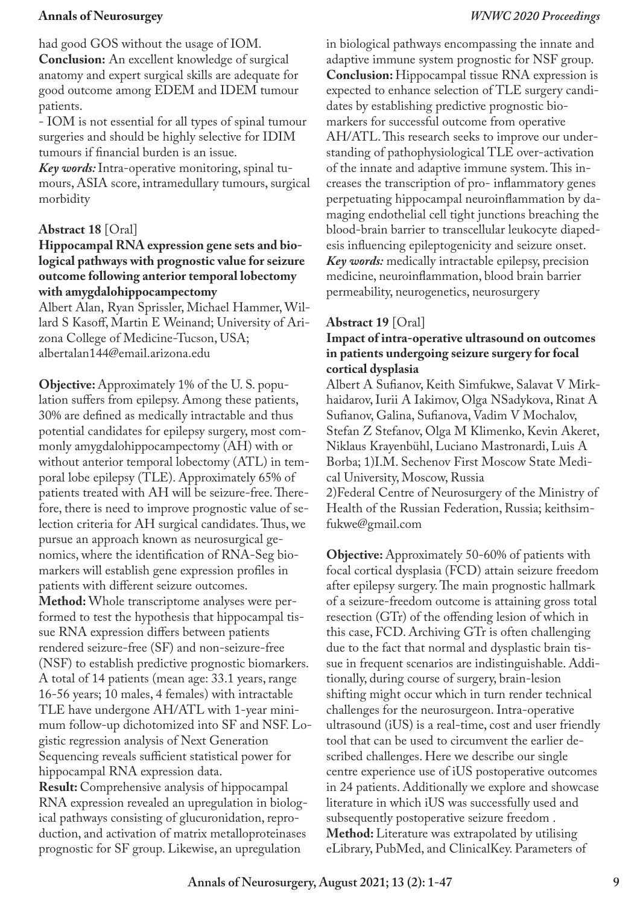had good GOS without the usage of IOM. **Conclusion:** An excellent knowledge of surgical anatomy and expert surgical skills are adequate for good outcome among EDEM and IDEM tumour patients.

- IOM is not essential for all types of spinal tumour surgeries and should be highly selective for IDIM tumours if financial burden is an issue.

*Key words:* Intra-operative monitoring, spinal tumours, ASIA score, intramedullary tumours, surgical morbidity

## **Abstract 18** [Oral]

## **Hippocampal RNA expression gene sets and biological pathways with prognostic value for seizure outcome following anterior temporal lobectomy with amygdalohippocampectomy**

Albert Alan, Ryan Sprissler, Michael Hammer, Willard S Kasoff, Martin E Weinand; University of Arizona College of Medicine-Tucson, USA; albertalan144@email.arizona.edu

**Objective:** Approximately 1% of the U. S. population suffers from epilepsy. Among these patients, 30% are defined as medically intractable and thus potential candidates for epilepsy surgery, most commonly amygdalohippocampectomy (AH) with or without anterior temporal lobectomy (ATL) in temporal lobe epilepsy (TLE). Approximately 65% of patients treated with AH will be seizure-free. Therefore, there is need to improve prognostic value of selection criteria for AH surgical candidates. Thus, we pursue an approach known as neurosurgical genomics, where the identification of RNA-Seg biomarkers will establish gene expression profiles in patients with different seizure outcomes. **Method:** Whole transcriptome analyses were performed to test the hypothesis that hippocampal tissue RNA expression differs between patients rendered seizure-free (SF) and non-seizure-free (NSF) to establish predictive prognostic biomarkers. A total of 14 patients (mean age: 33.1 years, range 16-56 years; 10 males, 4 females) with intractable TLE have undergone AH/ATL with 1-year minimum follow-up dichotomized into SF and NSF. Logistic regression analysis of Next Generation Sequencing reveals sufficient statistical power for hippocampal RNA expression data. **Result:** Comprehensive analysis of hippocampal RNA expression revealed an upregulation in biological pathways consisting of glucuronidation, reproduction, and activation of matrix metalloproteinases prognostic for SF group. Likewise, an upregulation

in biological pathways encompassing the innate and adaptive immune system prognostic for NSF group. **Conclusion:** Hippocampal tissue RNA expression is expected to enhance selection of TLE surgery candidates by establishing predictive prognostic biomarkers for successful outcome from operative AH/ATL. This research seeks to improve our understanding of pathophysiological TLE over-activation of the innate and adaptive immune system. This increases the transcription of pro- inflammatory genes perpetuating hippocampal neuroinflammation by damaging endothelial cell tight junctions breaching the blood-brain barrier to transcellular leukocyte diapedesis influencing epileptogenicity and seizure onset. *Key words:* medically intractable epilepsy, precision medicine, neuroinflammation, blood brain barrier permeability, neurogenetics, neurosurgery

## **Abstract 19** [Oral]

## **Impact of intra-operative ultrasound on outcomes in patients undergoing seizure surgery for focal cortical dysplasia**

Albert A Sufianov, Keith Simfukwe, Salavat V Mirkhaidarov, Iurii A Iakimov, Olga NSadykova, Rinat A Sufianov, Galina, Sufianova, Vadim V Mochalov, Stefan Z Stefanov, Olga M Klimenko, Kevin Akeret, Niklaus Krayenbühl, Luciano Mastronardi, Luis A Borba; 1)I.M. Sechenov First Moscow State Medical University, Moscow, Russia 2)Federal Centre of Neurosurgery of the Ministry of

Health of the Russian Federation, Russia; keithsimfukwe@gmail.com

**Objective:** Approximately 50-60% of patients with focal cortical dysplasia (FCD) attain seizure freedom after epilepsy surgery. The main prognostic hallmark of a seizure-freedom outcome is attaining gross total resection (GTr) of the offending lesion of which in this case, FCD. Archiving GTr is often challenging due to the fact that normal and dysplastic brain tissue in frequent scenarios are indistinguishable. Additionally, during course of surgery, brain-lesion shifting might occur which in turn render technical challenges for the neurosurgeon. Intra-operative ultrasound (iUS) is a real-time, cost and user friendly tool that can be used to circumvent the earlier described challenges. Here we describe our single centre experience use of iUS postoperative outcomes in 24 patients. Additionally we explore and showcase literature in which iUS was successfully used and subsequently postoperative seizure freedom . **Method:** Literature was extrapolated by utilising eLibrary, PubMed, and ClinicalKey. Parameters of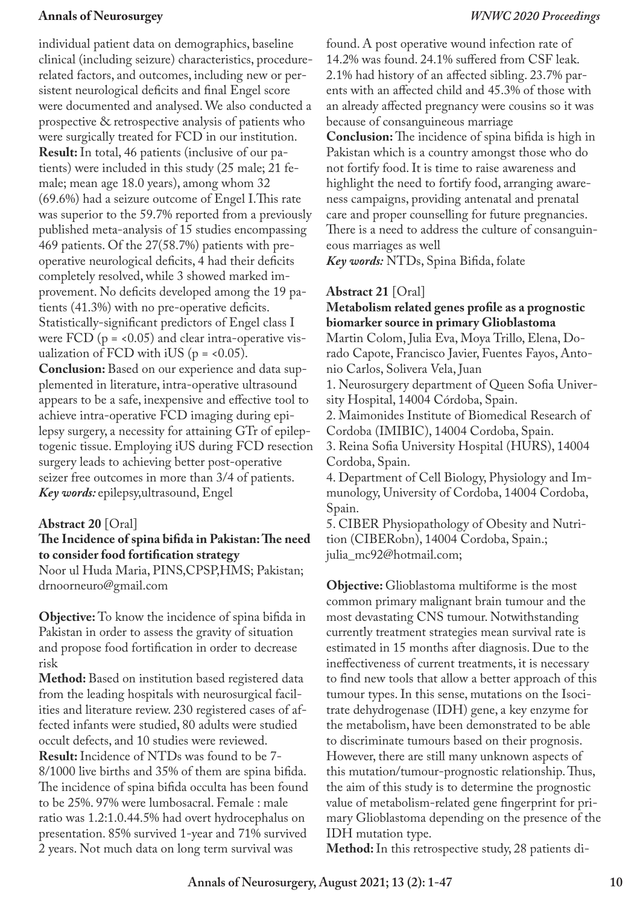individual patient data on demographics, baseline clinical (including seizure) characteristics, procedurerelated factors, and outcomes, including new or persistent neurological deficits and final Engel score were documented and analysed. We also conducted a prospective & retrospective analysis of patients who were surgically treated for FCD in our institution. **Result:** In total, 46 patients (inclusive of our patients) were included in this study (25 male; 21 female; mean age 18.0 years), among whom 32 (69.6%) had a seizure outcome of Engel I.This rate was superior to the 59.7% reported from a previously published meta-analysis of 15 studies encompassing 469 patients. Of the 27(58.7%) patients with preoperative neurological deficits, 4 had their deficits completely resolved, while 3 showed marked improvement. No deficits developed among the 19 patients (41.3%) with no pre-operative deficits. Statistically-significant predictors of Engel class I were  $FCD$  ( $p = 0.05$ ) and clear intra-operative visualization of FCD with iUS ( $p = <0.05$ ). **Conclusion:** Based on our experience and data supplemented in literature, intra-operative ultrasound appears to be a safe, inexpensive and effective tool to achieve intra-operative FCD imaging during epilepsy surgery, a necessity for attaining GTr of epileptogenic tissue. Employing iUS during FCD resection surgery leads to achieving better post-operative

seizer free outcomes in more than 3/4 of patients. *Key words:* epilepsy,ultrasound, Engel

## **Abstract 20** [Oral]

## **The Incidence of spina bifida in Pakistan: The need to consider food fortification strategy**

Noor ul Huda Maria, PINS,CPSP,HMS; Pakistan; drnoorneuro@gmail.com

**Objective:** To know the incidence of spina bifida in Pakistan in order to assess the gravity of situation and propose food fortification in order to decrease risk

**Method:** Based on institution based registered data from the leading hospitals with neurosurgical facilities and literature review. 230 registered cases of affected infants were studied, 80 adults were studied occult defects, and 10 studies were reviewed. **Result:** Incidence of NTDs was found to be 7- 8/1000 live births and 35% of them are spina bifida. The incidence of spina bifida occulta has been found to be 25%. 97% were lumbosacral. Female : male ratio was 1.2:1.0.44.5% had overt hydrocephalus on presentation. 85% survived 1-year and 71% survived 2 years. Not much data on long term survival was

found. A post operative wound infection rate of 14.2% was found. 24.1% suffered from CSF leak. 2.1% had history of an affected sibling. 23.7% parents with an affected child and 45.3% of those with an already affected pregnancy were cousins so it was because of consanguineous marriage **Conclusion:** The incidence of spina bifida is high in Pakistan which is a country amongst those who do not fortify food. It is time to raise awareness and highlight the need to fortify food, arranging awareness campaigns, providing antenatal and prenatal care and proper counselling for future pregnancies. There is a need to address the culture of consanguineous marriages as well

*Key words:* NTDs, Spina Bifida, folate

## **Abstract 21** [Oral]

## **Metabolism related genes profile as a prognostic biomarker source in primary Glioblastoma**

Martin Colom, Julia Eva, Moya Trillo, Elena, Dorado Capote, Francisco Javier, Fuentes Fayos, Antonio Carlos, Solivera Vela, Juan

1. Neurosurgery department of Queen Sofia University Hospital, 14004 Córdoba, Spain.

2. Maimonides Institute of Biomedical Research of Cordoba (IMIBIC), 14004 Cordoba, Spain.

3. Reina Sofia University Hospital (HURS), 14004 Cordoba, Spain.

4. Department of Cell Biology, Physiology and Immunology, University of Cordoba, 14004 Cordoba, Spain.

5. CIBER Physiopathology of Obesity and Nutrition (CIBERobn), 14004 Cordoba, Spain.; julia\_mc92@hotmail.com;

**Objective:** Glioblastoma multiforme is the most common primary malignant brain tumour and the most devastating CNS tumour. Notwithstanding currently treatment strategies mean survival rate is estimated in 15 months after diagnosis. Due to the ineffectiveness of current treatments, it is necessary to find new tools that allow a better approach of this tumour types. In this sense, mutations on the Isocitrate dehydrogenase (IDH) gene, a key enzyme for the metabolism, have been demonstrated to be able to discriminate tumours based on their prognosis. However, there are still many unknown aspects of this mutation/tumour-prognostic relationship. Thus, the aim of this study is to determine the prognostic value of metabolism-related gene fingerprint for primary Glioblastoma depending on the presence of the IDH mutation type.

**Method:** In this retrospective study, 28 patients di-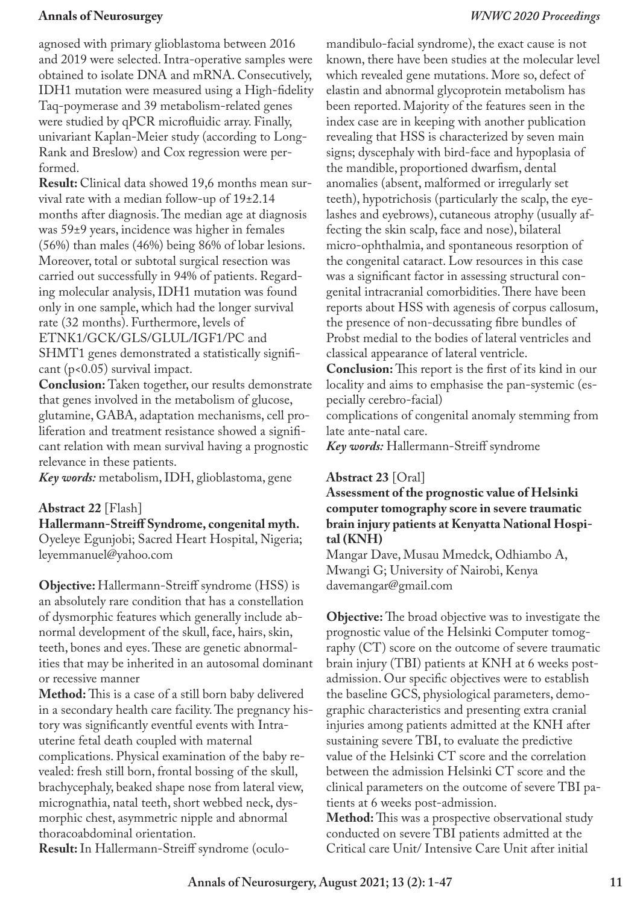agnosed with primary glioblastoma between 2016 and 2019 were selected. Intra-operative samples were obtained to isolate DNA and mRNA. Consecutively, IDH1 mutation were measured using a High-fidelity Taq-poymerase and 39 metabolism-related genes were studied by qPCR microfluidic array. Finally, univariant Kaplan-Meier study (according to Long-Rank and Breslow) and Cox regression were performed.

**Result:** Clinical data showed 19,6 months mean survival rate with a median follow-up of 19±2.14 months after diagnosis. The median age at diagnosis was 59±9 years, incidence was higher in females (56%) than males (46%) being 86% of lobar lesions. Moreover, total or subtotal surgical resection was carried out successfully in 94% of patients. Regarding molecular analysis, IDH1 mutation was found only in one sample, which had the longer survival rate (32 months). Furthermore, levels of ETNK1/GCK/GLS/GLUL/IGF1/PC and SHMT1 genes demonstrated a statistically significant (p<0.05) survival impact.

**Conclusion:** Taken together, our results demonstrate that genes involved in the metabolism of glucose, glutamine, GABA, adaptation mechanisms, cell proliferation and treatment resistance showed a significant relation with mean survival having a prognostic relevance in these patients.

*Key words:* metabolism, IDH, glioblastoma, gene

## **Abstract 22** [Flash]

**Hallermann-Streiff Syndrome, congenital myth.** Oyeleye Egunjobi; Sacred Heart Hospital, Nigeria; leyemmanuel@yahoo.com

**Objective:** Hallermann-Streiff syndrome (HSS) is an absolutely rare condition that has a constellation of dysmorphic features which generally include abnormal development of the skull, face, hairs, skin, teeth, bones and eyes. These are genetic abnormalities that may be inherited in an autosomal dominant or recessive manner

**Method:** This is a case of a still born baby delivered in a secondary health care facility. The pregnancy history was significantly eventful events with Intrauterine fetal death coupled with maternal complications. Physical examination of the baby revealed: fresh still born, frontal bossing of the skull, brachycephaly, beaked shape nose from lateral view, micrognathia, natal teeth, short webbed neck, dysmorphic chest, asymmetric nipple and abnormal thoracoabdominal orientation.

**Result:** In Hallermann-Streiff syndrome (oculo-

mandibulo-facial syndrome), the exact cause is not known, there have been studies at the molecular level which revealed gene mutations. More so, defect of elastin and abnormal glycoprotein metabolism has been reported. Majority of the features seen in the index case are in keeping with another publication revealing that HSS is characterized by seven main signs; dyscephaly with bird-face and hypoplasia of the mandible, proportioned dwarfism, dental anomalies (absent, malformed or irregularly set teeth), hypotrichosis (particularly the scalp, the eyelashes and eyebrows), cutaneous atrophy (usually affecting the skin scalp, face and nose), bilateral micro-ophthalmia, and spontaneous resorption of the congenital cataract. Low resources in this case was a significant factor in assessing structural congenital intracranial comorbidities. There have been reports about HSS with agenesis of corpus callosum, the presence of non-decussating fibre bundles of Probst medial to the bodies of lateral ventricles and classical appearance of lateral ventricle.

**Conclusion:** This report is the first of its kind in our locality and aims to emphasise the pan-systemic (especially cerebro-facial)

complications of congenital anomaly stemming from late ante-natal care.

*Key words:* Hallermann-Streiff syndrome

### **Abstract 23** [Oral]

## **Assessment of the prognostic value of Helsinki computer tomography score in severe traumatic brain injury patients at Kenyatta National Hospital (KNH)**

Mangar Dave, Musau Mmedck, Odhiambo A, Mwangi G; University of Nairobi, Kenya davemangar@gmail.com

**Objective:** The broad objective was to investigate the prognostic value of the Helsinki Computer tomography (CT) score on the outcome of severe traumatic brain injury (TBI) patients at KNH at 6 weeks postadmission. Our specific objectives were to establish the baseline GCS, physiological parameters, demographic characteristics and presenting extra cranial injuries among patients admitted at the KNH after sustaining severe TBI, to evaluate the predictive value of the Helsinki CT score and the correlation between the admission Helsinki CT score and the clinical parameters on the outcome of severe TBI patients at 6 weeks post-admission.

**Method:** This was a prospective observational study conducted on severe TBI patients admitted at the Critical care Unit/ Intensive Care Unit after initial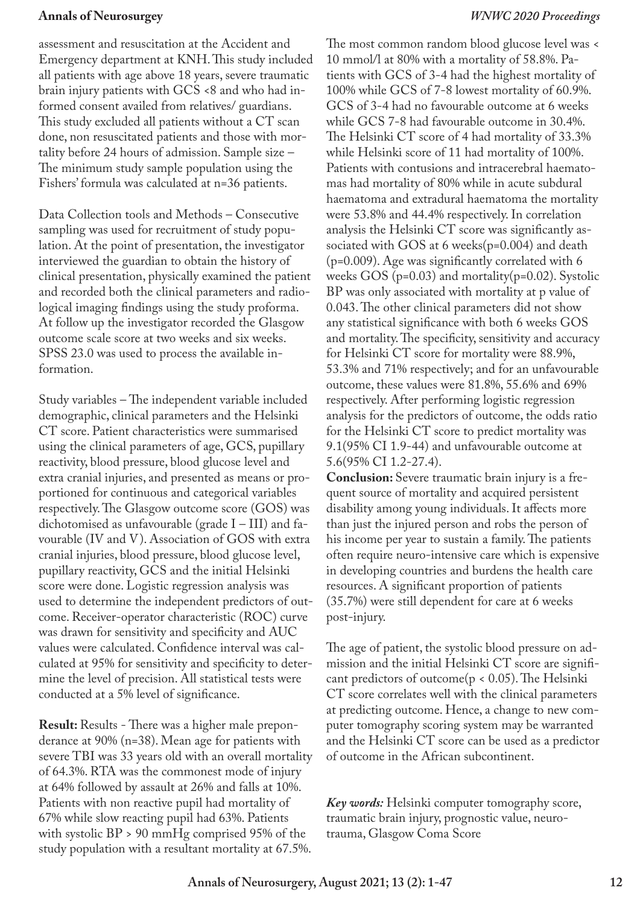assessment and resuscitation at the Accident and Emergency department at KNH. This study included all patients with age above 18 years, severe traumatic brain injury patients with GCS <8 and who had informed consent availed from relatives/ guardians. This study excluded all patients without a CT scan done, non resuscitated patients and those with mortality before 24 hours of admission. Sample size – The minimum study sample population using the Fishers' formula was calculated at n=36 patients.

Data Collection tools and Methods – Consecutive sampling was used for recruitment of study population. At the point of presentation, the investigator interviewed the guardian to obtain the history of clinical presentation, physically examined the patient and recorded both the clinical parameters and radiological imaging findings using the study proforma. At follow up the investigator recorded the Glasgow outcome scale score at two weeks and six weeks. SPSS 23.0 was used to process the available information.

Study variables – The independent variable included demographic, clinical parameters and the Helsinki CT score. Patient characteristics were summarised using the clinical parameters of age, GCS, pupillary reactivity, blood pressure, blood glucose level and extra cranial injuries, and presented as means or proportioned for continuous and categorical variables respectively. The Glasgow outcome score (GOS) was dichotomised as unfavourable (grade  $I - III$ ) and favourable (IV and V). Association of GOS with extra cranial injuries, blood pressure, blood glucose level, pupillary reactivity, GCS and the initial Helsinki score were done. Logistic regression analysis was used to determine the independent predictors of outcome. Receiver-operator characteristic (ROC) curve was drawn for sensitivity and specificity and AUC values were calculated. Confidence interval was calculated at 95% for sensitivity and specificity to determine the level of precision. All statistical tests were conducted at a 5% level of significance.

**Result:** Results - There was a higher male preponderance at 90% (n=38). Mean age for patients with severe TBI was 33 years old with an overall mortality of 64.3%. RTA was the commonest mode of injury at 64% followed by assault at 26% and falls at 10%. Patients with non reactive pupil had mortality of 67% while slow reacting pupil had 63%. Patients with systolic BP > 90 mmHg comprised 95% of the study population with a resultant mortality at 67.5%.

The most common random blood glucose level was < 10 mmol/l at 80% with a mortality of 58.8%. Patients with GCS of 3-4 had the highest mortality of 100% while GCS of 7-8 lowest mortality of 60.9%. GCS of 3-4 had no favourable outcome at 6 weeks while GCS 7-8 had favourable outcome in 30.4%. The Helsinki CT score of 4 had mortality of 33.3% while Helsinki score of 11 had mortality of 100%. Patients with contusions and intracerebral haematomas had mortality of 80% while in acute subdural haematoma and extradural haematoma the mortality were 53.8% and 44.4% respectively. In correlation analysis the Helsinki CT score was significantly associated with GOS at 6 weeks(p=0.004) and death (p=0.009). Age was significantly correlated with 6 weeks  $GOS$  (p=0.03) and mortality(p=0.02). Systolic BP was only associated with mortality at p value of 0.043. The other clinical parameters did not show any statistical significance with both 6 weeks GOS and mortality. The specificity, sensitivity and accuracy for Helsinki CT score for mortality were 88.9%, 53.3% and 71% respectively; and for an unfavourable outcome, these values were 81.8%, 55.6% and 69% respectively. After performing logistic regression analysis for the predictors of outcome, the odds ratio for the Helsinki CT score to predict mortality was 9.1(95% CI 1.9-44) and unfavourable outcome at 5.6(95% CI 1.2-27.4).

**Conclusion:** Severe traumatic brain injury is a frequent source of mortality and acquired persistent disability among young individuals. It affects more than just the injured person and robs the person of his income per year to sustain a family. The patients often require neuro-intensive care which is expensive in developing countries and burdens the health care resources. A significant proportion of patients (35.7%) were still dependent for care at 6 weeks post-injury.

The age of patient, the systolic blood pressure on admission and the initial Helsinki CT score are significant predictors of outcome( $p < 0.05$ ). The Helsinki CT score correlates well with the clinical parameters at predicting outcome. Hence, a change to new computer tomography scoring system may be warranted and the Helsinki CT score can be used as a predictor of outcome in the African subcontinent.

*Key words:* Helsinki computer tomography score, traumatic brain injury, prognostic value, neurotrauma, Glasgow Coma Score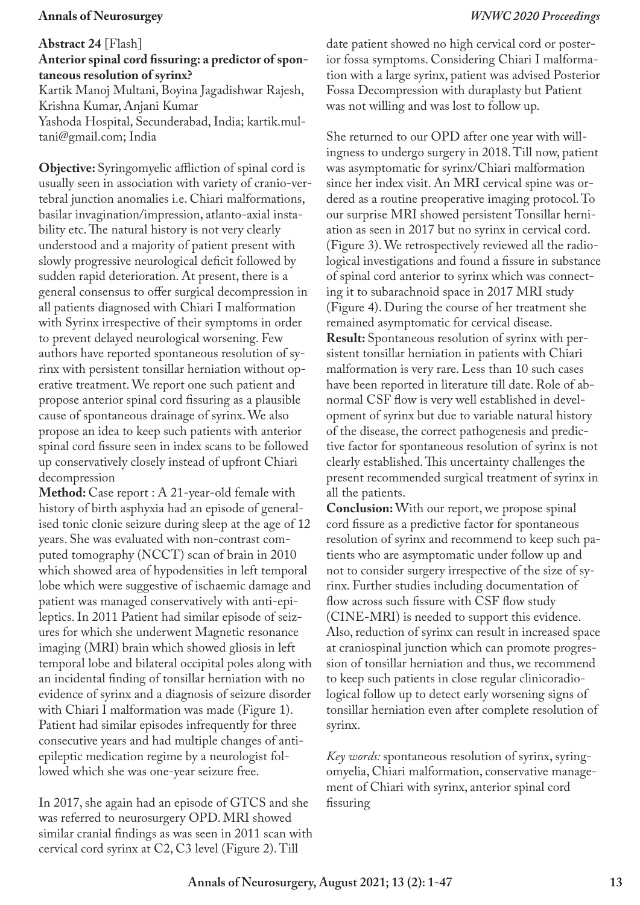**Abstract 24** [Flash]

**Anterior spinal cord fissuring: a predictor of spontaneous resolution of syrinx?**

Kartik Manoj Multani, Boyina Jagadishwar Rajesh, Krishna Kumar, Anjani Kumar Yashoda Hospital, Secunderabad, India; kartik.multani@gmail.com; India

**Objective:** Syringomyelic affliction of spinal cord is usually seen in association with variety of cranio-vertebral junction anomalies i.e. Chiari malformations, basilar invagination/impression, atlanto-axial instability etc. The natural history is not very clearly understood and a majority of patient present with slowly progressive neurological deficit followed by sudden rapid deterioration. At present, there is a general consensus to offer surgical decompression in all patients diagnosed with Chiari I malformation with Syrinx irrespective of their symptoms in order to prevent delayed neurological worsening. Few authors have reported spontaneous resolution of syrinx with persistent tonsillar herniation without operative treatment. We report one such patient and propose anterior spinal cord fissuring as a plausible cause of spontaneous drainage of syrinx. We also propose an idea to keep such patients with anterior spinal cord fissure seen in index scans to be followed up conservatively closely instead of upfront Chiari decompression

**Method:** Case report : A 21-year-old female with history of birth asphyxia had an episode of generalised tonic clonic seizure during sleep at the age of 12 years. She was evaluated with non-contrast computed tomography (NCCT) scan of brain in 2010 which showed area of hypodensities in left temporal lobe which were suggestive of ischaemic damage and patient was managed conservatively with anti-epileptics. In 2011 Patient had similar episode of seizures for which she underwent Magnetic resonance imaging (MRI) brain which showed gliosis in left temporal lobe and bilateral occipital poles along with an incidental finding of tonsillar herniation with no evidence of syrinx and a diagnosis of seizure disorder with Chiari I malformation was made (Figure 1). Patient had similar episodes infrequently for three consecutive years and had multiple changes of antiepileptic medication regime by a neurologist followed which she was one-year seizure free.

In 2017, she again had an episode of GTCS and she was referred to neurosurgery OPD. MRI showed similar cranial findings as was seen in 2011 scan with cervical cord syrinx at C2, C3 level (Figure 2). Till

date patient showed no high cervical cord or posterior fossa symptoms. Considering Chiari I malformation with a large syrinx, patient was advised Posterior Fossa Decompression with duraplasty but Patient was not willing and was lost to follow up.

She returned to our OPD after one year with willingness to undergo surgery in 2018. Till now, patient was asymptomatic for syrinx/Chiari malformation since her index visit. An MRI cervical spine was ordered as a routine preoperative imaging protocol. To our surprise MRI showed persistent Tonsillar herniation as seen in 2017 but no syrinx in cervical cord. (Figure 3). We retrospectively reviewed all the radiological investigations and found a fissure in substance of spinal cord anterior to syrinx which was connecting it to subarachnoid space in 2017 MRI study (Figure 4). During the course of her treatment she remained asymptomatic for cervical disease. **Result:** Spontaneous resolution of syrinx with persistent tonsillar herniation in patients with Chiari malformation is very rare. Less than 10 such cases have been reported in literature till date. Role of abnormal CSF flow is very well established in development of syrinx but due to variable natural history of the disease, the correct pathogenesis and predictive factor for spontaneous resolution of syrinx is not clearly established. This uncertainty challenges the present recommended surgical treatment of syrinx in all the patients.

**Conclusion:** With our report, we propose spinal cord fissure as a predictive factor for spontaneous resolution of syrinx and recommend to keep such patients who are asymptomatic under follow up and not to consider surgery irrespective of the size of syrinx. Further studies including documentation of flow across such fissure with CSF flow study (CINE-MRI) is needed to support this evidence. Also, reduction of syrinx can result in increased space at craniospinal junction which can promote progression of tonsillar herniation and thus, we recommend to keep such patients in close regular clinicoradiological follow up to detect early worsening signs of tonsillar herniation even after complete resolution of syrinx.

*Key words:* spontaneous resolution of syrinx, syringomyelia, Chiari malformation, conservative management of Chiari with syrinx, anterior spinal cord fissuring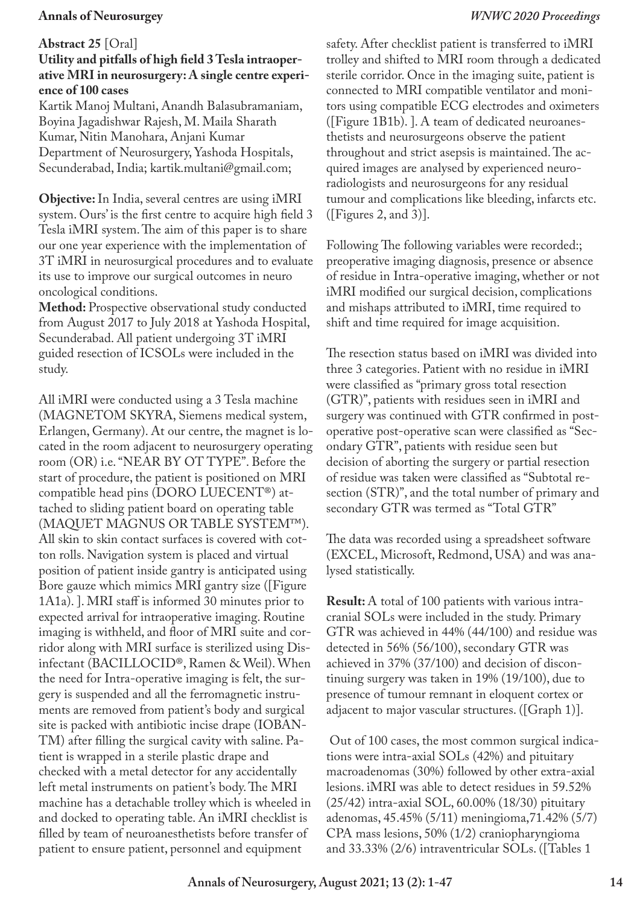#### **Abstract 25** [Oral]

## **Utility and pitfalls of high field 3 Tesla intraoperative MRI in neurosurgery: A single centre experience of 100 cases**

Kartik Manoj Multani, Anandh Balasubramaniam, Boyina Jagadishwar Rajesh, M. Maila Sharath Kumar, Nitin Manohara, Anjani Kumar Department of Neurosurgery, Yashoda Hospitals, Secunderabad, India; kartik.multani@gmail.com;

**Objective:** In India, several centres are using iMRI system. Ours' is the first centre to acquire high field 3 Tesla iMRI system. The aim of this paper is to share our one year experience with the implementation of 3T iMRI in neurosurgical procedures and to evaluate its use to improve our surgical outcomes in neuro oncological conditions.

**Method:** Prospective observational study conducted from August 2017 to July 2018 at Yashoda Hospital, Secunderabad. All patient undergoing 3T iMRI guided resection of ICSOLs were included in the study.

All iMRI were conducted using a 3 Tesla machine (MAGNETOM SKYRA, Siemens medical system, Erlangen, Germany). At our centre, the magnet is located in the room adjacent to neurosurgery operating room (OR) i.e. "NEAR BY OT TYPE". Before the start of procedure, the patient is positioned on MRI compatible head pins (DORO LUECENT®) attached to sliding patient board on operating table (MAQUET MAGNUS OR TABLE SYSTEM™). All skin to skin contact surfaces is covered with cotton rolls. Navigation system is placed and virtual position of patient inside gantry is anticipated using Bore gauze which mimics MRI gantry size ([Figure 1A1a). ]. MRI staff is informed 30 minutes prior to expected arrival for intraoperative imaging. Routine imaging is withheld, and floor of MRI suite and corridor along with MRI surface is sterilized using Disinfectant (BACILLOCID®, Ramen & Weil). When the need for Intra-operative imaging is felt, the surgery is suspended and all the ferromagnetic instruments are removed from patient's body and surgical site is packed with antibiotic incise drape (IOBAN-TM) after filling the surgical cavity with saline. Patient is wrapped in a sterile plastic drape and checked with a metal detector for any accidentally left metal instruments on patient's body. The MRI machine has a detachable trolley which is wheeled in and docked to operating table. An iMRI checklist is filled by team of neuroanesthetists before transfer of patient to ensure patient, personnel and equipment

safety. After checklist patient is transferred to iMRI trolley and shifted to MRI room through a dedicated sterile corridor. Once in the imaging suite, patient is connected to MRI compatible ventilator and monitors using compatible ECG electrodes and oximeters ([Figure 1B1b). ]. A team of dedicated neuroanesthetists and neurosurgeons observe the patient throughout and strict asepsis is maintained. The acquired images are analysed by experienced neuroradiologists and neurosurgeons for any residual tumour and complications like bleeding, infarcts etc. ([Figures 2, and 3)].

Following The following variables were recorded:; preoperative imaging diagnosis, presence or absence of residue in Intra-operative imaging, whether or not iMRI modified our surgical decision, complications and mishaps attributed to iMRI, time required to shift and time required for image acquisition.

The resection status based on iMRI was divided into three 3 categories. Patient with no residue in iMRI were classified as "primary gross total resection (GTR)", patients with residues seen in iMRI and surgery was continued with GTR confirmed in postoperative post-operative scan were classified as "Secondary GTR", patients with residue seen but decision of aborting the surgery or partial resection of residue was taken were classified as "Subtotal resection (STR)", and the total number of primary and secondary GTR was termed as "Total GTR"

The data was recorded using a spreadsheet software (EXCEL, Microsoft, Redmond, USA) and was analysed statistically.

**Result:** A total of 100 patients with various intracranial SOLs were included in the study. Primary GTR was achieved in 44% (44/100) and residue was detected in 56% (56/100), secondary GTR was achieved in 37% (37/100) and decision of discontinuing surgery was taken in 19% (19/100), due to presence of tumour remnant in eloquent cortex or adjacent to major vascular structures. ([Graph 1)].

 Out of 100 cases, the most common surgical indications were intra-axial SOLs (42%) and pituitary macroadenomas (30%) followed by other extra-axial lesions. iMRI was able to detect residues in 59.52% (25/42) intra-axial SOL, 60.00% (18/30) pituitary adenomas, 45.45% (5/11) meningioma,71.42% (5/7) CPA mass lesions, 50% (1/2) craniopharyngioma and 33.33% (2/6) intraventricular SOLs. ([Tables 1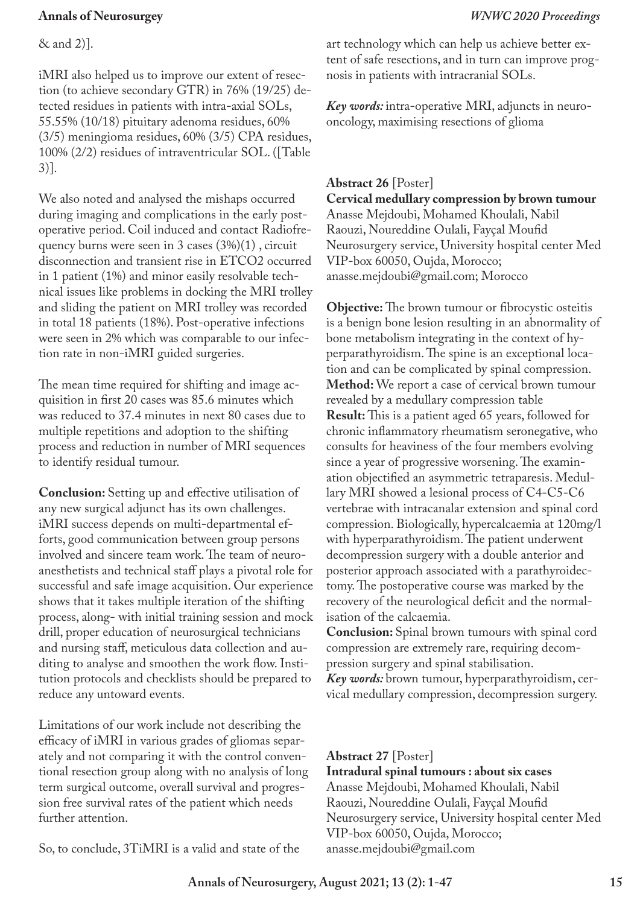& and 2)].

iMRI also helped us to improve our extent of resection (to achieve secondary GTR) in 76% (19/25) detected residues in patients with intra-axial SOLs, 55.55% (10/18) pituitary adenoma residues, 60% (3/5) meningioma residues, 60% (3/5) CPA residues, 100% (2/2) residues of intraventricular SOL. ([Table 3)].

We also noted and analysed the mishaps occurred during imaging and complications in the early postoperative period. Coil induced and contact Radiofrequency burns were seen in 3 cases (3%)(1) , circuit disconnection and transient rise in ETCO2 occurred in 1 patient (1%) and minor easily resolvable technical issues like problems in docking the MRI trolley and sliding the patient on MRI trolley was recorded in total 18 patients (18%). Post-operative infections were seen in 2% which was comparable to our infection rate in non-iMRI guided surgeries.

The mean time required for shifting and image acquisition in first 20 cases was 85.6 minutes which was reduced to 37.4 minutes in next 80 cases due to multiple repetitions and adoption to the shifting process and reduction in number of MRI sequences to identify residual tumour.

**Conclusion:** Setting up and effective utilisation of any new surgical adjunct has its own challenges. iMRI success depends on multi-departmental efforts, good communication between group persons involved and sincere team work. The team of neuroanesthetists and technical staff plays a pivotal role for successful and safe image acquisition. Our experience shows that it takes multiple iteration of the shifting process, along- with initial training session and mock drill, proper education of neurosurgical technicians and nursing staff, meticulous data collection and auditing to analyse and smoothen the work flow. Institution protocols and checklists should be prepared to reduce any untoward events.

Limitations of our work include not describing the efficacy of iMRI in various grades of gliomas separately and not comparing it with the control conventional resection group along with no analysis of long term surgical outcome, overall survival and progression free survival rates of the patient which needs further attention.

So, to conclude, 3TiMRI is a valid and state of the

art technology which can help us achieve better extent of safe resections, and in turn can improve prognosis in patients with intracranial SOLs.

*Key words:* intra-operative MRI, adjuncts in neurooncology, maximising resections of glioma

## **Abstract 26** [Poster]

**Cervical medullary compression by brown tumour** Anasse Mejdoubi, Mohamed Khoulali, Nabil Raouzi, Noureddine Oulali, Fayçal Moufid Neurosurgery service, University hospital center Med VIP-box 60050, Oujda, Morocco; anasse.mejdoubi@gmail.com; Morocco

**Objective:** The brown tumour or fibrocystic osteitis is a benign bone lesion resulting in an abnormality of bone metabolism integrating in the context of hyperparathyroidism. The spine is an exceptional location and can be complicated by spinal compression. **Method:** We report a case of cervical brown tumour revealed by a medullary compression table **Result:** This is a patient aged 65 years, followed for chronic inflammatory rheumatism seronegative, who consults for heaviness of the four members evolving since a year of progressive worsening. The examination objectified an asymmetric tetraparesis. Medullary MRI showed a lesional process of C4-C5-C6 vertebrae with intracanalar extension and spinal cord compression. Biologically, hypercalcaemia at 120mg/l with hyperparathyroidism. The patient underwent decompression surgery with a double anterior and posterior approach associated with a parathyroidectomy. The postoperative course was marked by the recovery of the neurological deficit and the normalisation of the calcaemia.

**Conclusion:** Spinal brown tumours with spinal cord compression are extremely rare, requiring decompression surgery and spinal stabilisation.

*Key words:* brown tumour, hyperparathyroidism, cervical medullary compression, decompression surgery.

#### **Abstract 27** [Poster]

**Intradural spinal tumours : about six cases** Anasse Mejdoubi, Mohamed Khoulali, Nabil Raouzi, Noureddine Oulali, Fayçal Moufid Neurosurgery service, University hospital center Med VIP-box 60050, Oujda, Morocco; anasse.mejdoubi@gmail.com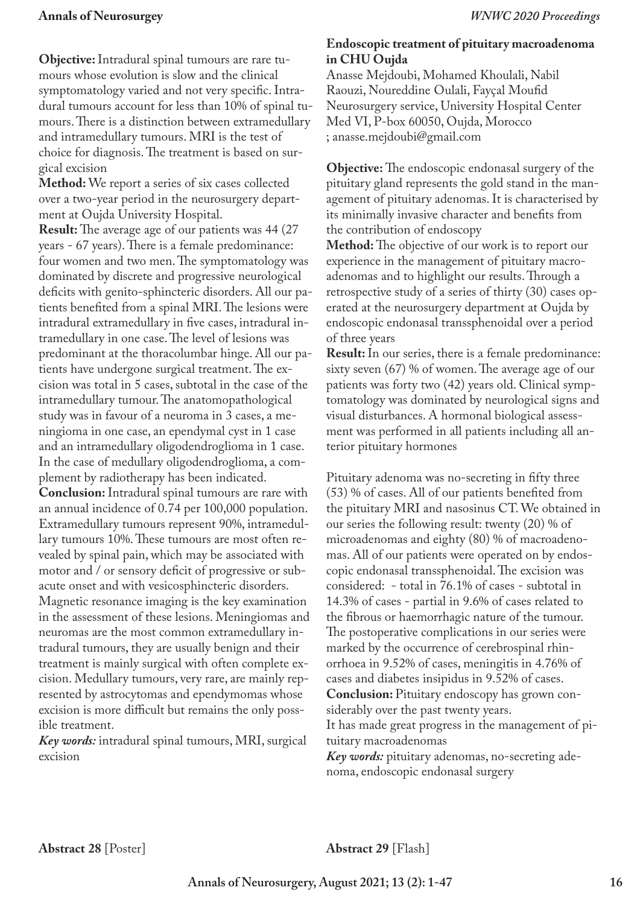**Objective:** Intradural spinal tumours are rare tumours whose evolution is slow and the clinical symptomatology varied and not very specific. Intradural tumours account for less than 10% of spinal tumours. There is a distinction between extramedullary and intramedullary tumours. MRI is the test of choice for diagnosis. The treatment is based on surgical excision

**Method:** We report a series of six cases collected over a two-year period in the neurosurgery department at Oujda University Hospital.

**Result:** The average age of our patients was 44 (27) years - 67 years). There is a female predominance: four women and two men. The symptomatology was dominated by discrete and progressive neurological deficits with genito-sphincteric disorders. All our patients benefited from a spinal MRI. The lesions were intradural extramedullary in five cases, intradural intramedullary in one case. The level of lesions was predominant at the thoracolumbar hinge. All our patients have undergone surgical treatment. The excision was total in 5 cases, subtotal in the case of the intramedullary tumour. The anatomopathological study was in favour of a neuroma in 3 cases, a meningioma in one case, an ependymal cyst in 1 case and an intramedullary oligodendroglioma in 1 case. In the case of medullary oligodendroglioma, a complement by radiotherapy has been indicated.

**Conclusion:** Intradural spinal tumours are rare with an annual incidence of 0.74 per 100,000 population. Extramedullary tumours represent 90%, intramedullary tumours 10%. These tumours are most often revealed by spinal pain, which may be associated with motor and / or sensory deficit of progressive or subacute onset and with vesicosphincteric disorders. Magnetic resonance imaging is the key examination in the assessment of these lesions. Meningiomas and neuromas are the most common extramedullary intradural tumours, they are usually benign and their treatment is mainly surgical with often complete excision. Medullary tumours, very rare, are mainly represented by astrocytomas and ependymomas whose excision is more difficult but remains the only possible treatment.

*Key words:* intradural spinal tumours, MRI, surgical excision

## **Endoscopic treatment of pituitary macroadenoma in CHU Oujda**

Anasse Mejdoubi, Mohamed Khoulali, Nabil Raouzi, Noureddine Oulali, Fayçal Moufid Neurosurgery service, University Hospital Center Med VI, P-box 60050, Oujda, Morocco ; anasse.mejdoubi@gmail.com

**Objective:** The endoscopic endonasal surgery of the pituitary gland represents the gold stand in the management of pituitary adenomas. It is characterised by its minimally invasive character and benefits from the contribution of endoscopy

**Method:** The objective of our work is to report our experience in the management of pituitary macroadenomas and to highlight our results. Through a retrospective study of a series of thirty (30) cases operated at the neurosurgery department at Oujda by endoscopic endonasal transsphenoidal over a period of three years

**Result:** In our series, there is a female predominance: sixty seven (67) % of women. The average age of our patients was forty two (42) years old. Clinical symptomatology was dominated by neurological signs and visual disturbances. A hormonal biological assessment was performed in all patients including all anterior pituitary hormones

Pituitary adenoma was no-secreting in fifty three (53) % of cases. All of our patients benefited from the pituitary MRI and nasosinus CT. We obtained in our series the following result: twenty (20) % of microadenomas and eighty (80) % of macroadenomas. All of our patients were operated on by endoscopic endonasal transsphenoidal. The excision was considered: - total in 76.1% of cases - subtotal in 14.3% of cases - partial in 9.6% of cases related to the fibrous or haemorrhagic nature of the tumour. The postoperative complications in our series were marked by the occurrence of cerebrospinal rhinorrhoea in 9.52% of cases, meningitis in 4.76% of cases and diabetes insipidus in 9.52% of cases. **Conclusion:** Pituitary endoscopy has grown considerably over the past twenty years. It has made great progress in the management of pi-

tuitary macroadenomas *Key words:* pituitary adenomas, no-secreting adenoma, endoscopic endonasal surgery

**Abstract 29** [Flash]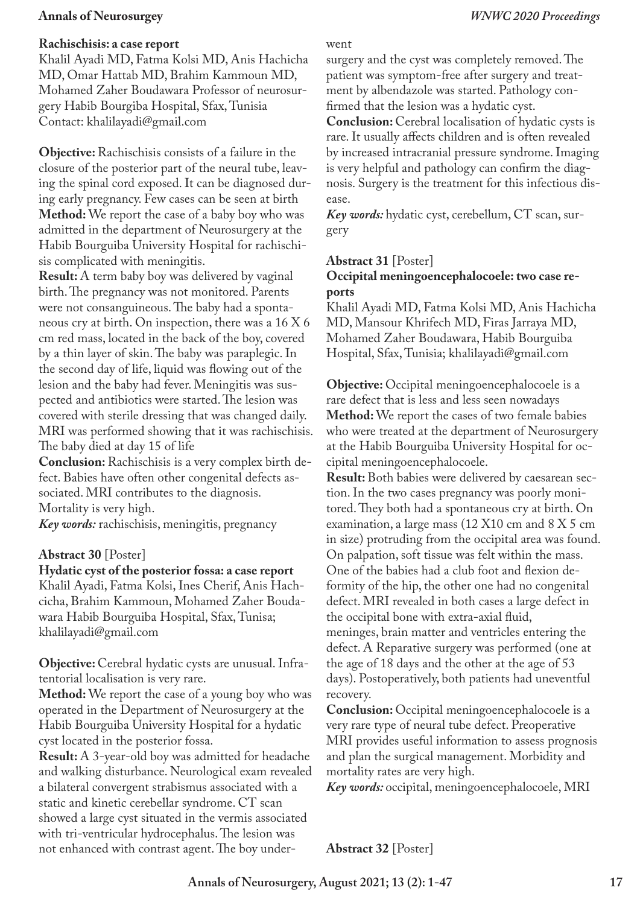#### **Rachischisis: a case report**

Khalil Ayadi MD, Fatma Kolsi MD, Anis Hachicha MD, Omar Hattab MD, Brahim Kammoun MD, Mohamed Zaher Boudawara Professor of neurosurgery Habib Bourgiba Hospital, Sfax, Tunisia Contact: khalilayadi@gmail.com

**Objective:** Rachischisis consists of a failure in the closure of the posterior part of the neural tube, leaving the spinal cord exposed. It can be diagnosed during early pregnancy. Few cases can be seen at birth **Method:** We report the case of a baby boy who was admitted in the department of Neurosurgery at the Habib Bourguiba University Hospital for rachischisis complicated with meningitis.

**Result:** A term baby boy was delivered by vaginal birth. The pregnancy was not monitored. Parents were not consanguineous. The baby had a spontaneous cry at birth. On inspection, there was a 16 X 6 cm red mass, located in the back of the boy, covered by a thin layer of skin. The baby was paraplegic. In the second day of life, liquid was flowing out of the lesion and the baby had fever. Meningitis was suspected and antibiotics were started. The lesion was covered with sterile dressing that was changed daily. MRI was performed showing that it was rachischisis. The baby died at day 15 of life

**Conclusion:** Rachischisis is a very complex birth defect. Babies have often other congenital defects associated. MRI contributes to the diagnosis. Mortality is very high.

*Key words:* rachischisis, meningitis, pregnancy

## **Abstract 30** [Poster]

**Hydatic cyst of the posterior fossa: a case report**

Khalil Ayadi, Fatma Kolsi, Ines Cherif, Anis Hachcicha, Brahim Kammoun, Mohamed Zaher Boudawara Habib Bourguiba Hospital, Sfax, Tunisa; khalilayadi@gmail.com

**Objective:** Cerebral hydatic cysts are unusual. Infratentorial localisation is very rare.

**Method:** We report the case of a young boy who was operated in the Department of Neurosurgery at the Habib Bourguiba University Hospital for a hydatic cyst located in the posterior fossa.

**Result:** A 3-year-old boy was admitted for headache and walking disturbance. Neurological exam revealed a bilateral convergent strabismus associated with a static and kinetic cerebellar syndrome. CT scan showed a large cyst situated in the vermis associated with tri-ventricular hydrocephalus. The lesion was not enhanced with contrast agent. The boy under-

#### went

surgery and the cyst was completely removed. The patient was symptom-free after surgery and treatment by albendazole was started. Pathology confirmed that the lesion was a hydatic cyst.

**Conclusion:** Cerebral localisation of hydatic cysts is rare. It usually affects children and is often revealed by increased intracranial pressure syndrome. Imaging is very helpful and pathology can confirm the diagnosis. Surgery is the treatment for this infectious disease.

*Key words:* hydatic cyst, cerebellum, CT scan, surgery

#### **Abstract 31** [Poster]

## **Occipital meningoencephalocoele: two case reports**

Khalil Ayadi MD, Fatma Kolsi MD, Anis Hachicha MD, Mansour Khrifech MD, Firas Jarraya MD, Mohamed Zaher Boudawara, Habib Bourguiba Hospital, Sfax, Tunisia; khalilayadi@gmail.com

**Objective:** Occipital meningoencephalocoele is a rare defect that is less and less seen nowadays **Method:** We report the cases of two female babies who were treated at the department of Neurosurgery at the Habib Bourguiba University Hospital for occipital meningoencephalocoele.

**Result:** Both babies were delivered by caesarean section. In the two cases pregnancy was poorly monitored. They both had a spontaneous cry at birth. On examination, a large mass (12 X10 cm and 8 X 5 cm in size) protruding from the occipital area was found. On palpation, soft tissue was felt within the mass. One of the babies had a club foot and flexion deformity of the hip, the other one had no congenital defect. MRI revealed in both cases a large defect in the occipital bone with extra-axial fluid,

meninges, brain matter and ventricles entering the defect. A Reparative surgery was performed (one at the age of 18 days and the other at the age of 53 days). Postoperatively, both patients had uneventful recovery.

**Conclusion:** Occipital meningoencephalocoele is a very rare type of neural tube defect. Preoperative MRI provides useful information to assess prognosis and plan the surgical management. Morbidity and mortality rates are very high.

*Key words:* occipital, meningoencephalocoele, MRI

**Abstract 32** [Poster]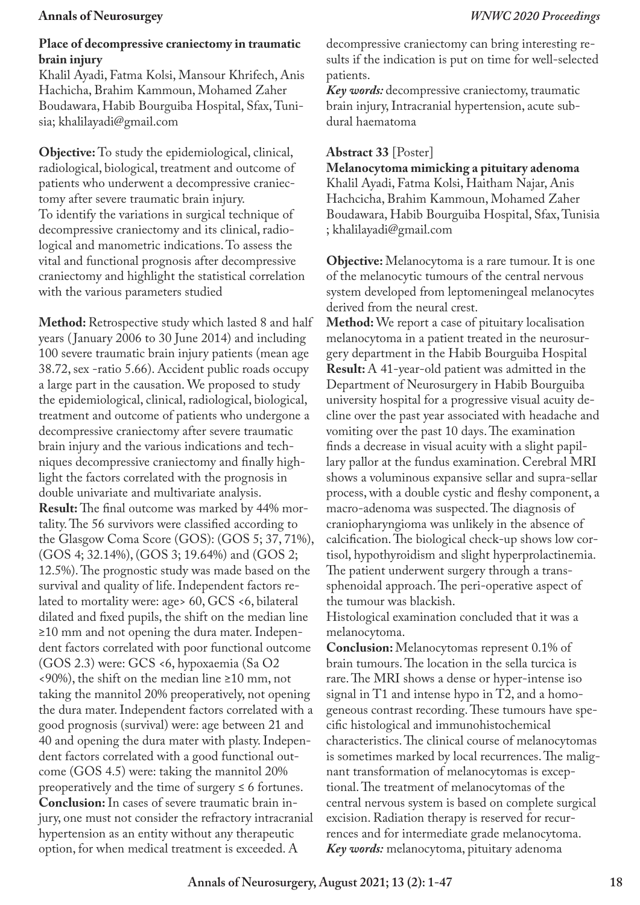#### **Place of decompressive craniectomy in traumatic brain injury**

Khalil Ayadi, Fatma Kolsi, Mansour Khrifech, Anis Hachicha, Brahim Kammoun, Mohamed Zaher Boudawara, Habib Bourguiba Hospital, Sfax, Tunisia; khalilayadi@gmail.com

**Objective:** To study the epidemiological, clinical, radiological, biological, treatment and outcome of patients who underwent a decompressive craniectomy after severe traumatic brain injury. To identify the variations in surgical technique of decompressive craniectomy and its clinical, radiological and manometric indications. To assess the vital and functional prognosis after decompressive craniectomy and highlight the statistical correlation with the various parameters studied

**Method:** Retrospective study which lasted 8 and half years ( January 2006 to 30 June 2014) and including 100 severe traumatic brain injury patients (mean age 38.72, sex -ratio 5.66). Accident public roads occupy a large part in the causation. We proposed to study the epidemiological, clinical, radiological, biological, treatment and outcome of patients who undergone a decompressive craniectomy after severe traumatic brain injury and the various indications and techniques decompressive craniectomy and finally highlight the factors correlated with the prognosis in double univariate and multivariate analysis. **Result:** The final outcome was marked by 44% mortality. The 56 survivors were classified according to the Glasgow Coma Score (GOS): (GOS 5; 37, 71%), (GOS 4; 32.14%), (GOS 3; 19.64%) and (GOS 2; 12.5%). The prognostic study was made based on the survival and quality of life. Independent factors related to mortality were: age> 60, GCS <6, bilateral dilated and fixed pupils, the shift on the median line ≥10 mm and not opening the dura mater. Independent factors correlated with poor functional outcome (GOS 2.3) were: GCS <6, hypoxaemia (Sa O2 <90%), the shift on the median line ≥10 mm, not taking the mannitol 20% preoperatively, not opening the dura mater. Independent factors correlated with a good prognosis (survival) were: age between 21 and 40 and opening the dura mater with plasty. Independent factors correlated with a good functional outcome (GOS 4.5) were: taking the mannitol 20% preoperatively and the time of surgery  $\leq 6$  fortunes. **Conclusion:** In cases of severe traumatic brain injury, one must not consider the refractory intracranial hypertension as an entity without any therapeutic option, for when medical treatment is exceeded. A

decompressive craniectomy can bring interesting results if the indication is put on time for well-selected patients.

*Key words:* decompressive craniectomy, traumatic brain injury, Intracranial hypertension, acute subdural haematoma

### **Abstract 33** [Poster]

**Melanocytoma mimicking a pituitary adenoma**  Khalil Ayadi, Fatma Kolsi, Haitham Najar, Anis Hachcicha, Brahim Kammoun, Mohamed Zaher Boudawara, Habib Bourguiba Hospital, Sfax, Tunisia ; khalilayadi@gmail.com

**Objective:** Melanocytoma is a rare tumour. It is one of the melanocytic tumours of the central nervous system developed from leptomeningeal melanocytes derived from the neural crest.

**Method:** We report a case of pituitary localisation melanocytoma in a patient treated in the neurosurgery department in the Habib Bourguiba Hospital **Result:** A 41-year-old patient was admitted in the Department of Neurosurgery in Habib Bourguiba university hospital for a progressive visual acuity decline over the past year associated with headache and vomiting over the past 10 days. The examination finds a decrease in visual acuity with a slight papillary pallor at the fundus examination. Cerebral MRI shows a voluminous expansive sellar and supra-sellar process, with a double cystic and fleshy component, a macro-adenoma was suspected. The diagnosis of craniopharyngioma was unlikely in the absence of calcification. The biological check-up shows low cortisol, hypothyroidism and slight hyperprolactinemia. The patient underwent surgery through a transsphenoidal approach. The peri-operative aspect of the tumour was blackish.

Histological examination concluded that it was a melanocytoma.

**Conclusion:** Melanocytomas represent 0.1% of brain tumours. The location in the sella turcica is rare. The MRI shows a dense or hyper-intense iso signal in T1 and intense hypo in T2, and a homogeneous contrast recording. These tumours have specific histological and immunohistochemical characteristics. The clinical course of melanocytomas is sometimes marked by local recurrences. The malignant transformation of melanocytomas is exceptional. The treatment of melanocytomas of the central nervous system is based on complete surgical excision. Radiation therapy is reserved for recurrences and for intermediate grade melanocytoma. *Key words:* melanocytoma, pituitary adenoma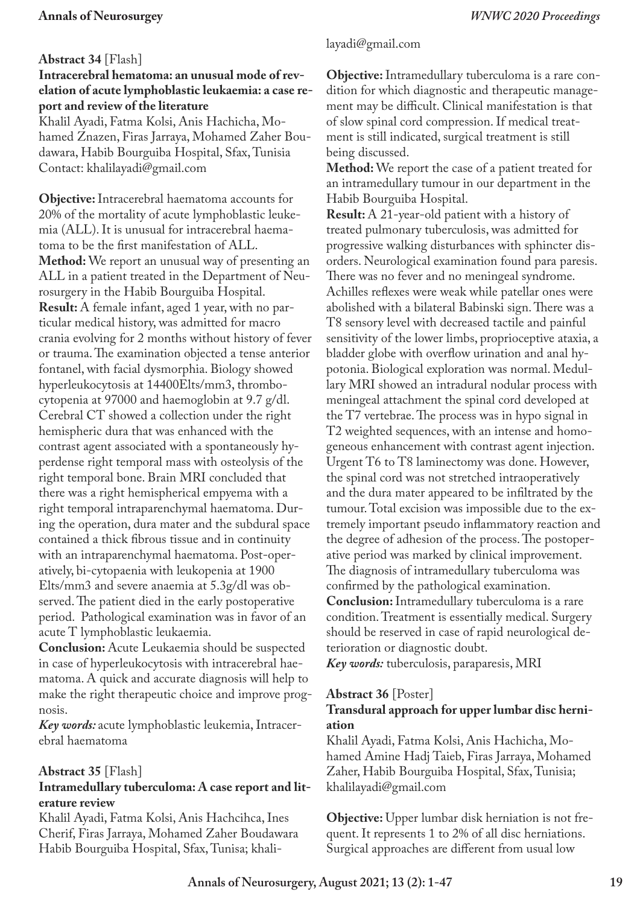## **Abstract 34** [Flash]

## **Intracerebral hematoma: an unusual mode of revelation of acute lymphoblastic leukaemia: a case report and review of the literature**

Khalil Ayadi, Fatma Kolsi, Anis Hachicha, Mohamed Znazen, Firas Jarraya, Mohamed Zaher Boudawara, Habib Bourguiba Hospital, Sfax, Tunisia Contact: khalilayadi@gmail.com

**Objective:** Intracerebral haematoma accounts for 20% of the mortality of acute lymphoblastic leukemia (ALL). It is unusual for intracerebral haematoma to be the first manifestation of ALL. **Method:** We report an unusual way of presenting an ALL in a patient treated in the Department of Neurosurgery in the Habib Bourguiba Hospital. **Result:** A female infant, aged 1 year, with no particular medical history, was admitted for macro crania evolving for 2 months without history of fever or trauma. The examination objected a tense anterior fontanel, with facial dysmorphia. Biology showed hyperleukocytosis at 14400Elts/mm3, thrombocytopenia at 97000 and haemoglobin at 9.7 g/dl. Cerebral CT showed a collection under the right hemispheric dura that was enhanced with the contrast agent associated with a spontaneously hyperdense right temporal mass with osteolysis of the right temporal bone. Brain MRI concluded that there was a right hemispherical empyema with a right temporal intraparenchymal haematoma. During the operation, dura mater and the subdural space contained a thick fibrous tissue and in continuity with an intraparenchymal haematoma. Post-operatively, bi-cytopaenia with leukopenia at 1900 Elts/mm3 and severe anaemia at 5.3g/dl was observed. The patient died in the early postoperative period. Pathological examination was in favor of an acute T lymphoblastic leukaemia.

**Conclusion:** Acute Leukaemia should be suspected in case of hyperleukocytosis with intracerebral haematoma. A quick and accurate diagnosis will help to make the right therapeutic choice and improve prognosis.

*Key words:* acute lymphoblastic leukemia, Intracerebral haematoma

## **Abstract 35** [Flash]

## **Intramedullary tuberculoma: A case report and literature review**

Khalil Ayadi, Fatma Kolsi, Anis Hachcihca, Ines Cherif, Firas Jarraya, Mohamed Zaher Boudawara Habib Bourguiba Hospital, Sfax, Tunisa; khali-

## layadi@gmail.com

**Objective:** Intramedullary tuberculoma is a rare condition for which diagnostic and therapeutic management may be difficult. Clinical manifestation is that of slow spinal cord compression. If medical treatment is still indicated, surgical treatment is still being discussed.

**Method:** We report the case of a patient treated for an intramedullary tumour in our department in the Habib Bourguiba Hospital.

**Result:** A 21-year-old patient with a history of treated pulmonary tuberculosis, was admitted for progressive walking disturbances with sphincter disorders. Neurological examination found para paresis. There was no fever and no meningeal syndrome. Achilles reflexes were weak while patellar ones were abolished with a bilateral Babinski sign. There was a T8 sensory level with decreased tactile and painful sensitivity of the lower limbs, proprioceptive ataxia, a bladder globe with overflow urination and anal hypotonia. Biological exploration was normal. Medullary MRI showed an intradural nodular process with meningeal attachment the spinal cord developed at the T7 vertebrae. The process was in hypo signal in T2 weighted sequences, with an intense and homogeneous enhancement with contrast agent injection. Urgent T6 to T8 laminectomy was done. However, the spinal cord was not stretched intraoperatively and the dura mater appeared to be infiltrated by the tumour. Total excision was impossible due to the extremely important pseudo inflammatory reaction and the degree of adhesion of the process. The postoperative period was marked by clinical improvement. The diagnosis of intramedullary tuberculoma was confirmed by the pathological examination. **Conclusion:** Intramedullary tuberculoma is a rare condition. Treatment is essentially medical. Surgery should be reserved in case of rapid neurological deterioration or diagnostic doubt. *Key words:* tuberculosis, paraparesis, MRI

#### **Abstract 36** [Poster] **Transdural approach for upper lumbar disc herniation**

Khalil Ayadi, Fatma Kolsi, Anis Hachicha, Mohamed Amine Hadj Taieb, Firas Jarraya, Mohamed Zaher, Habib Bourguiba Hospital, Sfax, Tunisia; khalilayadi@gmail.com

**Objective:** Upper lumbar disk herniation is not frequent. It represents 1 to 2% of all disc herniations. Surgical approaches are different from usual low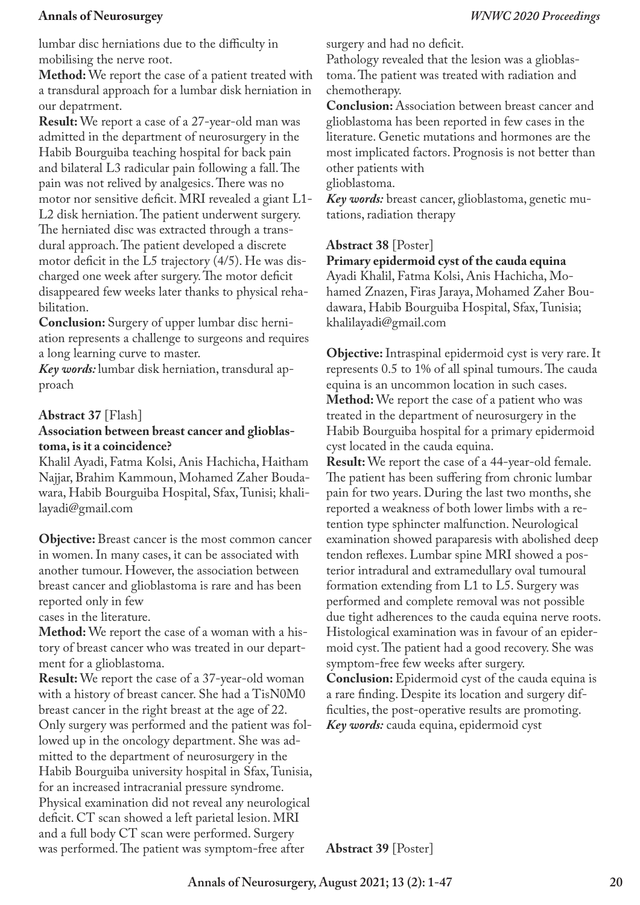lumbar disc herniations due to the difficulty in mobilising the nerve root.

**Method:** We report the case of a patient treated with a transdural approach for a lumbar disk herniation in our depatrment.

**Result:** We report a case of a 27-year-old man was admitted in the department of neurosurgery in the Habib Bourguiba teaching hospital for back pain and bilateral L3 radicular pain following a fall. The pain was not relived by analgesics. There was no motor nor sensitive deficit. MRI revealed a giant L1- L2 disk herniation. The patient underwent surgery. The herniated disc was extracted through a transdural approach. The patient developed a discrete motor deficit in the L5 trajectory (4/5). He was discharged one week after surgery. The motor deficit disappeared few weeks later thanks to physical rehabilitation.

**Conclusion:** Surgery of upper lumbar disc herniation represents a challenge to surgeons and requires a long learning curve to master.

*Key words:* lumbar disk herniation, transdural approach

## **Abstract 37** [Flash]

### **Association between breast cancer and glioblastoma, is it a coincidence?**

Khalil Ayadi, Fatma Kolsi, Anis Hachicha, Haitham Najjar, Brahim Kammoun, Mohamed Zaher Boudawara, Habib Bourguiba Hospital, Sfax, Tunisi; khalilayadi@gmail.com

**Objective:** Breast cancer is the most common cancer in women. In many cases, it can be associated with another tumour. However, the association between breast cancer and glioblastoma is rare and has been reported only in few

cases in the literature.

**Method:** We report the case of a woman with a history of breast cancer who was treated in our department for a glioblastoma.

**Result:** We report the case of a 37-year-old woman with a history of breast cancer. She had a TisN0M0 breast cancer in the right breast at the age of 22. Only surgery was performed and the patient was followed up in the oncology department. She was admitted to the department of neurosurgery in the Habib Bourguiba university hospital in Sfax, Tunisia, for an increased intracranial pressure syndrome. Physical examination did not reveal any neurological deficit. CT scan showed a left parietal lesion. MRI and a full body CT scan were performed. Surgery was performed. The patient was symptom-free after

surgery and had no deficit.

Pathology revealed that the lesion was a glioblastoma. The patient was treated with radiation and chemotherapy.

**Conclusion:** Association between breast cancer and glioblastoma has been reported in few cases in the literature. Genetic mutations and hormones are the most implicated factors. Prognosis is not better than other patients with

glioblastoma.

*Key words:* breast cancer, glioblastoma, genetic mutations, radiation therapy

## **Abstract 38** [Poster]

**Primary epidermoid cyst of the cauda equina**

Ayadi Khalil, Fatma Kolsi, Anis Hachicha, Mohamed Znazen, Firas Jaraya, Mohamed Zaher Boudawara, Habib Bourguiba Hospital, Sfax, Tunisia; khalilayadi@gmail.com

**Objective:** Intraspinal epidermoid cyst is very rare. It represents 0.5 to 1% of all spinal tumours. The cauda equina is an uncommon location in such cases. **Method:** We report the case of a patient who was treated in the department of neurosurgery in the Habib Bourguiba hospital for a primary epidermoid cyst located in the cauda equina.

**Result:** We report the case of a 44-year-old female. The patient has been suffering from chronic lumbar pain for two years. During the last two months, she reported a weakness of both lower limbs with a retention type sphincter malfunction. Neurological examination showed paraparesis with abolished deep tendon reflexes. Lumbar spine MRI showed a posterior intradural and extramedullary oval tumoural formation extending from L1 to L5. Surgery was performed and complete removal was not possible due tight adherences to the cauda equina nerve roots. Histological examination was in favour of an epidermoid cyst. The patient had a good recovery. She was symptom-free few weeks after surgery. **Conclusion:** Epidermoid cyst of the cauda equina is

a rare finding. Despite its location and surgery difficulties, the post-operative results are promoting. *Key words:* cauda equina, epidermoid cyst

**Abstract 39** [Poster]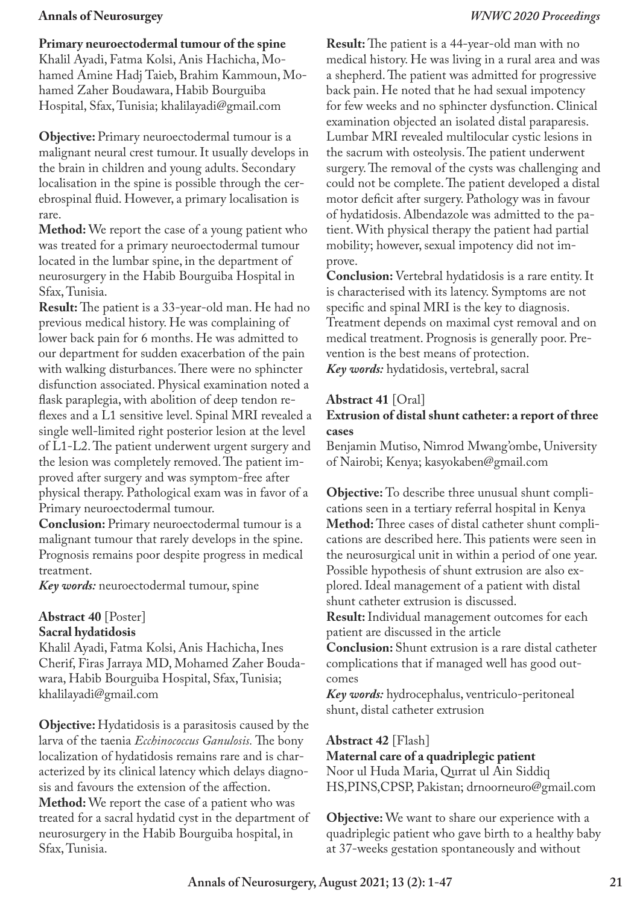#### **Primary neuroectodermal tumour of the spine**

Khalil Ayadi, Fatma Kolsi, Anis Hachicha, Mohamed Amine Hadj Taieb, Brahim Kammoun, Mohamed Zaher Boudawara, Habib Bourguiba Hospital, Sfax, Tunisia; khalilayadi@gmail.com

**Objective:** Primary neuroectodermal tumour is a malignant neural crest tumour. It usually develops in the brain in children and young adults. Secondary localisation in the spine is possible through the cerebrospinal fluid. However, a primary localisation is rare.

**Method:** We report the case of a young patient who was treated for a primary neuroectodermal tumour located in the lumbar spine, in the department of neurosurgery in the Habib Bourguiba Hospital in Sfax, Tunisia.

**Result:** The patient is a 33-year-old man. He had no previous medical history. He was complaining of lower back pain for 6 months. He was admitted to our department for sudden exacerbation of the pain with walking disturbances. There were no sphincter disfunction associated. Physical examination noted a flask paraplegia, with abolition of deep tendon reflexes and a L1 sensitive level. Spinal MRI revealed a single well-limited right posterior lesion at the level of L1-L2. The patient underwent urgent surgery and the lesion was completely removed. The patient improved after surgery and was symptom-free after physical therapy. Pathological exam was in favor of a Primary neuroectodermal tumour.

**Conclusion:** Primary neuroectodermal tumour is a malignant tumour that rarely develops in the spine. Prognosis remains poor despite progress in medical treatment.

*Key words:* neuroectodermal tumour, spine

### **Abstract 40** [Poster] **Sacral hydatidosis**

Khalil Ayadi, Fatma Kolsi, Anis Hachicha, Ines Cherif, Firas Jarraya MD, Mohamed Zaher Boudawara, Habib Bourguiba Hospital, Sfax, Tunisia; khalilayadi@gmail.com

**Objective:** Hydatidosis is a parasitosis caused by the larva of the taenia *Ecchinococcus Ganulosis.* The bony localization of hydatidosis remains rare and is characterized by its clinical latency which delays diagnosis and favours the extension of the affection. **Method:** We report the case of a patient who was treated for a sacral hydatid cyst in the department of neurosurgery in the Habib Bourguiba hospital, in Sfax, Tunisia.

**Result:** The patient is a 44-year-old man with no medical history. He was living in a rural area and was a shepherd. The patient was admitted for progressive back pain. He noted that he had sexual impotency for few weeks and no sphincter dysfunction. Clinical examination objected an isolated distal paraparesis. Lumbar MRI revealed multilocular cystic lesions in the sacrum with osteolysis. The patient underwent surgery. The removal of the cysts was challenging and could not be complete. The patient developed a distal motor deficit after surgery. Pathology was in favour of hydatidosis. Albendazole was admitted to the patient. With physical therapy the patient had partial mobility; however, sexual impotency did not improve.

**Conclusion:** Vertebral hydatidosis is a rare entity. It is characterised with its latency. Symptoms are not specific and spinal MRI is the key to diagnosis. Treatment depends on maximal cyst removal and on medical treatment. Prognosis is generally poor. Prevention is the best means of protection. *Key words:* hydatidosis, vertebral, sacral

#### **Abstract 41** [Oral]

#### **Extrusion of distal shunt catheter: a report of three cases**

Benjamin Mutiso, Nimrod Mwang'ombe, University of Nairobi; Kenya; kasyokaben@gmail.com

**Objective:** To describe three unusual shunt complications seen in a tertiary referral hospital in Kenya **Method:** Three cases of distal catheter shunt complications are described here. This patients were seen in the neurosurgical unit in within a period of one year. Possible hypothesis of shunt extrusion are also explored. Ideal management of a patient with distal shunt catheter extrusion is discussed.

**Result:** Individual management outcomes for each patient are discussed in the article

**Conclusion:** Shunt extrusion is a rare distal catheter complications that if managed well has good outcomes

*Key words:* hydrocephalus, ventriculo-peritoneal shunt, distal catheter extrusion

#### **Abstract 42** [Flash]

**Maternal care of a quadriplegic patient** Noor ul Huda Maria, Qurrat ul Ain Siddiq HS,PINS,CPSP, Pakistan; drnoorneuro@gmail.com

**Objective:** We want to share our experience with a quadriplegic patient who gave birth to a healthy baby at 37-weeks gestation spontaneously and without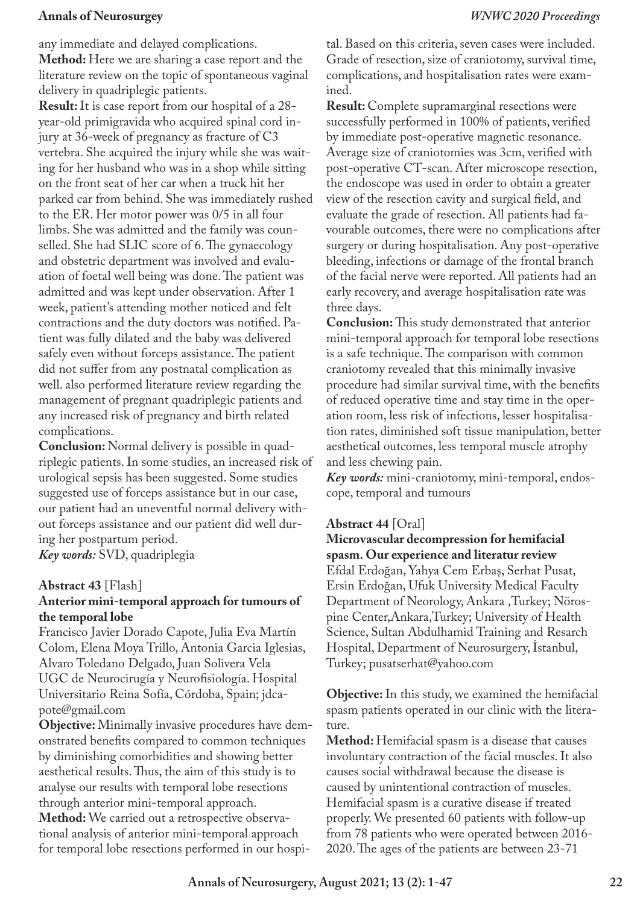any immediate and delayed complications.

**Method:** Here we are sharing a case report and the literature review on the topic of spontaneous vaginal delivery in quadriplegic patients.

**Result:** It is case report from our hospital of a 28 year-old primigravida who acquired spinal cord injury at 36-week of pregnancy as fracture of C3 vertebra. She acquired the injury while she was waiting for her husband who was in a shop while sitting on the front seat of her car when a truck hit her parked car from behind. She was immediately rushed to the ER. Her motor power was 0/5 in all four limbs. She was admitted and the family was counselled. She had SLIC score of 6. The gynaecology and obstetric department was involved and evaluation of foetal well being was done. The patient was admitted and was kept under observation. After 1 week, patient's attending mother noticed and felt contractions and the duty doctors was notified. Patient was fully dilated and the baby was delivered safely even without forceps assistance. The patient did not suffer from any postnatal complication as well. also performed literature review regarding the management of pregnant quadriplegic patients and any increased risk of pregnancy and birth related complications.

**Conclusion:** Normal delivery is possible in quadriplegic patients. In some studies, an increased risk of urological sepsis has been suggested. Some studies suggested use of forceps assistance but in our case, our patient had an uneventful normal delivery without forceps assistance and our patient did well during her postpartum period.

*Key words:* SVD, quadriplegia

## **Abstract 43** [Flash]

## **Anterior mini-temporal approach for tumours of the temporal lobe**

Francisco Javier Dorado Capote, Julia Eva Martín Colom, Elena Moya Trillo, Antonia Garcia Iglesias, Alvaro Toledano Delgado, Juan Solivera Vela UGC de Neurocirugía y Neurofisiología. Hospital Universitario Reina Sofía, Córdoba, Spain; jdcapote@gmail.com

**Objective:** Minimally invasive procedures have demonstrated benefits compared to common techniques by diminishing comorbidities and showing better aesthetical results. Thus, the aim of this study is to analyse our results with temporal lobe resections through anterior mini-temporal approach.

**Method:** We carried out a retrospective observational analysis of anterior mini-temporal approach for temporal lobe resections performed in our hospital. Based on this criteria, seven cases were included. Grade of resection, size of craniotomy, survival time, complications, and hospitalisation rates were examined.

**Result:** Complete supramarginal resections were successfully performed in 100% of patients, verified by immediate post-operative magnetic resonance. Average size of craniotomies was 3cm, verified with post-operative CT-scan. After microscope resection, the endoscope was used in order to obtain a greater view of the resection cavity and surgical field, and evaluate the grade of resection. All patients had favourable outcomes, there were no complications after surgery or during hospitalisation. Any post-operative bleeding, infections or damage of the frontal branch of the facial nerve were reported. All patients had an early recovery, and average hospitalisation rate was three days.

**Conclusion:** This study demonstrated that anterior mini-temporal approach for temporal lobe resections is a safe technique. The comparison with common craniotomy revealed that this minimally invasive procedure had similar survival time, with the benefits of reduced operative time and stay time in the operation room, less risk of infections, lesser hospitalisation rates, diminished soft tissue manipulation, better aesthetical outcomes, less temporal muscle atrophy and less chewing pain.

*Key words:* mini-craniotomy, mini-temporal, endoscope, temporal and tumours

## **Abstract 44** [Oral]

**Microvascular decompression for hemifacial spasm. Our experience and literatur review** Efdal Erdoğan, Yahya Cem Erbaş, Serhat Pusat, Ersin Erdoğan, Ufuk University Medical Faculty Department of Neorology, Ankara ,Turkey; Nörospine Center,Ankara,Turkey; University of Health Science, Sultan Abdulhamid Training and Resarch Hospital, Department of Neurosurgery, İstanbul, Turkey; pusatserhat@yahoo.com

**Objective:** In this study, we examined the hemifacial spasm patients operated in our clinic with the literature.

**Method:** Hemifacial spasm is a disease that causes involuntary contraction of the facial muscles. It also causes social withdrawal because the disease is caused by unintentional contraction of muscles. Hemifacial spasm is a curative disease if treated properly. We presented 60 patients with follow-up from 78 patients who were operated between 2016- 2020. The ages of the patients are between 23-71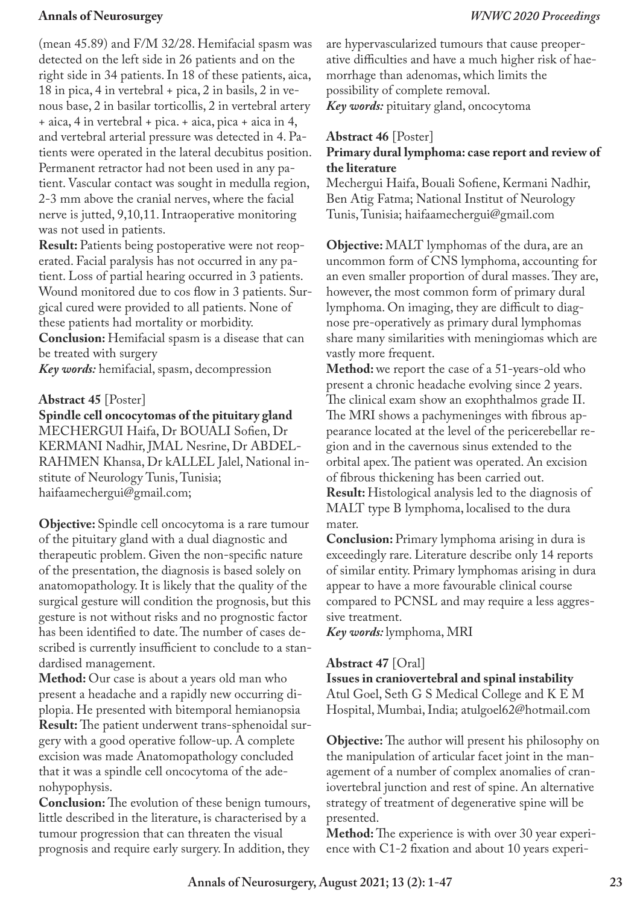(mean 45.89) and F/M 32/28. Hemifacial spasm was detected on the left side in 26 patients and on the right side in 34 patients. In 18 of these patients, aica, 18 in pica, 4 in vertebral + pica, 2 in basils, 2 in venous base, 2 in basilar torticollis, 2 in vertebral artery + aica, 4 in vertebral + pica. + aica, pica + aica in 4, and vertebral arterial pressure was detected in 4. Patients were operated in the lateral decubitus position. Permanent retractor had not been used in any patient. Vascular contact was sought in medulla region, 2-3 mm above the cranial nerves, where the facial nerve is jutted, 9,10,11. Intraoperative monitoring was not used in patients.

**Result:** Patients being postoperative were not reoperated. Facial paralysis has not occurred in any patient. Loss of partial hearing occurred in 3 patients. Wound monitored due to cos flow in 3 patients. Surgical cured were provided to all patients. None of these patients had mortality or morbidity. **Conclusion:** Hemifacial spasm is a disease that can be treated with surgery

*Key words:* hemifacial, spasm, decompression

#### **Abstract 45** [Poster]

**Spindle cell oncocytomas of the pituitary gland** MECHERGUI Haifa, Dr BOUALI Sofien, Dr KERMANI Nadhir, JMAL Nesrine, Dr ABDEL-RAHMEN Khansa, Dr kALLEL Jalel, National institute of Neurology Tunis, Tunisia; haifaamechergui@gmail.com;

**Objective:** Spindle cell oncocytoma is a rare tumour of the pituitary gland with a dual diagnostic and therapeutic problem. Given the non-specific nature of the presentation, the diagnosis is based solely on anatomopathology. It is likely that the quality of the surgical gesture will condition the prognosis, but this gesture is not without risks and no prognostic factor has been identified to date. The number of cases described is currently insufficient to conclude to a standardised management.

**Method:** Our case is about a years old man who present a headache and a rapidly new occurring diplopia. He presented with bitemporal hemianopsia **Result:** The patient underwent trans-sphenoidal surgery with a good operative follow-up. A complete excision was made Anatomopathology concluded that it was a spindle cell oncocytoma of the adenohypophysis.

**Conclusion:** The evolution of these benign tumours, little described in the literature, is characterised by a tumour progression that can threaten the visual prognosis and require early surgery. In addition, they are hypervascularized tumours that cause preoperative difficulties and have a much higher risk of haemorrhage than adenomas, which limits the possibility of complete removal. *Key words:* pituitary gland, oncocytoma

### **Abstract 46** [Poster]

## **Primary dural lymphoma: case report and review of the literature**

Mechergui Haifa, Bouali Sofiene, Kermani Nadhir, Ben Atig Fatma; National Institut of Neurology Tunis, Tunisia; haifaamechergui@gmail.com

**Objective:** MALT lymphomas of the dura, are an uncommon form of CNS lymphoma, accounting for an even smaller proportion of dural masses. They are, however, the most common form of primary dural lymphoma. On imaging, they are difficult to diagnose pre-operatively as primary dural lymphomas share many similarities with meningiomas which are vastly more frequent.

**Method:** we report the case of a 51-years-old who present a chronic headache evolving since 2 years. The clinical exam show an exophthalmos grade II. The MRI shows a pachymeninges with fibrous appearance located at the level of the pericerebellar region and in the cavernous sinus extended to the orbital apex. The patient was operated. An excision of fibrous thickening has been carried out. **Result:** Histological analysis led to the diagnosis of MALT type B lymphoma, localised to the dura mater.

**Conclusion:** Primary lymphoma arising in dura is exceedingly rare. Literature describe only 14 reports of similar entity. Primary lymphomas arising in dura appear to have a more favourable clinical course compared to PCNSL and may require a less aggressive treatment.

*Key words:* lymphoma, MRI

#### **Abstract 47** [Oral]

**Issues in craniovertebral and spinal instability** Atul Goel, Seth G S Medical College and K E M Hospital, Mumbai, India; atulgoel62@hotmail.com

**Objective:** The author will present his philosophy on the manipulation of articular facet joint in the management of a number of complex anomalies of craniovertebral junction and rest of spine. An alternative strategy of treatment of degenerative spine will be presented.

**Method:** The experience is with over 30 year experience with C1-2 fixation and about 10 years experi-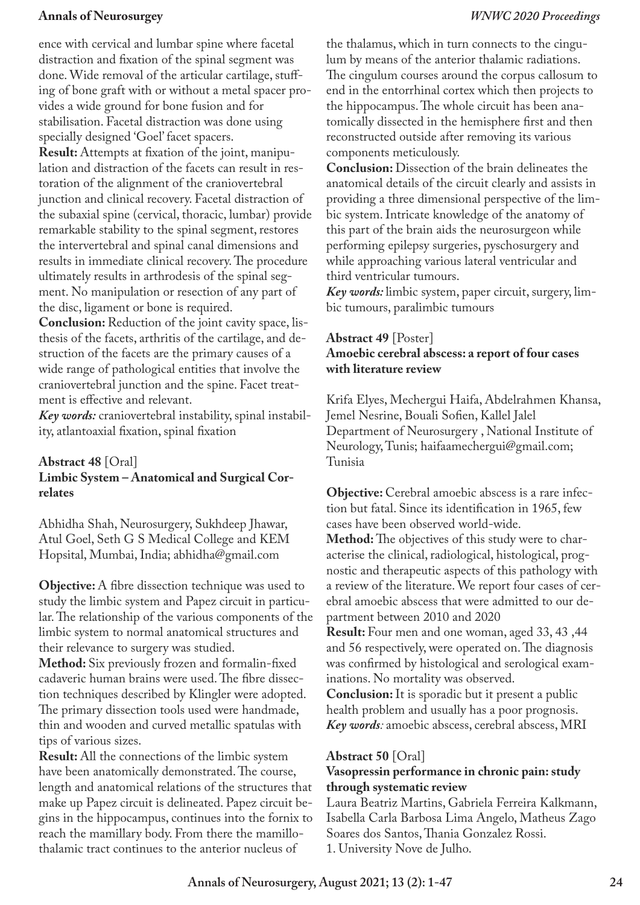ence with cervical and lumbar spine where facetal distraction and fixation of the spinal segment was done. Wide removal of the articular cartilage, stuffing of bone graft with or without a metal spacer provides a wide ground for bone fusion and for stabilisation. Facetal distraction was done using specially designed 'Goel' facet spacers.

**Result:** Attempts at fixation of the joint, manipulation and distraction of the facets can result in restoration of the alignment of the craniovertebral junction and clinical recovery. Facetal distraction of the subaxial spine (cervical, thoracic, lumbar) provide remarkable stability to the spinal segment, restores the intervertebral and spinal canal dimensions and results in immediate clinical recovery. The procedure ultimately results in arthrodesis of the spinal segment. No manipulation or resection of any part of the disc, ligament or bone is required.

**Conclusion:** Reduction of the joint cavity space, listhesis of the facets, arthritis of the cartilage, and destruction of the facets are the primary causes of a wide range of pathological entities that involve the craniovertebral junction and the spine. Facet treatment is effective and relevant.

*Key words:* craniovertebral instability, spinal instability, atlantoaxial fixation, spinal fixation

## **Abstract 48** [Oral] **Limbic System – Anatomical and Surgical Correlates**

Abhidha Shah, Neurosurgery, Sukhdeep Jhawar, Atul Goel, Seth G S Medical College and KEM Hopsital, Mumbai, India; abhidha@gmail.com

**Objective:** A fibre dissection technique was used to study the limbic system and Papez circuit in particular. The relationship of the various components of the limbic system to normal anatomical structures and their relevance to surgery was studied.

**Method:** Six previously frozen and formalin-fixed cadaveric human brains were used. The fibre dissection techniques described by Klingler were adopted. The primary dissection tools used were handmade, thin and wooden and curved metallic spatulas with tips of various sizes.

**Result:** All the connections of the limbic system have been anatomically demonstrated. The course, length and anatomical relations of the structures that make up Papez circuit is delineated. Papez circuit begins in the hippocampus, continues into the fornix to reach the mamillary body. From there the mamillothalamic tract continues to the anterior nucleus of

the thalamus, which in turn connects to the cingulum by means of the anterior thalamic radiations. The cingulum courses around the corpus callosum to end in the entorrhinal cortex which then projects to the hippocampus. The whole circuit has been anatomically dissected in the hemisphere first and then reconstructed outside after removing its various components meticulously.

**Conclusion:** Dissection of the brain delineates the anatomical details of the circuit clearly and assists in providing a three dimensional perspective of the limbic system. Intricate knowledge of the anatomy of this part of the brain aids the neurosurgeon while performing epilepsy surgeries, pyschosurgery and while approaching various lateral ventricular and third ventricular tumours.

*Key words:* limbic system, paper circuit, surgery, limbic tumours, paralimbic tumours

## **Abstract 49** [Poster] **Amoebic cerebral abscess: a report of four cases with literature review**

Krifa Elyes, Mechergui Haifa, Abdelrahmen Khansa, Jemel Nesrine, Bouali Sofien, Kallel Jalel Department of Neurosurgery , National Institute of Neurology, Tunis; haifaamechergui@gmail.com; Tunisia

**Objective:** Cerebral amoebic abscess is a rare infection but fatal. Since its identification in 1965, few cases have been observed world-wide.

**Method:** The objectives of this study were to characterise the clinical, radiological, histological, prognostic and therapeutic aspects of this pathology with a review of the literature. We report four cases of cerebral amoebic abscess that were admitted to our department between 2010 and 2020

**Result:** Four men and one woman, aged 33, 43 ,44 and 56 respectively, were operated on. The diagnosis was confirmed by histological and serological examinations. No mortality was observed.

**Conclusion:** It is sporadic but it present a public health problem and usually has a poor prognosis. *Key words:* amoebic abscess, cerebral abscess, MRI

### **Abstract 50** [Oral]

### **Vasopressin performance in chronic pain: study through systematic review**

Laura Beatriz Martins, Gabriela Ferreira Kalkmann, Isabella Carla Barbosa Lima Angelo, Matheus Zago Soares dos Santos, Thania Gonzalez Rossi. 1. University Nove de Julho.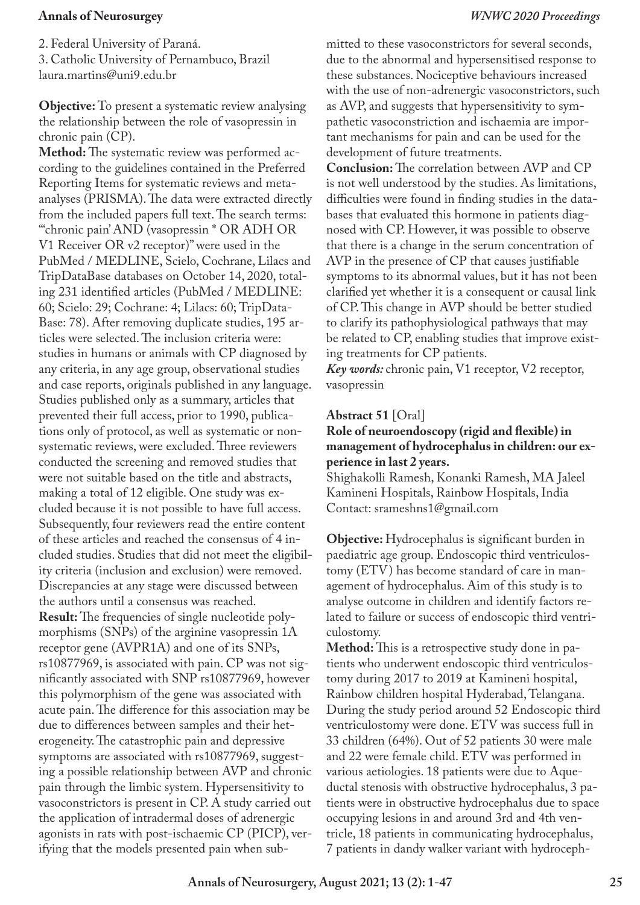2. Federal University of Paraná. 3. Catholic University of Pernambuco, Brazil laura.martins@uni9.edu.br

**Objective:** To present a systematic review analysing the relationship between the role of vasopressin in chronic pain (CP).

**Method:** The systematic review was performed according to the guidelines contained in the Preferred Reporting Items for systematic reviews and metaanalyses (PRISMA). The data were extracted directly from the included papers full text. The search terms: "'chronic pain' AND (vasopressin \* OR ADH OR V1 Receiver OR v2 receptor)" were used in the PubMed / MEDLINE, Scielo, Cochrane, Lilacs and TripDataBase databases on October 14, 2020, totaling 231 identified articles (PubMed / MEDLINE: 60; Scielo: 29; Cochrane: 4; Lilacs: 60; TripData-Base: 78). After removing duplicate studies, 195 articles were selected. The inclusion criteria were: studies in humans or animals with CP diagnosed by any criteria, in any age group, observational studies and case reports, originals published in any language. Studies published only as a summary, articles that prevented their full access, prior to 1990, publications only of protocol, as well as systematic or nonsystematic reviews, were excluded. Three reviewers conducted the screening and removed studies that were not suitable based on the title and abstracts, making a total of 12 eligible. One study was excluded because it is not possible to have full access. Subsequently, four reviewers read the entire content of these articles and reached the consensus of 4 included studies. Studies that did not meet the eligibility criteria (inclusion and exclusion) were removed. Discrepancies at any stage were discussed between the authors until a consensus was reached. **Result:** The frequencies of single nucleotide polymorphisms (SNPs) of the arginine vasopressin 1A receptor gene (AVPR1A) and one of its SNPs, rs10877969, is associated with pain. CP was not significantly associated with SNP rs10877969, however this polymorphism of the gene was associated with acute pain. The difference for this association may be due to differences between samples and their heterogeneity. The catastrophic pain and depressive symptoms are associated with rs10877969, suggesting a possible relationship between AVP and chronic pain through the limbic system. Hypersensitivity to vasoconstrictors is present in CP. A study carried out the application of intradermal doses of adrenergic agonists in rats with post-ischaemic CP (PICP), verifying that the models presented pain when submitted to these vasoconstrictors for several seconds, due to the abnormal and hypersensitised response to these substances. Nociceptive behaviours increased with the use of non-adrenergic vasoconstrictors, such as AVP, and suggests that hypersensitivity to sympathetic vasoconstriction and ischaemia are important mechanisms for pain and can be used for the development of future treatments.

**Conclusion:** The correlation between AVP and CP is not well understood by the studies. As limitations, difficulties were found in finding studies in the databases that evaluated this hormone in patients diagnosed with CP. However, it was possible to observe that there is a change in the serum concentration of AVP in the presence of CP that causes justifiable symptoms to its abnormal values, but it has not been clarified yet whether it is a consequent or causal link of CP. This change in AVP should be better studied to clarify its pathophysiological pathways that may be related to CP, enabling studies that improve existing treatments for CP patients.

*Key words:* chronic pain, V1 receptor, V2 receptor, vasopressin

### **Abstract 51** [Oral]

### **Role of neuroendoscopy (rigid and flexible) in management of hydrocephalus in children: our experience in last 2 years.**

Shighakolli Ramesh, Konanki Ramesh, MA Jaleel Kamineni Hospitals, Rainbow Hospitals, India Contact: srameshns1@gmail.com

**Objective:** Hydrocephalus is significant burden in paediatric age group. Endoscopic third ventriculostomy (ETV) has become standard of care in management of hydrocephalus. Aim of this study is to analyse outcome in children and identify factors related to failure or success of endoscopic third ventriculostomy.

**Method:** This is a retrospective study done in patients who underwent endoscopic third ventriculostomy during 2017 to 2019 at Kamineni hospital, Rainbow children hospital Hyderabad, Telangana. During the study period around 52 Endoscopic third ventriculostomy were done. ETV was success full in 33 children (64%). Out of 52 patients 30 were male and 22 were female child. ETV was performed in various aetiologies. 18 patients were due to Aqueductal stenosis with obstructive hydrocephalus, 3 patients were in obstructive hydrocephalus due to space occupying lesions in and around 3rd and 4th ventricle, 18 patients in communicating hydrocephalus, 7 patients in dandy walker variant with hydroceph-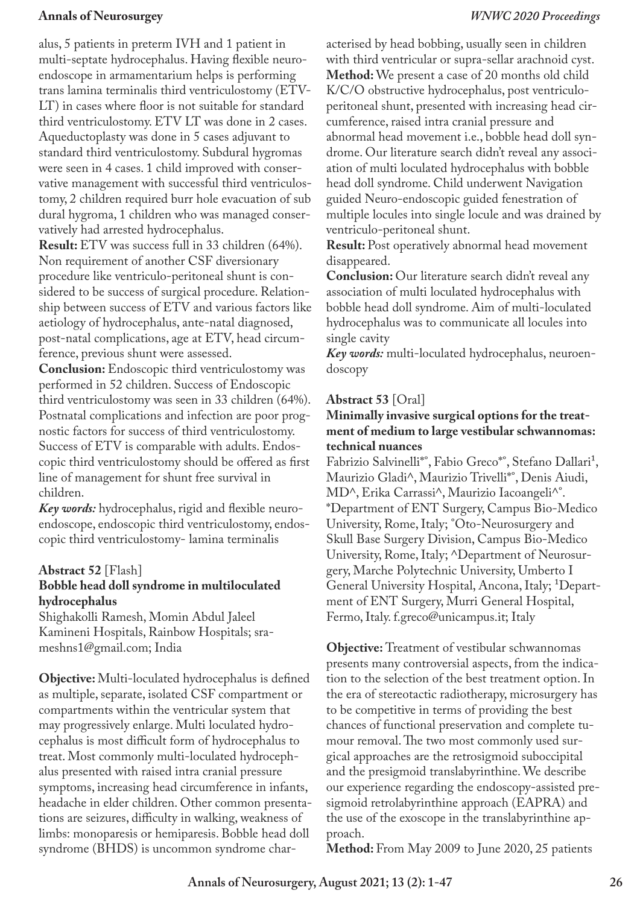alus, 5 patients in preterm IVH and 1 patient in multi-septate hydrocephalus. Having flexible neuroendoscope in armamentarium helps is performing trans lamina terminalis third ventriculostomy (ETV-LT) in cases where floor is not suitable for standard third ventriculostomy. ETV LT was done in 2 cases. Aqueductoplasty was done in 5 cases adjuvant to standard third ventriculostomy. Subdural hygromas were seen in 4 cases. 1 child improved with conservative management with successful third ventriculostomy, 2 children required burr hole evacuation of sub dural hygroma, 1 children who was managed conservatively had arrested hydrocephalus.

**Result:** ETV was success full in 33 children (64%). Non requirement of another CSF diversionary procedure like ventriculo-peritoneal shunt is considered to be success of surgical procedure. Relationship between success of ETV and various factors like aetiology of hydrocephalus, ante-natal diagnosed, post-natal complications, age at ETV, head circumference, previous shunt were assessed.

**Conclusion:** Endoscopic third ventriculostomy was performed in 52 children. Success of Endoscopic third ventriculostomy was seen in 33 children (64%). Postnatal complications and infection are poor prognostic factors for success of third ventriculostomy. Success of ETV is comparable with adults. Endoscopic third ventriculostomy should be offered as first line of management for shunt free survival in children.

*Key words:* hydrocephalus, rigid and flexible neuroendoscope, endoscopic third ventriculostomy, endoscopic third ventriculostomy- lamina terminalis

### **Abstract 52** [Flash]

## **Bobble head doll syndrome in multiloculated hydrocephalus**

Shighakolli Ramesh, Momin Abdul Jaleel Kamineni Hospitals, Rainbow Hospitals; srameshns1@gmail.com; India

**Objective:** Multi-loculated hydrocephalus is defined as multiple, separate, isolated CSF compartment or compartments within the ventricular system that may progressively enlarge. Multi loculated hydrocephalus is most difficult form of hydrocephalus to treat. Most commonly multi-loculated hydrocephalus presented with raised intra cranial pressure symptoms, increasing head circumference in infants, headache in elder children. Other common presentations are seizures, difficulty in walking, weakness of limbs: monoparesis or hemiparesis. Bobble head doll syndrome (BHDS) is uncommon syndrome characterised by head bobbing, usually seen in children with third ventricular or supra-sellar arachnoid cyst. **Method:** We present a case of 20 months old child K/C/O obstructive hydrocephalus, post ventriculoperitoneal shunt, presented with increasing head circumference, raised intra cranial pressure and abnormal head movement i.e., bobble head doll syndrome. Our literature search didn't reveal any association of multi loculated hydrocephalus with bobble head doll syndrome. Child underwent Navigation guided Neuro-endoscopic guided fenestration of multiple locules into single locule and was drained by ventriculo-peritoneal shunt.

**Result:** Post operatively abnormal head movement disappeared.

**Conclusion:** Our literature search didn't reveal any association of multi loculated hydrocephalus with bobble head doll syndrome. Aim of multi-loculated hydrocephalus was to communicate all locules into single cavity

*Key words:* multi-loculated hydrocephalus, neuroendoscopy

## **Abstract 53** [Oral]

## **Minimally invasive surgical options for the treatment of medium to large vestibular schwannomas: technical nuances**

Fabrizio Salvinelli\*°, Fabio Greco\*°, Stefano Dallari<sup>1</sup>, Maurizio Gladi^, Maurizio Trivelli\*°, Denis Aiudi, MD^, Erika Carrassi^, Maurizio Iacoangeli^°. \*Department of ENT Surgery, Campus Bio-Medico University, Rome, Italy; °Oto-Neurosurgery and Skull Base Surgery Division, Campus Bio-Medico University, Rome, Italy; ^Department of Neurosurgery, Marche Polytechnic University, Umberto I General University Hospital, Ancona, Italy; <sup>1</sup>Department of ENT Surgery, Murri General Hospital, Fermo, Italy. f.greco@unicampus.it; Italy

**Objective:** Treatment of vestibular schwannomas presents many controversial aspects, from the indication to the selection of the best treatment option. In the era of stereotactic radiotherapy, microsurgery has to be competitive in terms of providing the best chances of functional preservation and complete tumour removal. The two most commonly used surgical approaches are the retrosigmoid suboccipital and the presigmoid translabyrinthine. We describe our experience regarding the endoscopy-assisted presigmoid retrolabyrinthine approach (EAPRA) and the use of the exoscope in the translabyrinthine approach.

**Method:** From May 2009 to June 2020, 25 patients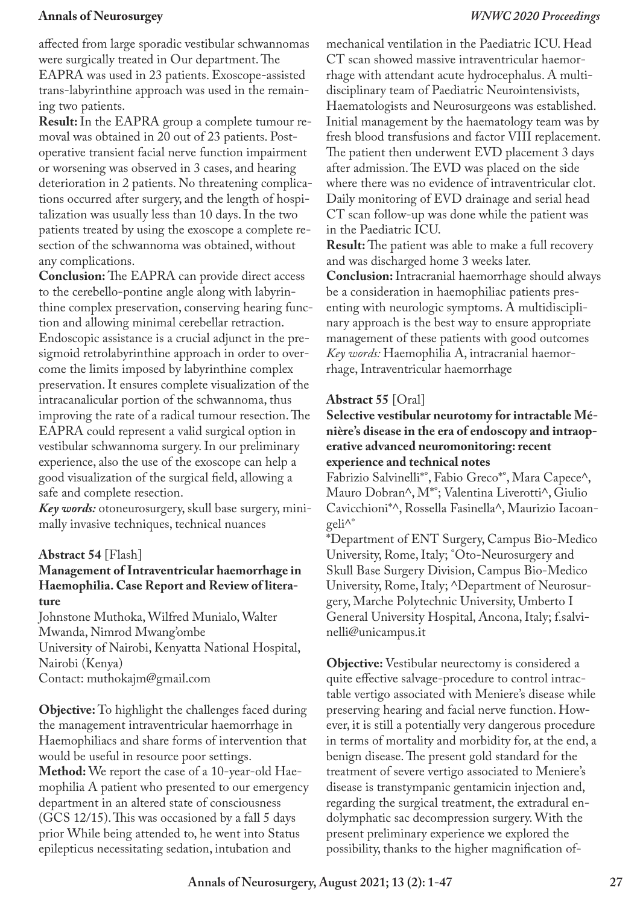affected from large sporadic vestibular schwannomas were surgically treated in Our department. The EAPRA was used in 23 patients. Exoscope-assisted trans-labyrinthine approach was used in the remaining two patients.

**Result:** In the EAPRA group a complete tumour removal was obtained in 20 out of 23 patients. Postoperative transient facial nerve function impairment or worsening was observed in 3 cases, and hearing deterioration in 2 patients. No threatening complications occurred after surgery, and the length of hospitalization was usually less than 10 days. In the two patients treated by using the exoscope a complete resection of the schwannoma was obtained, without any complications.

**Conclusion:** The EAPRA can provide direct access to the cerebello-pontine angle along with labyrinthine complex preservation, conserving hearing function and allowing minimal cerebellar retraction. Endoscopic assistance is a crucial adjunct in the presigmoid retrolabyrinthine approach in order to overcome the limits imposed by labyrinthine complex preservation. It ensures complete visualization of the intracanalicular portion of the schwannoma, thus improving the rate of a radical tumour resection. The EAPRA could represent a valid surgical option in vestibular schwannoma surgery. In our preliminary experience, also the use of the exoscope can help a good visualization of the surgical field, allowing a safe and complete resection.

*Key words:* otoneurosurgery, skull base surgery, minimally invasive techniques, technical nuances

### **Abstract 54** [Flash]

### **Management of Intraventricular haemorrhage in Haemophilia. Case Report and Review of literature**

Johnstone Muthoka, Wilfred Munialo, Walter Mwanda, Nimrod Mwang'ombe University of Nairobi, Kenyatta National Hospital, Nairobi (Kenya) Contact: muthokajm@gmail.com

**Objective:** To highlight the challenges faced during the management intraventricular haemorrhage in Haemophiliacs and share forms of intervention that would be useful in resource poor settings. **Method:** We report the case of a 10-year-old Haemophilia A patient who presented to our emergency department in an altered state of consciousness (GCS 12/15). This was occasioned by a fall 5 days prior While being attended to, he went into Status epilepticus necessitating sedation, intubation and

mechanical ventilation in the Paediatric ICU. Head CT scan showed massive intraventricular haemorrhage with attendant acute hydrocephalus. A multidisciplinary team of Paediatric Neurointensivists, Haematologists and Neurosurgeons was established. Initial management by the haematology team was by fresh blood transfusions and factor VIII replacement. The patient then underwent EVD placement 3 days after admission. The EVD was placed on the side where there was no evidence of intraventricular clot. Daily monitoring of EVD drainage and serial head CT scan follow-up was done while the patient was in the Paediatric ICU.

**Result:** The patient was able to make a full recovery and was discharged home 3 weeks later. **Conclusion:** Intracranial haemorrhage should always be a consideration in haemophiliac patients presenting with neurologic symptoms. A multidisciplinary approach is the best way to ensure appropriate management of these patients with good outcomes *Key words:* Haemophilia A, intracranial haemorrhage, Intraventricular haemorrhage

#### **Abstract 55** [Oral]

**Selective vestibular neurotomy for intractable Ménière's disease in the era of endoscopy and intraoperative advanced neuromonitoring: recent experience and technical notes**

Fabrizio Salvinelli\*°, Fabio Greco\*°, Mara Capece^, Mauro Dobran^, M\*°; Valentina Liverotti^, Giulio Cavicchioni\*^, Rossella Fasinella^, Maurizio Iacoangeli^°

\*Department of ENT Surgery, Campus Bio-Medico University, Rome, Italy; °Oto-Neurosurgery and Skull Base Surgery Division, Campus Bio-Medico University, Rome, Italy; ^Department of Neurosurgery, Marche Polytechnic University, Umberto I General University Hospital, Ancona, Italy; f.salvinelli@unicampus.it

**Objective:** Vestibular neurectomy is considered a quite effective salvage-procedure to control intractable vertigo associated with Meniere's disease while preserving hearing and facial nerve function. However, it is still a potentially very dangerous procedure in terms of mortality and morbidity for, at the end, a benign disease. The present gold standard for the treatment of severe vertigo associated to Meniere's disease is transtympanic gentamicin injection and, regarding the surgical treatment, the extradural endolymphatic sac decompression surgery. With the present preliminary experience we explored the possibility, thanks to the higher magnification of-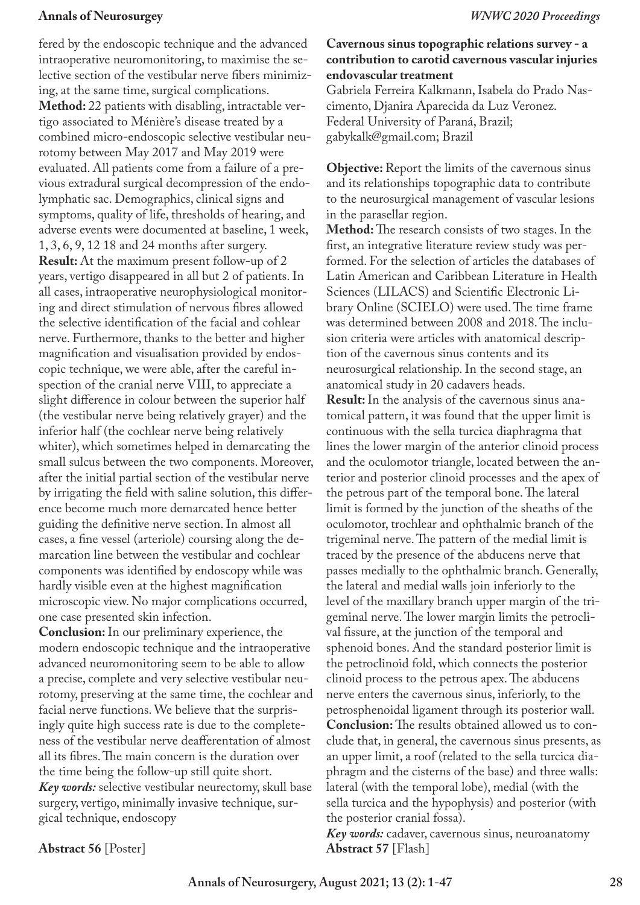fered by the endoscopic technique and the advanced intraoperative neuromonitoring, to maximise the selective section of the vestibular nerve fibers minimizing, at the same time, surgical complications. **Method:** 22 patients with disabling, intractable vertigo associated to Ménière's disease treated by a combined micro-endoscopic selective vestibular neurotomy between May 2017 and May 2019 were evaluated. All patients come from a failure of a previous extradural surgical decompression of the endolymphatic sac. Demographics, clinical signs and symptoms, quality of life, thresholds of hearing, and adverse events were documented at baseline, 1 week, 1, 3, 6, 9, 12 18 and 24 months after surgery. **Result:** At the maximum present follow-up of 2 years, vertigo disappeared in all but 2 of patients. In all cases, intraoperative neurophysiological monitoring and direct stimulation of nervous fibres allowed the selective identification of the facial and cohlear nerve. Furthermore, thanks to the better and higher magnification and visualisation provided by endoscopic technique, we were able, after the careful inspection of the cranial nerve VIII, to appreciate a slight difference in colour between the superior half (the vestibular nerve being relatively grayer) and the inferior half (the cochlear nerve being relatively whiter), which sometimes helped in demarcating the small sulcus between the two components. Moreover, after the initial partial section of the vestibular nerve by irrigating the field with saline solution, this difference become much more demarcated hence better guiding the definitive nerve section. In almost all cases, a fine vessel (arteriole) coursing along the demarcation line between the vestibular and cochlear components was identified by endoscopy while was hardly visible even at the highest magnification microscopic view. No major complications occurred, one case presented skin infection.

**Conclusion:** In our preliminary experience, the modern endoscopic technique and the intraoperative advanced neuromonitoring seem to be able to allow a precise, complete and very selective vestibular neurotomy, preserving at the same time, the cochlear and facial nerve functions. We believe that the surprisingly quite high success rate is due to the completeness of the vestibular nerve deafferentation of almost all its fibres. The main concern is the duration over the time being the follow-up still quite short. *Key words:* selective vestibular neurectomy, skull base surgery, vertigo, minimally invasive technique, surgical technique, endoscopy

## **Cavernous sinus topographic relations survey - a contribution to carotid cavernous vascular injuries endovascular treatment**

Gabriela Ferreira Kalkmann, Isabela do Prado Nascimento, Djanira Aparecida da Luz Veronez. Federal University of Paraná, Brazil; gabykalk@gmail.com; Brazil

**Objective:** Report the limits of the cavernous sinus and its relationships topographic data to contribute to the neurosurgical management of vascular lesions in the parasellar region.

**Method:** The research consists of two stages. In the first, an integrative literature review study was performed. For the selection of articles the databases of Latin American and Caribbean Literature in Health Sciences (LILACS) and Scientific Electronic Library Online (SCIELO) were used. The time frame was determined between 2008 and 2018. The inclusion criteria were articles with anatomical description of the cavernous sinus contents and its neurosurgical relationship. In the second stage, an anatomical study in 20 cadavers heads.

**Result:** In the analysis of the cavernous sinus anatomical pattern, it was found that the upper limit is continuous with the sella turcica diaphragma that lines the lower margin of the anterior clinoid process and the oculomotor triangle, located between the anterior and posterior clinoid processes and the apex of the petrous part of the temporal bone. The lateral limit is formed by the junction of the sheaths of the oculomotor, trochlear and ophthalmic branch of the trigeminal nerve. The pattern of the medial limit is traced by the presence of the abducens nerve that passes medially to the ophthalmic branch. Generally, the lateral and medial walls join inferiorly to the level of the maxillary branch upper margin of the trigeminal nerve. The lower margin limits the petroclival fissure, at the junction of the temporal and sphenoid bones. And the standard posterior limit is the petroclinoid fold, which connects the posterior clinoid process to the petrous apex. The abducens nerve enters the cavernous sinus, inferiorly, to the petrosphenoidal ligament through its posterior wall. **Conclusion:** The results obtained allowed us to conclude that, in general, the cavernous sinus presents, as an upper limit, a roof (related to the sella turcica diaphragm and the cisterns of the base) and three walls: lateral (with the temporal lobe), medial (with the sella turcica and the hypophysis) and posterior (with the posterior cranial fossa).

*Key words:* cadaver, cavernous sinus, neuroanatomy **Abstract 57** [Flash]

**Abstract 56** [Poster]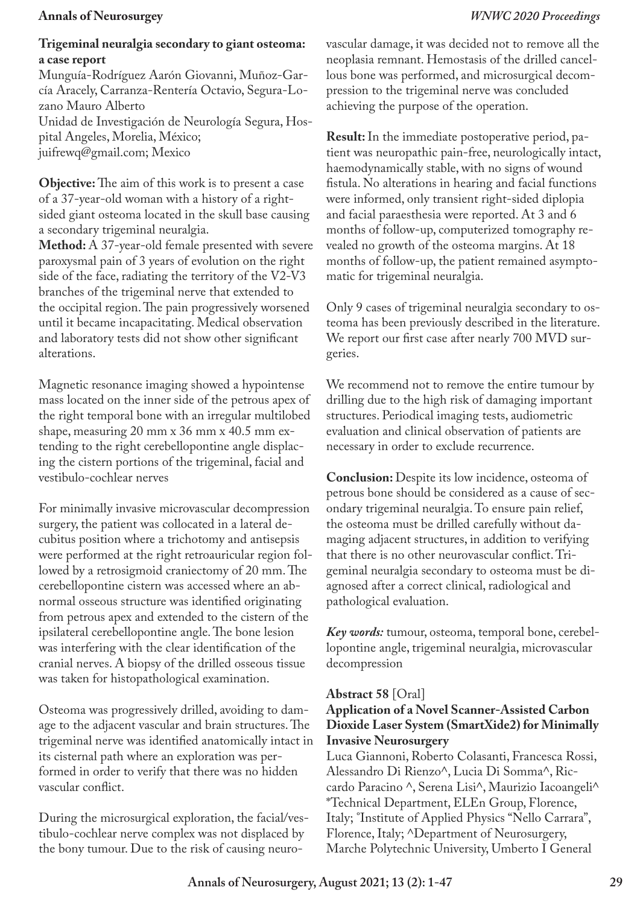### **Trigeminal neuralgia secondary to giant osteoma: a case report**

Munguía-Rodríguez Aarón Giovanni, Muñoz-García Aracely, Carranza-Rentería Octavio, Segura-Lozano Mauro Alberto Unidad de Investigación de Neurología Segura, Hospital Angeles, Morelia, México; juifrewq@gmail.com; Mexico

**Objective:** The aim of this work is to present a case of a 37-year-old woman with a history of a rightsided giant osteoma located in the skull base causing a secondary trigeminal neuralgia.

**Method:** A 37-year-old female presented with severe paroxysmal pain of 3 years of evolution on the right side of the face, radiating the territory of the V2-V3 branches of the trigeminal nerve that extended to the occipital region. The pain progressively worsened until it became incapacitating. Medical observation and laboratory tests did not show other significant alterations.

Magnetic resonance imaging showed a hypointense mass located on the inner side of the petrous apex of the right temporal bone with an irregular multilobed shape, measuring 20 mm x 36 mm x 40.5 mm extending to the right cerebellopontine angle displacing the cistern portions of the trigeminal, facial and vestibulo-cochlear nerves

For minimally invasive microvascular decompression surgery, the patient was collocated in a lateral decubitus position where a trichotomy and antisepsis were performed at the right retroauricular region followed by a retrosigmoid craniectomy of 20 mm. The cerebellopontine cistern was accessed where an abnormal osseous structure was identified originating from petrous apex and extended to the cistern of the ipsilateral cerebellopontine angle. The bone lesion was interfering with the clear identification of the cranial nerves. A biopsy of the drilled osseous tissue was taken for histopathological examination.

Osteoma was progressively drilled, avoiding to damage to the adjacent vascular and brain structures. The trigeminal nerve was identified anatomically intact in its cisternal path where an exploration was performed in order to verify that there was no hidden vascular conflict.

During the microsurgical exploration, the facial/vestibulo-cochlear nerve complex was not displaced by the bony tumour. Due to the risk of causing neurovascular damage, it was decided not to remove all the neoplasia remnant. Hemostasis of the drilled cancellous bone was performed, and microsurgical decompression to the trigeminal nerve was concluded achieving the purpose of the operation.

**Result:** In the immediate postoperative period, patient was neuropathic pain-free, neurologically intact, haemodynamically stable, with no signs of wound fistula. No alterations in hearing and facial functions were informed, only transient right-sided diplopia and facial paraesthesia were reported. At 3 and 6 months of follow-up, computerized tomography revealed no growth of the osteoma margins. At 18 months of follow-up, the patient remained asymptomatic for trigeminal neuralgia.

Only 9 cases of trigeminal neuralgia secondary to osteoma has been previously described in the literature. We report our first case after nearly 700 MVD surgeries.

We recommend not to remove the entire tumour by drilling due to the high risk of damaging important structures. Periodical imaging tests, audiometric evaluation and clinical observation of patients are necessary in order to exclude recurrence.

**Conclusion:** Despite its low incidence, osteoma of petrous bone should be considered as a cause of secondary trigeminal neuralgia. To ensure pain relief, the osteoma must be drilled carefully without damaging adjacent structures, in addition to verifying that there is no other neurovascular conflict. Trigeminal neuralgia secondary to osteoma must be diagnosed after a correct clinical, radiological and pathological evaluation.

*Key words:* tumour, osteoma, temporal bone, cerebellopontine angle, trigeminal neuralgia, microvascular decompression

### **Abstract 58** [Oral]

## **Application of a Novel Scanner-Assisted Carbon Dioxide Laser System (SmartXide2) for Minimally Invasive Neurosurgery**

Luca Giannoni, Roberto Colasanti, Francesca Rossi, Alessandro Di Rienzo^, Lucia Di Somma^, Riccardo Paracino ^, Serena Lisi^, Maurizio Iacoangeli^ \*Technical Department, ELEn Group, Florence, Italy; °Institute of Applied Physics "Nello Carrara", Florence, Italy; ^Department of Neurosurgery, Marche Polytechnic University, Umberto I General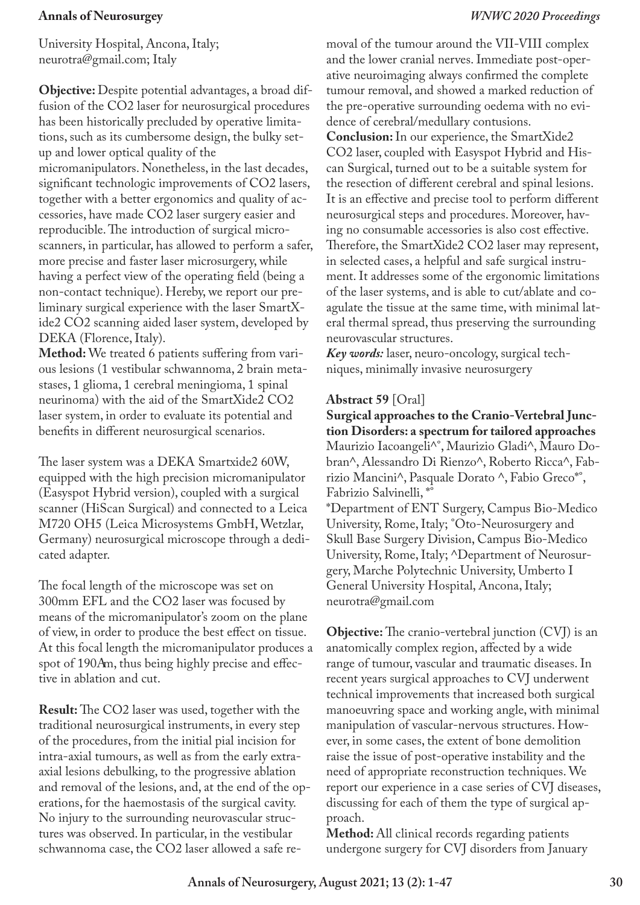University Hospital, Ancona, Italy; neurotra@gmail.com; Italy

**Objective:** Despite potential advantages, a broad diffusion of the CO2 laser for neurosurgical procedures has been historically precluded by operative limitations, such as its cumbersome design, the bulky setup and lower optical quality of the micromanipulators. Nonetheless, in the last decades, significant technologic improvements of CO2 lasers, together with a better ergonomics and quality of accessories, have made CO2 laser surgery easier and reproducible. The introduction of surgical microscanners, in particular, has allowed to perform a safer, more precise and faster laser microsurgery, while having a perfect view of the operating field (being a non-contact technique). Hereby, we report our preliminary surgical experience with the laser SmartXide2 CO2 scanning aided laser system, developed by DEKA (Florence, Italy).

**Method:** We treated 6 patients suffering from various lesions (1 vestibular schwannoma, 2 brain metastases, 1 glioma, 1 cerebral meningioma, 1 spinal neurinoma) with the aid of the SmartXide2 CO2 laser system, in order to evaluate its potential and benefits in different neurosurgical scenarios.

The laser system was a DEKA Smartxide2 60W, equipped with the high precision micromanipulator (Easyspot Hybrid version), coupled with a surgical scanner (HiScan Surgical) and connected to a Leica M720 OH5 (Leica Microsystems GmbH, Wetzlar, Germany) neurosurgical microscope through a dedicated adapter.

The focal length of the microscope was set on 300mm EFL and the CO2 laser was focused by means of the micromanipulator's zoom on the plane of view, in order to produce the best effect on tissue. At this focal length the micromanipulator produces a spot of 190Am, thus being highly precise and effective in ablation and cut.

**Result:** The CO2 laser was used, together with the traditional neurosurgical instruments, in every step of the procedures, from the initial pial incision for intra-axial tumours, as well as from the early extraaxial lesions debulking, to the progressive ablation and removal of the lesions, and, at the end of the operations, for the haemostasis of the surgical cavity. No injury to the surrounding neurovascular structures was observed. In particular, in the vestibular schwannoma case, the CO2 laser allowed a safe removal of the tumour around the VII-VIII complex and the lower cranial nerves. Immediate post-operative neuroimaging always confirmed the complete tumour removal, and showed a marked reduction of the pre-operative surrounding oedema with no evidence of cerebral/medullary contusions.

**Conclusion:** In our experience, the SmartXide2 CO2 laser, coupled with Easyspot Hybrid and Hiscan Surgical, turned out to be a suitable system for the resection of different cerebral and spinal lesions. It is an effective and precise tool to perform different neurosurgical steps and procedures. Moreover, having no consumable accessories is also cost effective. Therefore, the SmartXide2 CO2 laser may represent, in selected cases, a helpful and safe surgical instrument. It addresses some of the ergonomic limitations of the laser systems, and is able to cut/ablate and coagulate the tissue at the same time, with minimal lateral thermal spread, thus preserving the surrounding neurovascular structures.

*Key words:* laser, neuro-oncology, surgical techniques, minimally invasive neurosurgery

## **Abstract 59** [Oral]

neurotra@gmail.com

**Surgical approaches to the Cranio-Vertebral Junction Disorders: a spectrum for tailored approaches**  Maurizio Iacoangeli^°, Maurizio Gladi^, Mauro Dobran^, Alessandro Di Rienzo^, Roberto Ricca^, Fabrizio Mancini^, Pasquale Dorato ^, Fabio Greco\*°, Fabrizio Salvinelli, \*° \*Department of ENT Surgery, Campus Bio-Medico University, Rome, Italy; °Oto-Neurosurgery and Skull Base Surgery Division, Campus Bio-Medico University, Rome, Italy; ^Department of Neurosurgery, Marche Polytechnic University, Umberto I

General University Hospital, Ancona, Italy;

**Objective:** The cranio-vertebral junction (CVJ) is an anatomically complex region, affected by a wide range of tumour, vascular and traumatic diseases. In recent years surgical approaches to CVJ underwent technical improvements that increased both surgical manoeuvring space and working angle, with minimal manipulation of vascular-nervous structures. However, in some cases, the extent of bone demolition raise the issue of post-operative instability and the need of appropriate reconstruction techniques. We report our experience in a case series of CVJ diseases, discussing for each of them the type of surgical approach.

**Method:** All clinical records regarding patients undergone surgery for CVJ disorders from January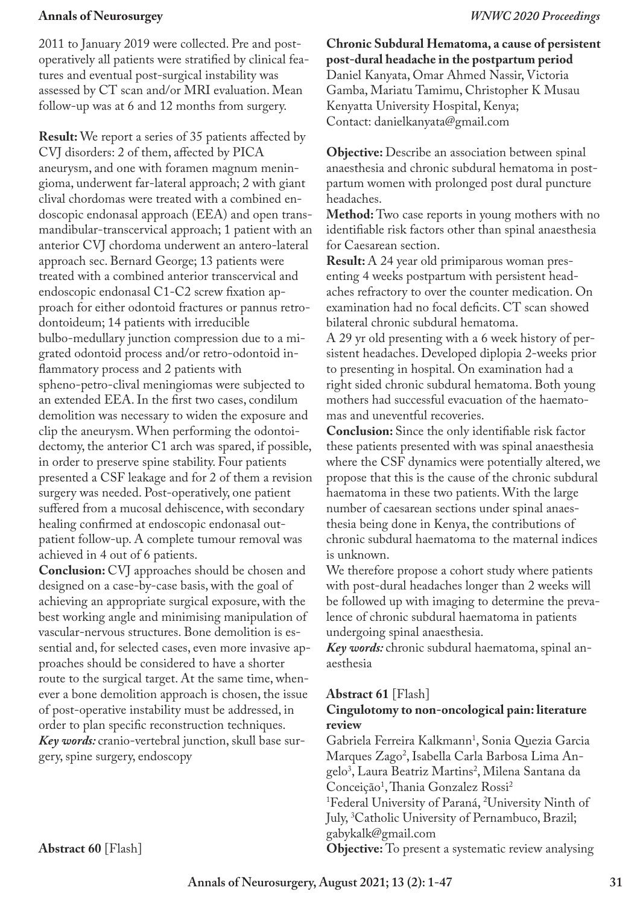2011 to January 2019 were collected. Pre and postoperatively all patients were stratified by clinical features and eventual post-surgical instability was assessed by CT scan and/or MRI evaluation. Mean follow-up was at 6 and 12 months from surgery.

**Result:** We report a series of 35 patients affected by CVJ disorders: 2 of them, affected by PICA aneurysm, and one with foramen magnum meningioma, underwent far-lateral approach; 2 with giant clival chordomas were treated with a combined endoscopic endonasal approach (EEA) and open transmandibular-transcervical approach; 1 patient with an anterior CVJ chordoma underwent an antero-lateral approach sec. Bernard George; 13 patients were treated with a combined anterior transcervical and endoscopic endonasal C1-C2 screw fixation approach for either odontoid fractures or pannus retrodontoideum; 14 patients with irreducible bulbo-medullary junction compression due to a migrated odontoid process and/or retro-odontoid inflammatory process and 2 patients with spheno-petro-clival meningiomas were subjected to an extended EEA. In the first two cases, condilum demolition was necessary to widen the exposure and clip the aneurysm. When performing the odontoidectomy, the anterior C1 arch was spared, if possible, in order to preserve spine stability. Four patients presented a CSF leakage and for 2 of them a revision surgery was needed. Post-operatively, one patient suffered from a mucosal dehiscence, with secondary healing confirmed at endoscopic endonasal outpatient follow-up. A complete tumour removal was achieved in 4 out of 6 patients.

**Conclusion:** CVJ approaches should be chosen and designed on a case-by-case basis, with the goal of achieving an appropriate surgical exposure, with the best working angle and minimising manipulation of vascular-nervous structures. Bone demolition is essential and, for selected cases, even more invasive approaches should be considered to have a shorter route to the surgical target. At the same time, whenever a bone demolition approach is chosen, the issue of post-operative instability must be addressed, in order to plan specific reconstruction techniques. *Key words:* cranio-vertebral junction, skull base surgery, spine surgery, endoscopy

**Chronic Subdural Hematoma, a cause of persistent post-dural headache in the postpartum period** Daniel Kanyata, Omar Ahmed Nassir, Victoria Gamba, Mariatu Tamimu, Christopher K Musau Kenyatta University Hospital, Kenya; Contact: danielkanyata@gmail.com

**Objective:** Describe an association between spinal anaesthesia and chronic subdural hematoma in postpartum women with prolonged post dural puncture headaches.

**Method:** Two case reports in young mothers with no identifiable risk factors other than spinal anaesthesia for Caesarean section.

**Result:** A 24 year old primiparous woman presenting 4 weeks postpartum with persistent headaches refractory to over the counter medication. On examination had no focal deficits. CT scan showed bilateral chronic subdural hematoma.

A 29 yr old presenting with a 6 week history of persistent headaches. Developed diplopia 2-weeks prior to presenting in hospital. On examination had a right sided chronic subdural hematoma. Both young mothers had successful evacuation of the haematomas and uneventful recoveries.

**Conclusion:** Since the only identifiable risk factor these patients presented with was spinal anaesthesia where the CSF dynamics were potentially altered, we propose that this is the cause of the chronic subdural haematoma in these two patients. With the large number of caesarean sections under spinal anaesthesia being done in Kenya, the contributions of chronic subdural haematoma to the maternal indices is unknown.

We therefore propose a cohort study where patients with post-dural headaches longer than 2 weeks will be followed up with imaging to determine the prevalence of chronic subdural haematoma in patients undergoing spinal anaesthesia.

*Key words:* chronic subdural haematoma, spinal anaesthesia

### **Abstract 61** [Flash]

## **Cingulotomy to non-oncological pain: literature review**

Gabriela Ferreira Kalkmann1 , Sonia Quezia Garcia Marques Zago<sup>2</sup>, Isabella Carla Barbosa Lima Angelo<sup>3</sup>, Laura Beatriz Martins<sup>2</sup>, Milena Santana da Conceição<sup>1</sup>, Thania Gonzalez Rossi<sup>2</sup> <sup>1</sup>Federal University of Paraná, <sup>2</sup>University Ninth of July, 3 Catholic University of Pernambuco, Brazil; gabykalk@gmail.com

**Objective:** To present a systematic review analysing

**Abstract 60** [Flash]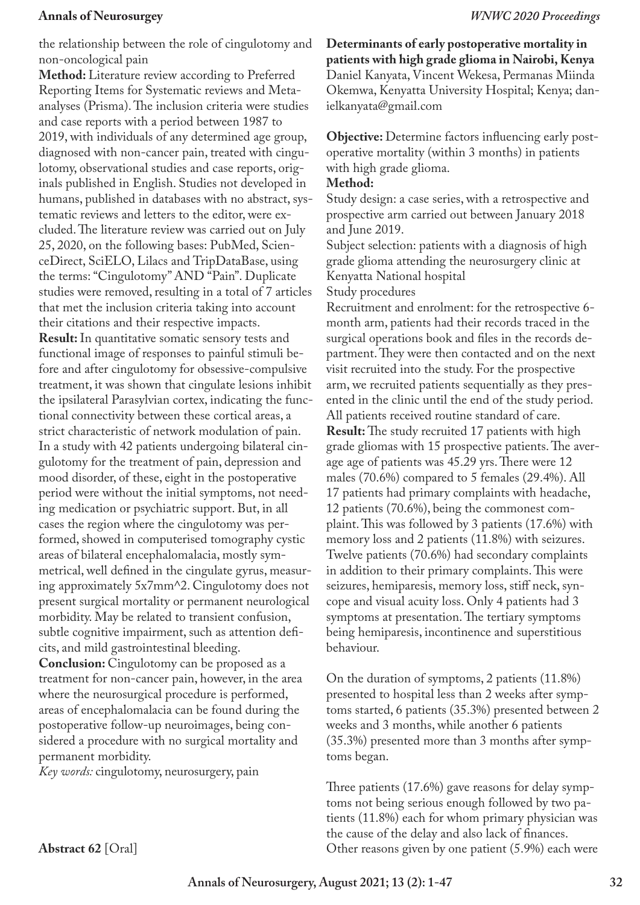the relationship between the role of cingulotomy and non-oncological pain

**Method:** Literature review according to Preferred Reporting Items for Systematic reviews and Metaanalyses (Prisma). The inclusion criteria were studies and case reports with a period between 1987 to 2019, with individuals of any determined age group, diagnosed with non-cancer pain, treated with cingulotomy, observational studies and case reports, originals published in English. Studies not developed in humans, published in databases with no abstract, systematic reviews and letters to the editor, were excluded. The literature review was carried out on July 25, 2020, on the following bases: PubMed, ScienceDirect, SciELO, Lilacs and TripDataBase, using the terms: "Cingulotomy" AND "Pain". Duplicate studies were removed, resulting in a total of 7 articles that met the inclusion criteria taking into account their citations and their respective impacts. **Result:** In quantitative somatic sensory tests and functional image of responses to painful stimuli before and after cingulotomy for obsessive-compulsive treatment, it was shown that cingulate lesions inhibit the ipsilateral Parasylvian cortex, indicating the functional connectivity between these cortical areas, a strict characteristic of network modulation of pain. In a study with 42 patients undergoing bilateral cingulotomy for the treatment of pain, depression and mood disorder, of these, eight in the postoperative period were without the initial symptoms, not needing medication or psychiatric support. But, in all cases the region where the cingulotomy was performed, showed in computerised tomography cystic areas of bilateral encephalomalacia, mostly symmetrical, well defined in the cingulate gyrus, measuring approximately 5x7mm^2. Cingulotomy does not present surgical mortality or permanent neurological morbidity. May be related to transient confusion, subtle cognitive impairment, such as attention deficits, and mild gastrointestinal bleeding. **Conclusion:** Cingulotomy can be proposed as a treatment for non-cancer pain, however, in the area where the neurosurgical procedure is performed, areas of encephalomalacia can be found during the postoperative follow-up neuroimages, being considered a procedure with no surgical mortality and permanent morbidity.

*Key words:* cingulotomy, neurosurgery, pain

**Determinants of early postoperative mortality in patients with high grade glioma in Nairobi, Kenya** Daniel Kanyata, Vincent Wekesa, Permanas Miinda Okemwa, Kenyatta University Hospital; Kenya; danielkanyata@gmail.com

**Objective:** Determine factors influencing early postoperative mortality (within 3 months) in patients with high grade glioma.

### **Method:**

Study design: a case series, with a retrospective and prospective arm carried out between January 2018 and June 2019.

Subject selection: patients with a diagnosis of high grade glioma attending the neurosurgery clinic at Kenyatta National hospital

Study procedures

Recruitment and enrolment: for the retrospective 6 month arm, patients had their records traced in the surgical operations book and files in the records department. They were then contacted and on the next visit recruited into the study. For the prospective arm, we recruited patients sequentially as they presented in the clinic until the end of the study period. All patients received routine standard of care. **Result:** The study recruited 17 patients with high grade gliomas with 15 prospective patients. The average age of patients was 45.29 yrs. There were 12 males (70.6%) compared to 5 females (29.4%). All 17 patients had primary complaints with headache, 12 patients (70.6%), being the commonest complaint. This was followed by 3 patients (17.6%) with memory loss and 2 patients (11.8%) with seizures. Twelve patients (70.6%) had secondary complaints in addition to their primary complaints. This were seizures, hemiparesis, memory loss, stiff neck, syncope and visual acuity loss. Only 4 patients had 3 symptoms at presentation. The tertiary symptoms being hemiparesis, incontinence and superstitious behaviour.

On the duration of symptoms, 2 patients (11.8%) presented to hospital less than 2 weeks after symptoms started, 6 patients (35.3%) presented between 2 weeks and 3 months, while another 6 patients (35.3%) presented more than 3 months after symptoms began.

Three patients (17.6%) gave reasons for delay symptoms not being serious enough followed by two patients (11.8%) each for whom primary physician was the cause of the delay and also lack of finances. Other reasons given by one patient (5.9%) each were

**Abstract 62** [Oral]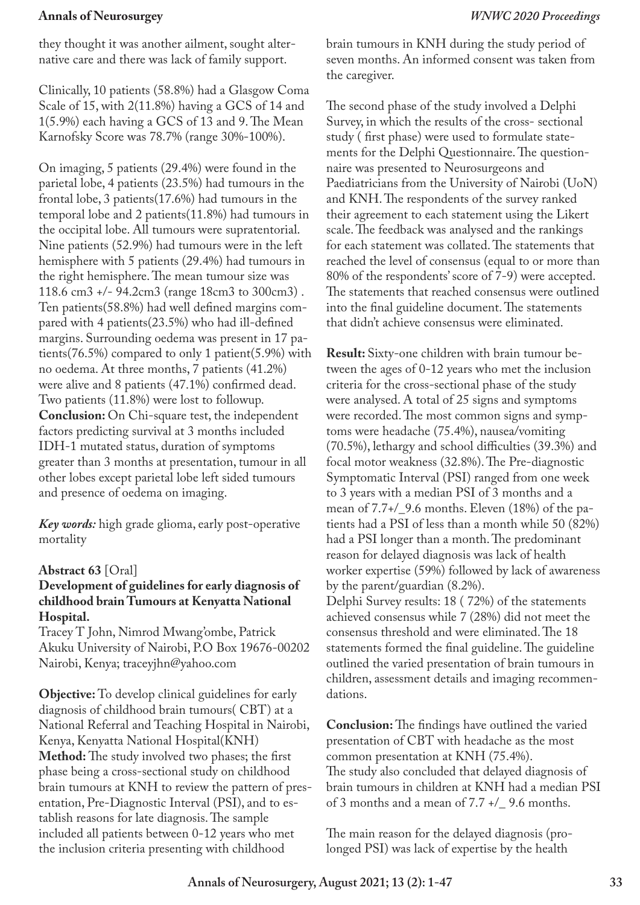they thought it was another ailment, sought alternative care and there was lack of family support.

Clinically, 10 patients (58.8%) had a Glasgow Coma Scale of 15, with 2(11.8%) having a GCS of 14 and 1(5.9%) each having a GCS of 13 and 9. The Mean Karnofsky Score was 78.7% (range 30%-100%).

On imaging, 5 patients (29.4%) were found in the parietal lobe, 4 patients (23.5%) had tumours in the frontal lobe, 3 patients(17.6%) had tumours in the temporal lobe and 2 patients(11.8%) had tumours in the occipital lobe. All tumours were supratentorial. Nine patients (52.9%) had tumours were in the left hemisphere with 5 patients (29.4%) had tumours in the right hemisphere. The mean tumour size was 118.6 cm3 +/- 94.2cm3 (range 18cm3 to 300cm3) . Ten patients(58.8%) had well defined margins compared with 4 patients(23.5%) who had ill-defined margins. Surrounding oedema was present in 17 patients(76.5%) compared to only 1 patient(5.9%) with no oedema. At three months, 7 patients (41.2%) were alive and 8 patients (47.1%) confirmed dead. Two patients (11.8%) were lost to followup. **Conclusion:** On Chi-square test, the independent factors predicting survival at 3 months included IDH-1 mutated status, duration of symptoms greater than 3 months at presentation, tumour in all other lobes except parietal lobe left sided tumours and presence of oedema on imaging.

*Key words:* high grade glioma, early post-operative mortality

### **Abstract 63** [Oral]

## **Development of guidelines for early diagnosis of childhood brain Tumours at Kenyatta National Hospital.**

Tracey T John, Nimrod Mwang'ombe, Patrick Akuku University of Nairobi, P.O Box 19676-00202 Nairobi, Kenya; traceyjhn@yahoo.com

**Objective:** To develop clinical guidelines for early diagnosis of childhood brain tumours( CBT) at a National Referral and Teaching Hospital in Nairobi, Kenya, Kenyatta National Hospital(KNH) **Method:** The study involved two phases; the first phase being a cross-sectional study on childhood brain tumours at KNH to review the pattern of presentation, Pre-Diagnostic Interval (PSI), and to establish reasons for late diagnosis. The sample included all patients between 0-12 years who met the inclusion criteria presenting with childhood

brain tumours in KNH during the study period of seven months. An informed consent was taken from the caregiver.

The second phase of the study involved a Delphi Survey, in which the results of the cross- sectional study ( first phase) were used to formulate statements for the Delphi Questionnaire. The questionnaire was presented to Neurosurgeons and Paediatricians from the University of Nairobi (UoN) and KNH. The respondents of the survey ranked their agreement to each statement using the Likert scale. The feedback was analysed and the rankings for each statement was collated. The statements that reached the level of consensus (equal to or more than 80% of the respondents' score of 7-9) were accepted. The statements that reached consensus were outlined into the final guideline document. The statements that didn't achieve consensus were eliminated.

**Result:** Sixty-one children with brain tumour between the ages of 0-12 years who met the inclusion criteria for the cross-sectional phase of the study were analysed. A total of 25 signs and symptoms were recorded. The most common signs and symptoms were headache (75.4%), nausea/vomiting (70.5%), lethargy and school difficulties (39.3%) and focal motor weakness (32.8%). The Pre-diagnostic Symptomatic Interval (PSI) ranged from one week to 3 years with a median PSI of 3 months and a mean of 7.7+/\_9.6 months. Eleven (18%) of the patients had a PSI of less than a month while 50 (82%) had a PSI longer than a month. The predominant reason for delayed diagnosis was lack of health worker expertise (59%) followed by lack of awareness by the parent/guardian (8.2%). Delphi Survey results: 18 ( 72%) of the statements achieved consensus while 7 (28%) did not meet the consensus threshold and were eliminated. The 18 statements formed the final guideline. The guideline outlined the varied presentation of brain tumours in children, assessment details and imaging recommen-

**Conclusion:** The findings have outlined the varied presentation of CBT with headache as the most common presentation at KNH (75.4%). The study also concluded that delayed diagnosis of brain tumours in children at KNH had a median PSI of 3 months and a mean of 7.7 +/\_ 9.6 months.

The main reason for the delayed diagnosis (prolonged PSI) was lack of expertise by the health

dations.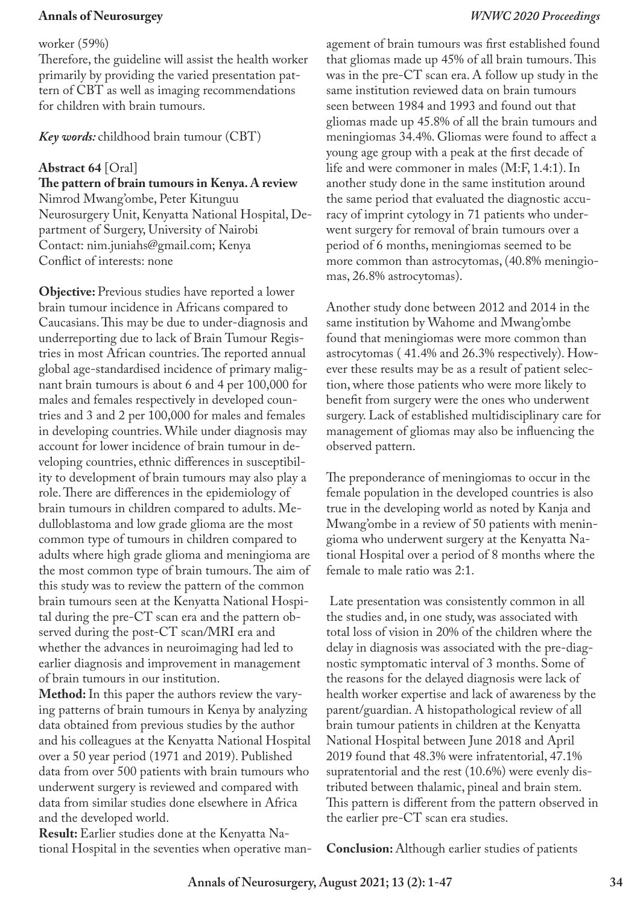#### worker (59%)

Therefore, the guideline will assist the health worker primarily by providing the varied presentation pattern of CBT as well as imaging recommendations for children with brain tumours.

## *Key words:* childhood brain tumour (CBT)

## **Abstract 64** [Oral]

**The pattern of brain tumours in Kenya. A review** Nimrod Mwang'ombe, Peter Kitunguu Neurosurgery Unit, Kenyatta National Hospital, Department of Surgery, University of Nairobi Contact: nim.juniahs@gmail.com; Kenya Conflict of interests: none

**Objective:** Previous studies have reported a lower brain tumour incidence in Africans compared to Caucasians. This may be due to under-diagnosis and underreporting due to lack of Brain Tumour Registries in most African countries. The reported annual global age-standardised incidence of primary malignant brain tumours is about 6 and 4 per 100,000 for males and females respectively in developed countries and 3 and 2 per 100,000 for males and females in developing countries. While under diagnosis may account for lower incidence of brain tumour in developing countries, ethnic differences in susceptibility to development of brain tumours may also play a role. There are differences in the epidemiology of brain tumours in children compared to adults. Medulloblastoma and low grade glioma are the most common type of tumours in children compared to adults where high grade glioma and meningioma are the most common type of brain tumours. The aim of this study was to review the pattern of the common brain tumours seen at the Kenyatta National Hospital during the pre-CT scan era and the pattern observed during the post-CT scan/MRI era and whether the advances in neuroimaging had led to earlier diagnosis and improvement in management of brain tumours in our institution.

**Method:** In this paper the authors review the varying patterns of brain tumours in Kenya by analyzing data obtained from previous studies by the author and his colleagues at the Kenyatta National Hospital over a 50 year period (1971 and 2019). Published data from over 500 patients with brain tumours who underwent surgery is reviewed and compared with data from similar studies done elsewhere in Africa and the developed world.

**Result:** Earlier studies done at the Kenyatta National Hospital in the seventies when operative management of brain tumours was first established found that gliomas made up 45% of all brain tumours. This was in the pre-CT scan era. A follow up study in the same institution reviewed data on brain tumours seen between 1984 and 1993 and found out that gliomas made up 45.8% of all the brain tumours and meningiomas 34.4%. Gliomas were found to affect a young age group with a peak at the first decade of life and were commoner in males (M:F, 1.4:1). In another study done in the same institution around the same period that evaluated the diagnostic accuracy of imprint cytology in 71 patients who underwent surgery for removal of brain tumours over a period of 6 months, meningiomas seemed to be more common than astrocytomas, (40.8% meningiomas, 26.8% astrocytomas).

Another study done between 2012 and 2014 in the same institution by Wahome and Mwang'ombe found that meningiomas were more common than astrocytomas ( 41.4% and 26.3% respectively). However these results may be as a result of patient selection, where those patients who were more likely to benefit from surgery were the ones who underwent surgery. Lack of established multidisciplinary care for management of gliomas may also be influencing the observed pattern.

The preponderance of meningiomas to occur in the female population in the developed countries is also true in the developing world as noted by Kanja and Mwang'ombe in a review of 50 patients with meningioma who underwent surgery at the Kenyatta National Hospital over a period of 8 months where the female to male ratio was 2:1.

 Late presentation was consistently common in all the studies and, in one study, was associated with total loss of vision in 20% of the children where the delay in diagnosis was associated with the pre-diagnostic symptomatic interval of 3 months. Some of the reasons for the delayed diagnosis were lack of health worker expertise and lack of awareness by the parent/guardian. A histopathological review of all brain tumour patients in children at the Kenyatta National Hospital between June 2018 and April 2019 found that 48.3% were infratentorial, 47.1% supratentorial and the rest (10.6%) were evenly distributed between thalamic, pineal and brain stem. This pattern is different from the pattern observed in the earlier pre-CT scan era studies.

**Conclusion:** Although earlier studies of patients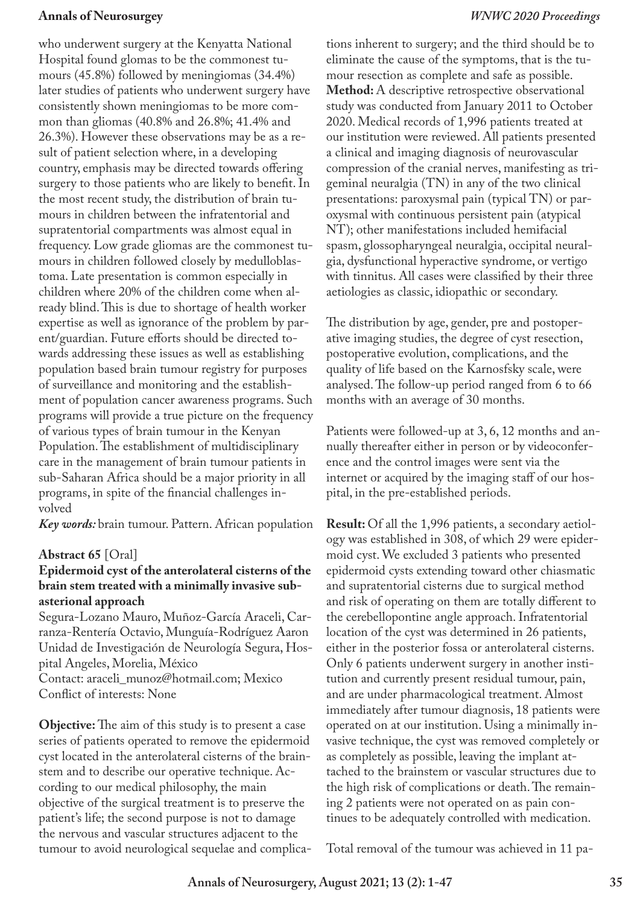who underwent surgery at the Kenyatta National Hospital found glomas to be the commonest tumours (45.8%) followed by meningiomas (34.4%) later studies of patients who underwent surgery have consistently shown meningiomas to be more common than gliomas (40.8% and 26.8%; 41.4% and 26.3%). However these observations may be as a result of patient selection where, in a developing country, emphasis may be directed towards offering surgery to those patients who are likely to benefit. In the most recent study, the distribution of brain tumours in children between the infratentorial and supratentorial compartments was almost equal in frequency. Low grade gliomas are the commonest tumours in children followed closely by medulloblastoma. Late presentation is common especially in children where 20% of the children come when already blind. This is due to shortage of health worker expertise as well as ignorance of the problem by parent/guardian. Future efforts should be directed towards addressing these issues as well as establishing population based brain tumour registry for purposes of surveillance and monitoring and the establishment of population cancer awareness programs. Such programs will provide a true picture on the frequency of various types of brain tumour in the Kenyan Population. The establishment of multidisciplinary care in the management of brain tumour patients in sub-Saharan Africa should be a major priority in all programs, in spite of the financial challenges involved

*Key words:* brain tumour. Pattern. African population

## **Abstract 65** [Oral]

### **Epidermoid cyst of the anterolateral cisterns of the brain stem treated with a minimally invasive subasterional approach**

Segura-Lozano Mauro, Muñoz-García Araceli, Carranza-Rentería Octavio, Munguía-Rodríguez Aaron Unidad de Investigación de Neurología Segura, Hospital Angeles, Morelia, México Contact: araceli\_munoz@hotmail.com; Mexico Conflict of interests: None

**Objective:** The aim of this study is to present a case series of patients operated to remove the epidermoid cyst located in the anterolateral cisterns of the brainstem and to describe our operative technique. According to our medical philosophy, the main objective of the surgical treatment is to preserve the patient's life; the second purpose is not to damage the nervous and vascular structures adjacent to the tumour to avoid neurological sequelae and complications inherent to surgery; and the third should be to eliminate the cause of the symptoms, that is the tumour resection as complete and safe as possible. **Method:** A descriptive retrospective observational study was conducted from January 2011 to October 2020. Medical records of 1,996 patients treated at our institution were reviewed. All patients presented a clinical and imaging diagnosis of neurovascular compression of the cranial nerves, manifesting as trigeminal neuralgia (TN) in any of the two clinical presentations: paroxysmal pain (typical TN) or paroxysmal with continuous persistent pain (atypical NT); other manifestations included hemifacial spasm, glossopharyngeal neuralgia, occipital neuralgia, dysfunctional hyperactive syndrome, or vertigo with tinnitus. All cases were classified by their three aetiologies as classic, idiopathic or secondary.

The distribution by age, gender, pre and postoperative imaging studies, the degree of cyst resection, postoperative evolution, complications, and the quality of life based on the Karnosfsky scale, were analysed. The follow-up period ranged from 6 to 66 months with an average of 30 months.

Patients were followed-up at 3, 6, 12 months and annually thereafter either in person or by videoconference and the control images were sent via the internet or acquired by the imaging staff of our hospital, in the pre-established periods.

**Result:** Of all the 1,996 patients, a secondary aetiology was established in 308, of which 29 were epidermoid cyst. We excluded 3 patients who presented epidermoid cysts extending toward other chiasmatic and supratentorial cisterns due to surgical method and risk of operating on them are totally different to the cerebellopontine angle approach. Infratentorial location of the cyst was determined in 26 patients, either in the posterior fossa or anterolateral cisterns. Only 6 patients underwent surgery in another institution and currently present residual tumour, pain, and are under pharmacological treatment. Almost immediately after tumour diagnosis, 18 patients were operated on at our institution. Using a minimally invasive technique, the cyst was removed completely or as completely as possible, leaving the implant attached to the brainstem or vascular structures due to the high risk of complications or death. The remaining 2 patients were not operated on as pain continues to be adequately controlled with medication.

Total removal of the tumour was achieved in 11 pa-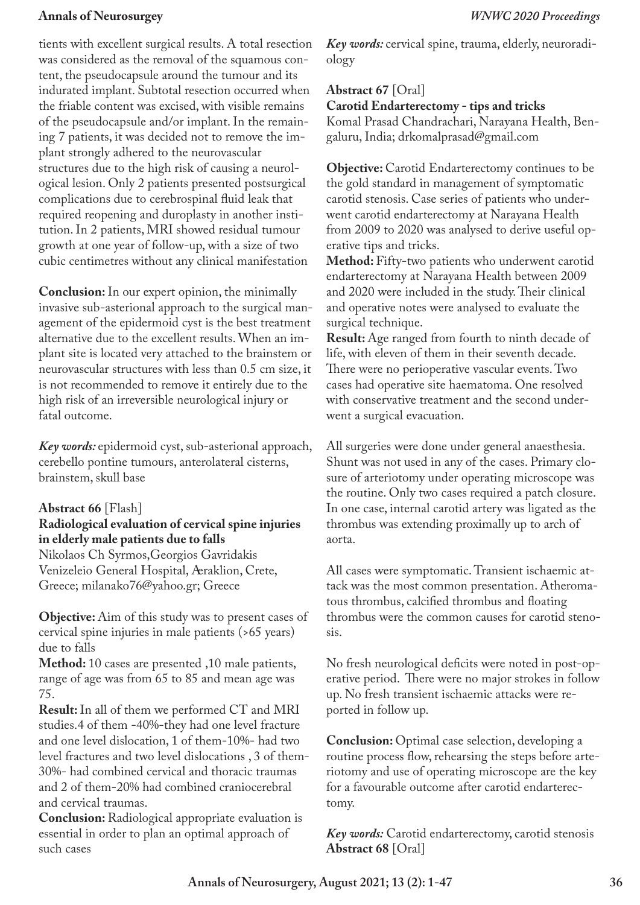tients with excellent surgical results. A total resection was considered as the removal of the squamous content, the pseudocapsule around the tumour and its indurated implant. Subtotal resection occurred when the friable content was excised, with visible remains of the pseudocapsule and/or implant. In the remaining 7 patients, it was decided not to remove the implant strongly adhered to the neurovascular structures due to the high risk of causing a neurological lesion. Only 2 patients presented postsurgical complications due to cerebrospinal fluid leak that required reopening and duroplasty in another institution. In 2 patients, MRI showed residual tumour growth at one year of follow-up, with a size of two cubic centimetres without any clinical manifestation

**Conclusion:** In our expert opinion, the minimally invasive sub-asterional approach to the surgical management of the epidermoid cyst is the best treatment alternative due to the excellent results. When an implant site is located very attached to the brainstem or neurovascular structures with less than 0.5 cm size, it is not recommended to remove it entirely due to the high risk of an irreversible neurological injury or fatal outcome.

*Key words:* epidermoid cyst, sub-asterional approach, cerebello pontine tumours, anterolateral cisterns, brainstem, skull base

## **Abstract 66** [Flash]

## **Radiological evaluation of cervical spine injuries in elderly male patients due to falls**

Nikolaos Ch Syrmos,Georgios Gavridakis Venizeleio General Hospital, �eraklion, Crete, Greece; milanako76@yahoo.gr; Greece

**Objective:** Aim of this study was to present cases of cervical spine injuries in male patients (>65 years) due to falls

**Method:** 10 cases are presented ,10 male patients, range of age was from 65 to 85 and mean age was 75.

**Result:** In all of them we performed CT and MRI studies.4 of them -40%-they had one level fracture and one level dislocation, 1 of them-10%- had two level fractures and two level dislocations , 3 of them-30%- had combined cervical and thoracic traumas and 2 of them-20% had combined craniocerebral and cervical traumas.

**Conclusion:** Radiological appropriate evaluation is essential in order to plan an optimal approach of such cases

*Key words:* cervical spine, trauma, elderly, neuroradiology

## **Abstract 67** [Oral]

**Carotid Endarterectomy - tips and tricks**

Komal Prasad Chandrachari, Narayana Health, Bengaluru, India; drkomalprasad@gmail.com

**Objective:** Carotid Endarterectomy continues to be the gold standard in management of symptomatic carotid stenosis. Case series of patients who underwent carotid endarterectomy at Narayana Health from 2009 to 2020 was analysed to derive useful operative tips and tricks.

**Method:** Fifty-two patients who underwent carotid endarterectomy at Narayana Health between 2009 and 2020 were included in the study. Their clinical and operative notes were analysed to evaluate the surgical technique.

**Result:** Age ranged from fourth to ninth decade of life, with eleven of them in their seventh decade. There were no perioperative vascular events. Two cases had operative site haematoma. One resolved with conservative treatment and the second underwent a surgical evacuation.

All surgeries were done under general anaesthesia. Shunt was not used in any of the cases. Primary closure of arteriotomy under operating microscope was the routine. Only two cases required a patch closure. In one case, internal carotid artery was ligated as the thrombus was extending proximally up to arch of aorta.

All cases were symptomatic. Transient ischaemic attack was the most common presentation. Atheromatous thrombus, calcified thrombus and floating thrombus were the common causes for carotid stenosis.

No fresh neurological deficits were noted in post-operative period. There were no major strokes in follow up. No fresh transient ischaemic attacks were reported in follow up.

**Conclusion:** Optimal case selection, developing a routine process flow, rehearsing the steps before arteriotomy and use of operating microscope are the key for a favourable outcome after carotid endarterectomy.

*Key words:* Carotid endarterectomy, carotid stenosis **Abstract 68** [Oral]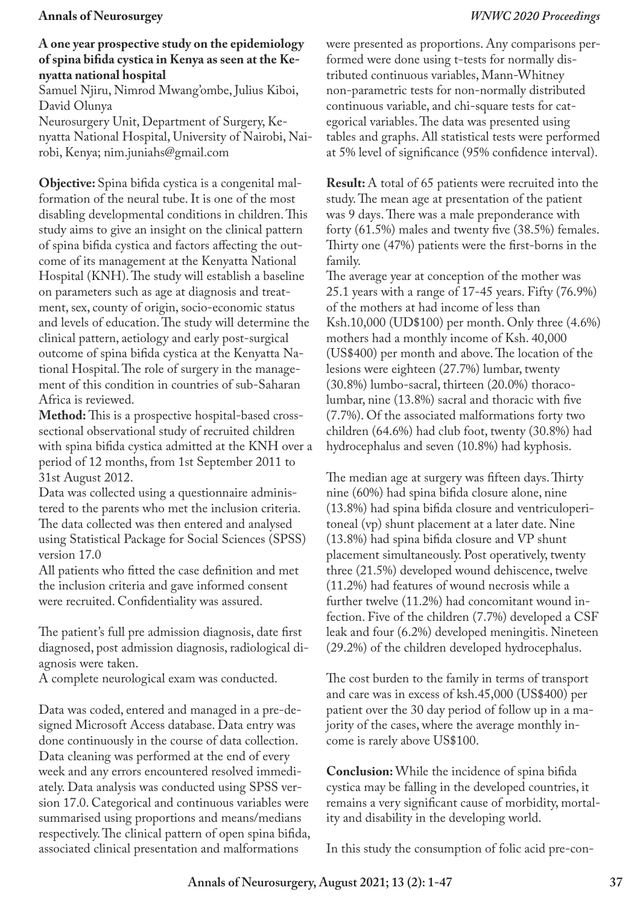### **A one year prospective study on the epidemiology of spina bifida cystica in Kenya as seen at the Kenyatta national hospital**

Samuel Njiru, Nimrod Mwang'ombe, Julius Kiboi, David Olunya

Neurosurgery Unit, Department of Surgery, Kenyatta National Hospital, University of Nairobi, Nairobi, Kenya; nim.juniahs@gmail.com

**Objective:** Spina bifida cystica is a congenital malformation of the neural tube. It is one of the most disabling developmental conditions in children. This study aims to give an insight on the clinical pattern of spina bifida cystica and factors affecting the outcome of its management at the Kenyatta National Hospital (KNH). The study will establish a baseline on parameters such as age at diagnosis and treatment, sex, county of origin, socio-economic status and levels of education. The study will determine the clinical pattern, aetiology and early post-surgical outcome of spina bifida cystica at the Kenyatta National Hospital. The role of surgery in the management of this condition in countries of sub-Saharan Africa is reviewed.

**Method:** This is a prospective hospital-based crosssectional observational study of recruited children with spina bifida cystica admitted at the KNH over a period of 12 months, from 1st September 2011 to 31st August 2012.

Data was collected using a questionnaire administered to the parents who met the inclusion criteria. The data collected was then entered and analysed using Statistical Package for Social Sciences (SPSS) version 17.0

All patients who fitted the case definition and met the inclusion criteria and gave informed consent were recruited. Confidentiality was assured.

The patient's full pre admission diagnosis, date first diagnosed, post admission diagnosis, radiological diagnosis were taken.

A complete neurological exam was conducted.

Data was coded, entered and managed in a pre-designed Microsoft Access database. Data entry was done continuously in the course of data collection. Data cleaning was performed at the end of every week and any errors encountered resolved immediately. Data analysis was conducted using SPSS version 17.0. Categorical and continuous variables were summarised using proportions and means/medians respectively. The clinical pattern of open spina bifida, associated clinical presentation and malformations

were presented as proportions. Any comparisons performed were done using t-tests for normally distributed continuous variables, Mann-Whitney non-parametric tests for non-normally distributed continuous variable, and chi-square tests for categorical variables. The data was presented using tables and graphs. All statistical tests were performed at 5% level of significance (95% confidence interval).

**Result:** A total of 65 patients were recruited into the study. The mean age at presentation of the patient was 9 days. There was a male preponderance with forty (61.5%) males and twenty five (38.5%) females. Thirty one (47%) patients were the first-borns in the family.

The average year at conception of the mother was 25.1 years with a range of 17-45 years. Fifty (76.9%) of the mothers at had income of less than Ksh.10,000 (UD\$100) per month. Only three (4.6%) mothers had a monthly income of Ksh. 40,000 (US\$400) per month and above. The location of the lesions were eighteen (27.7%) lumbar, twenty (30.8%) lumbo-sacral, thirteen (20.0%) thoracolumbar, nine (13.8%) sacral and thoracic with five (7.7%). Of the associated malformations forty two children (64.6%) had club foot, twenty (30.8%) had hydrocephalus and seven (10.8%) had kyphosis.

The median age at surgery was fifteen days. Thirty nine (60%) had spina bifida closure alone, nine (13.8%) had spina bifida closure and ventriculoperitoneal (vp) shunt placement at a later date. Nine (13.8%) had spina bifida closure and VP shunt placement simultaneously. Post operatively, twenty three (21.5%) developed wound dehiscence, twelve (11.2%) had features of wound necrosis while a further twelve (11.2%) had concomitant wound infection. Five of the children (7.7%) developed a CSF leak and four (6.2%) developed meningitis. Nineteen (29.2%) of the children developed hydrocephalus.

The cost burden to the family in terms of transport and care was in excess of ksh.45,000 (US\$400) per patient over the 30 day period of follow up in a majority of the cases, where the average monthly income is rarely above US\$100.

**Conclusion:** While the incidence of spina bifida cystica may be falling in the developed countries, it remains a very significant cause of morbidity, mortality and disability in the developing world.

In this study the consumption of folic acid pre-con-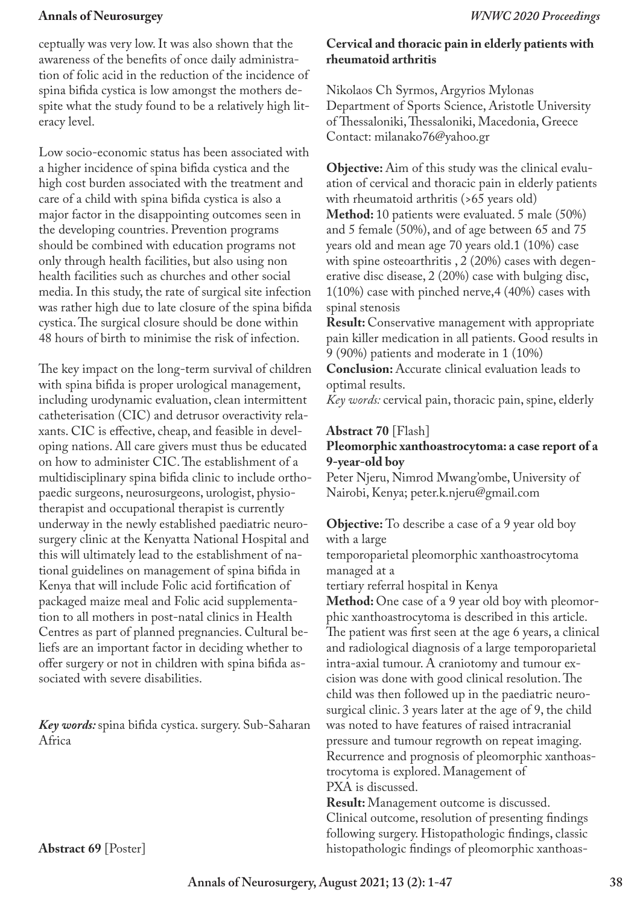ceptually was very low. It was also shown that the awareness of the benefits of once daily administration of folic acid in the reduction of the incidence of spina bifida cystica is low amongst the mothers despite what the study found to be a relatively high literacy level.

Low socio-economic status has been associated with a higher incidence of spina bifida cystica and the high cost burden associated with the treatment and care of a child with spina bifida cystica is also a major factor in the disappointing outcomes seen in the developing countries. Prevention programs should be combined with education programs not only through health facilities, but also using non health facilities such as churches and other social media. In this study, the rate of surgical site infection was rather high due to late closure of the spina bifida cystica. The surgical closure should be done within 48 hours of birth to minimise the risk of infection.

The key impact on the long-term survival of children with spina bifida is proper urological management, including urodynamic evaluation, clean intermittent catheterisation (CIC) and detrusor overactivity relaxants. CIC is effective, cheap, and feasible in developing nations. All care givers must thus be educated on how to administer CIC. The establishment of a multidisciplinary spina bifida clinic to include orthopaedic surgeons, neurosurgeons, urologist, physiotherapist and occupational therapist is currently underway in the newly established paediatric neurosurgery clinic at the Kenyatta National Hospital and this will ultimately lead to the establishment of national guidelines on management of spina bifida in Kenya that will include Folic acid fortification of packaged maize meal and Folic acid supplementation to all mothers in post-natal clinics in Health Centres as part of planned pregnancies. Cultural beliefs are an important factor in deciding whether to offer surgery or not in children with spina bifida associated with severe disabilities.

*Key words:* spina bifida cystica. surgery. Sub-Saharan Africa

## **Cervical and thoracic pain in elderly patients with rheumatoid arthritis**

Nikolaos Ch Syrmos, Argyrios Mylonas Department of Sports Science, Aristotle University of Thessaloniki, Thessaloniki, Macedonia, Greece Contact: milanako76@yahoo.gr

**Objective:** Aim of this study was the clinical evaluation of cervical and thoracic pain in elderly patients with rheumatoid arthritis (>65 years old) **Method:** 10 patients were evaluated. 5 male (50%) and 5 female (50%), and of age between 65 and 75 years old and mean age 70 years old.1 (10%) case with spine osteoarthritis , 2 (20%) cases with degenerative disc disease, 2 (20%) case with bulging disc, 1(10%) case with pinched nerve,4 (40%) cases with spinal stenosis

**Result:** Conservative management with appropriate pain killer medication in all patients. Good results in 9 (90%) patients and moderate in 1 (10%)

**Conclusion:** Accurate clinical evaluation leads to optimal results.

*Key words:* cervical pain, thoracic pain, spine, elderly

## **Abstract 70** [Flash]

### **Pleomorphic xanthoastrocytoma: a case report of a 9-year-old boy**

Peter Njeru, Nimrod Mwang'ombe, University of Nairobi, Kenya; peter.k.njeru@gmail.com

**Objective:** To describe a case of a 9 year old boy with a large

temporoparietal pleomorphic xanthoastrocytoma managed at a

tertiary referral hospital in Kenya

**Method:** One case of a 9 year old boy with pleomorphic xanthoastrocytoma is described in this article. The patient was first seen at the age 6 years, a clinical and radiological diagnosis of a large temporoparietal intra-axial tumour. A craniotomy and tumour excision was done with good clinical resolution. The child was then followed up in the paediatric neurosurgical clinic. 3 years later at the age of 9, the child was noted to have features of raised intracranial pressure and tumour regrowth on repeat imaging. Recurrence and prognosis of pleomorphic xanthoastrocytoma is explored. Management of PXA is discussed.

**Result:** Management outcome is discussed. Clinical outcome, resolution of presenting findings following surgery. Histopathologic findings, classic histopathologic findings of pleomorphic xanthoas-

**Abstract 69** [Poster]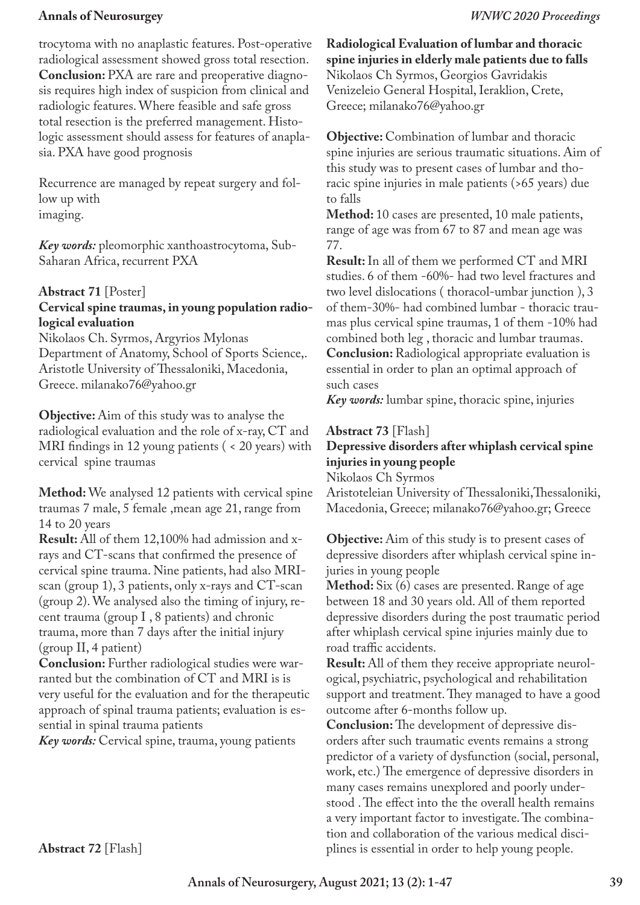trocytoma with no anaplastic features. Post-operative radiological assessment showed gross total resection. **Conclusion:** PXA are rare and preoperative diagnosis requires high index of suspicion from clinical and radiologic features. Where feasible and safe gross total resection is the preferred management. Histologic assessment should assess for features of anaplasia. PXA have good prognosis

Recurrence are managed by repeat surgery and follow up with imaging.

*Key words:* pleomorphic xanthoastrocytoma, Sub-Saharan Africa, recurrent PXA

## **Abstract 71** [Poster]

## **Cervical spine traumas, in young population radiological evaluation**

Nikolaos Ch. Syrmos, Argyrios Mylonas Department of Anatomy, School of Sports Science,. Aristotle University of Thessaloniki, Macedonia, Greece. milanako76@yahoo.gr

**Objective:** Aim of this study was to analyse the radiological evaluation and the role of x-ray, CT and MRI findings in 12 young patients ( < 20 years) with cervical spine traumas

**Method:** We analysed 12 patients with cervical spine traumas 7 male, 5 female ,mean age 21, range from 14 to 20 years

**Result:** All of them 12,100% had admission and xrays and CT-scans that confirmed the presence of cervical spine trauma. Nine patients, had also MRIscan (group 1), 3 patients, only x-rays and CT-scan (group 2). We analysed also the timing of injury, recent trauma (group I , 8 patients) and chronic trauma, more than 7 days after the initial injury (group II, 4 patient)

**Conclusion:** Further radiological studies were warranted but the combination of CT and MRI is is very useful for the evaluation and for the therapeutic approach of spinal trauma patients; evaluation is essential in spinal trauma patients

*Key words:* Cervical spine, trauma, young patients

**Radiological Evaluation of lumbar and thoracic spine injuries in elderly male patients due to falls** Nikolaos Ch Syrmos, Georgios Gavridakis Venizeleio General Hospital, Ieraklion, Crete, Greece; milanako76@yahoo.gr

**Objective:** Combination of lumbar and thoracic spine injuries are serious traumatic situations. Aim of this study was to present cases of lumbar and thoracic spine injuries in male patients (>65 years) due to falls

**Method:** 10 cases are presented, 10 male patients, range of age was from 67 to 87 and mean age was 77.

**Result:** In all of them we performed CT and MRI studies. 6 of them -60%- had two level fractures and two level dislocations ( thoracol-umbar junction ), 3 of them-30%- had combined lumbar - thoracic traumas plus cervical spine traumas, 1 of them -10% had combined both leg , thoracic and lumbar traumas. **Conclusion:** Radiological appropriate evaluation is essential in order to plan an optimal approach of such cases

*Key words:* lumbar spine, thoracic spine, injuries

### **Abstract 73** [Flash]

## **Depressive disorders after whiplash cervical spine injuries in young people**

Nikolaos Ch Syrmos Aristoteleian University of Thessaloniki, Thessaloniki, Macedonia, Greece; milanako76@yahoo.gr; Greece

**Objective:** Aim of this study is to present cases of depressive disorders after whiplash cervical spine injuries in young people

**Method:** Six (6) cases are presented. Range of age between 18 and 30 years old. All of them reported depressive disorders during the post traumatic period after whiplash cervical spine injuries mainly due to road traffic accidents.

**Result:** All of them they receive appropriate neurological, psychiatric, psychological and rehabilitation support and treatment. They managed to have a good outcome after 6-months follow up.

**Conclusion:** The development of depressive disorders after such traumatic events remains a strong predictor of a variety of dysfunction (social, personal, work, etc.) The emergence of depressive disorders in many cases remains unexplored and poorly understood . The effect into the the overall health remains a very important factor to investigate. The combination and collaboration of the various medical disciplines is essential in order to help young people.

**Abstract 72** [Flash]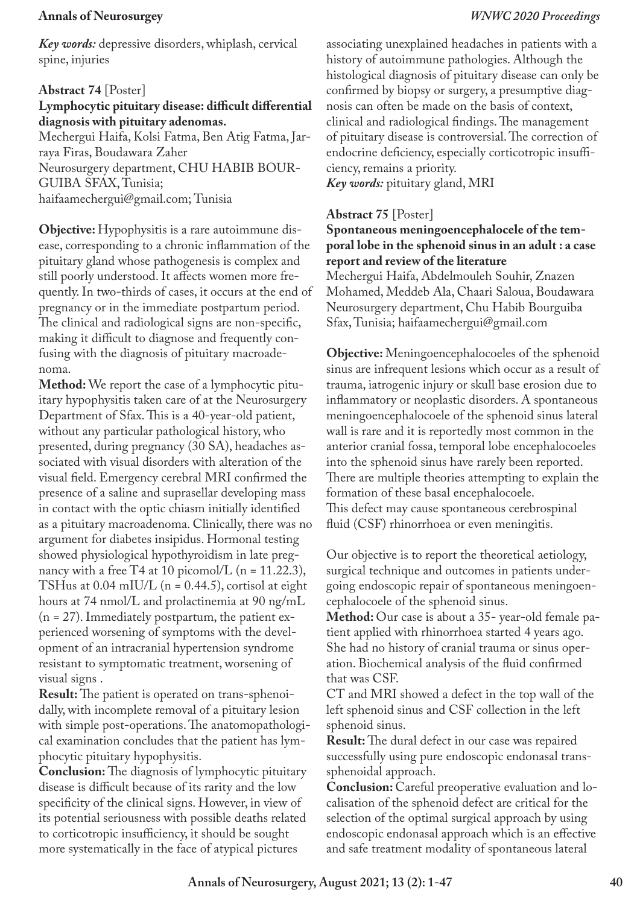*Key words:* depressive disorders, whiplash, cervical spine, injuries

## **Abstract 74** [Poster]

## **Lymphocytic pituitary disease: difficult differential diagnosis with pituitary adenomas.**

Mechergui Haifa, Kolsi Fatma, Ben Atig Fatma, Jarraya Firas, Boudawara Zaher Neurosurgery department, CHU HABIB BOUR-GUIBA SFAX, Tunisia; haifaamechergui@gmail.com; Tunisia

**Objective:** Hypophysitis is a rare autoimmune disease, corresponding to a chronic inflammation of the pituitary gland whose pathogenesis is complex and still poorly understood. It affects women more frequently. In two-thirds of cases, it occurs at the end of pregnancy or in the immediate postpartum period. The clinical and radiological signs are non-specific, making it difficult to diagnose and frequently confusing with the diagnosis of pituitary macroadenoma.

**Method:** We report the case of a lymphocytic pituitary hypophysitis taken care of at the Neurosurgery Department of Sfax. This is a 40-year-old patient, without any particular pathological history, who presented, during pregnancy (30 SA), headaches associated with visual disorders with alteration of the visual field. Emergency cerebral MRI confirmed the presence of a saline and suprasellar developing mass in contact with the optic chiasm initially identified as a pituitary macroadenoma. Clinically, there was no argument for diabetes insipidus. Hormonal testing showed physiological hypothyroidism in late pregnancy with a free T4 at 10 picomol/L ( $n = 11.22.3$ ), TSHus at  $0.04$  mIU/L (n = 0.44.5), cortisol at eight hours at 74 nmol/L and prolactinemia at 90 ng/mL  $(n = 27)$ . Immediately postpartum, the patient experienced worsening of symptoms with the development of an intracranial hypertension syndrome resistant to symptomatic treatment, worsening of visual signs .

**Result:** The patient is operated on trans-sphenoidally, with incomplete removal of a pituitary lesion with simple post-operations. The anatomopathological examination concludes that the patient has lymphocytic pituitary hypophysitis.

**Conclusion:** The diagnosis of lymphocytic pituitary disease is difficult because of its rarity and the low specificity of the clinical signs. However, in view of its potential seriousness with possible deaths related to corticotropic insufficiency, it should be sought more systematically in the face of atypical pictures

associating unexplained headaches in patients with a history of autoimmune pathologies. Although the histological diagnosis of pituitary disease can only be confirmed by biopsy or surgery, a presumptive diagnosis can often be made on the basis of context, clinical and radiological findings. The management of pituitary disease is controversial. The correction of endocrine deficiency, especially corticotropic insufficiency, remains a priority. *Key words:* pituitary gland, MRI

**Abstract 75** [Poster]

**Spontaneous meningoencephalocele of the temporal lobe in the sphenoid sinus in an adult : a case report and review of the literature**

Mechergui Haifa, Abdelmouleh Souhir, Znazen Mohamed, Meddeb Ala, Chaari Saloua, Boudawara Neurosurgery department, Chu Habib Bourguiba Sfax, Tunisia; haifaamechergui@gmail.com

**Objective:** Meningoencephalocoeles of the sphenoid sinus are infrequent lesions which occur as a result of trauma, iatrogenic injury or skull base erosion due to inflammatory or neoplastic disorders. A spontaneous meningoencephalocoele of the sphenoid sinus lateral wall is rare and it is reportedly most common in the anterior cranial fossa, temporal lobe encephalocoeles into the sphenoid sinus have rarely been reported. There are multiple theories attempting to explain the formation of these basal encephalocoele. This defect may cause spontaneous cerebrospinal fluid (CSF) rhinorrhoea or even meningitis.

Our objective is to report the theoretical aetiology, surgical technique and outcomes in patients undergoing endoscopic repair of spontaneous meningoencephalocoele of the sphenoid sinus.

**Method:** Our case is about a 35- year-old female patient applied with rhinorrhoea started 4 years ago. She had no history of cranial trauma or sinus operation. Biochemical analysis of the fluid confirmed that was CSF.

CT and MRI showed a defect in the top wall of the left sphenoid sinus and CSF collection in the left sphenoid sinus.

**Result:** The dural defect in our case was repaired successfully using pure endoscopic endonasal transsphenoidal approach.

**Conclusion:** Careful preoperative evaluation and localisation of the sphenoid defect are critical for the selection of the optimal surgical approach by using endoscopic endonasal approach which is an effective and safe treatment modality of spontaneous lateral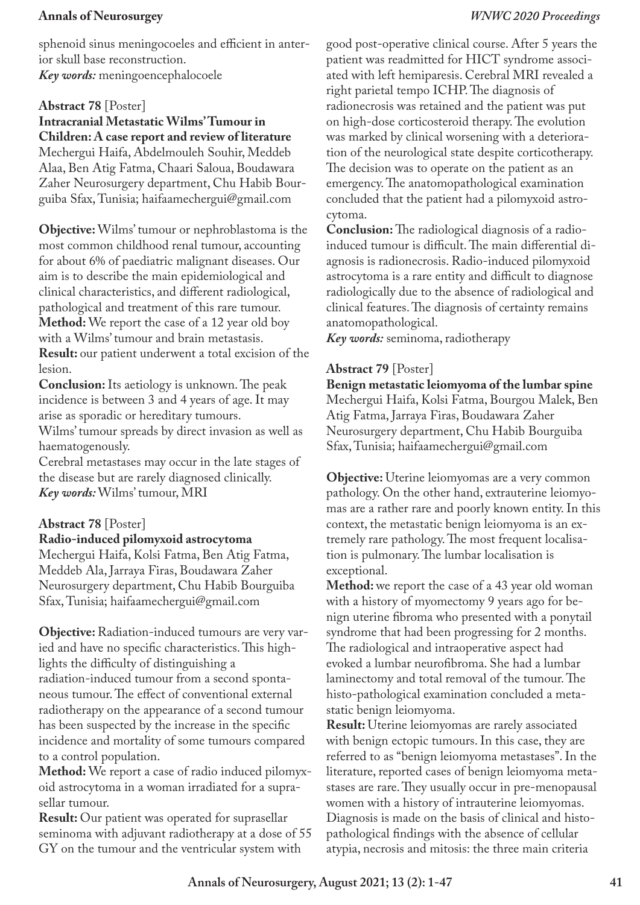sphenoid sinus meningocoeles and efficient in anterior skull base reconstruction. *Key words:* meningoencephalocoele

## **Abstract 78** [Poster]

**Intracranial Metastatic Wilms' Tumour in Children: A case report and review of literature** Mechergui Haifa, Abdelmouleh Souhir, Meddeb Alaa, Ben Atig Fatma, Chaari Saloua, Boudawara Zaher Neurosurgery department, Chu Habib Bourguiba Sfax, Tunisia; haifaamechergui@gmail.com

**Objective:** Wilms' tumour or nephroblastoma is the most common childhood renal tumour, accounting for about 6% of paediatric malignant diseases. Our aim is to describe the main epidemiological and clinical characteristics, and different radiological, pathological and treatment of this rare tumour. **Method:** We report the case of a 12 year old boy with a Wilms' tumour and brain metastasis. **Result:** our patient underwent a total excision of the lesion.

**Conclusion:** Its aetiology is unknown. The peak incidence is between 3 and 4 years of age. It may arise as sporadic or hereditary tumours.

Wilms' tumour spreads by direct invasion as well as haematogenously.

Cerebral metastases may occur in the late stages of the disease but are rarely diagnosed clinically. *Key words:* Wilms' tumour, MRI

## **Abstract 78** [Poster]

#### **Radio-induced pilomyxoid astrocytoma**

Mechergui Haifa, Kolsi Fatma, Ben Atig Fatma, Meddeb Ala, Jarraya Firas, Boudawara Zaher Neurosurgery department, Chu Habib Bourguiba Sfax, Tunisia; haifaamechergui@gmail.com

**Objective:** Radiation-induced tumours are very varied and have no specific characteristics. This highlights the difficulty of distinguishing a radiation-induced tumour from a second spontaneous tumour. The effect of conventional external radiotherapy on the appearance of a second tumour has been suspected by the increase in the specific incidence and mortality of some tumours compared to a control population.

**Method:** We report a case of radio induced pilomyxoid astrocytoma in a woman irradiated for a suprasellar tumour.

**Result:** Our patient was operated for suprasellar seminoma with adjuvant radiotherapy at a dose of 55 GY on the tumour and the ventricular system with

good post-operative clinical course. After 5 years the patient was readmitted for HICT syndrome associated with left hemiparesis. Cerebral MRI revealed a right parietal tempo ICHP. The diagnosis of radionecrosis was retained and the patient was put on high-dose corticosteroid therapy. The evolution was marked by clinical worsening with a deterioration of the neurological state despite corticotherapy. The decision was to operate on the patient as an emergency. The anatomopathological examination concluded that the patient had a pilomyxoid astrocytoma.

**Conclusion:** The radiological diagnosis of a radioinduced tumour is difficult. The main differential diagnosis is radionecrosis. Radio-induced pilomyxoid astrocytoma is a rare entity and difficult to diagnose radiologically due to the absence of radiological and clinical features. The diagnosis of certainty remains anatomopathological.

*Key words:* seminoma, radiotherapy

## **Abstract 79** [Poster]

**Benign metastatic leiomyoma of the lumbar spine** Mechergui Haifa, Kolsi Fatma, Bourgou Malek, Ben Atig Fatma, Jarraya Firas, Boudawara Zaher Neurosurgery department, Chu Habib Bourguiba Sfax, Tunisia; haifaamechergui@gmail.com

**Objective:** Uterine leiomyomas are a very common pathology. On the other hand, extrauterine leiomyomas are a rather rare and poorly known entity. In this context, the metastatic benign leiomyoma is an extremely rare pathology. The most frequent localisation is pulmonary. The lumbar localisation is exceptional.

**Method:** we report the case of a 43 year old woman with a history of myomectomy 9 years ago for benign uterine fibroma who presented with a ponytail syndrome that had been progressing for 2 months. The radiological and intraoperative aspect had evoked a lumbar neurofibroma. She had a lumbar laminectomy and total removal of the tumour. The histo-pathological examination concluded a metastatic benign leiomyoma.

**Result:** Uterine leiomyomas are rarely associated with benign ectopic tumours. In this case, they are referred to as "benign leiomyoma metastases". In the literature, reported cases of benign leiomyoma metastases are rare. They usually occur in pre-menopausal women with a history of intrauterine leiomyomas. Diagnosis is made on the basis of clinical and histopathological findings with the absence of cellular atypia, necrosis and mitosis: the three main criteria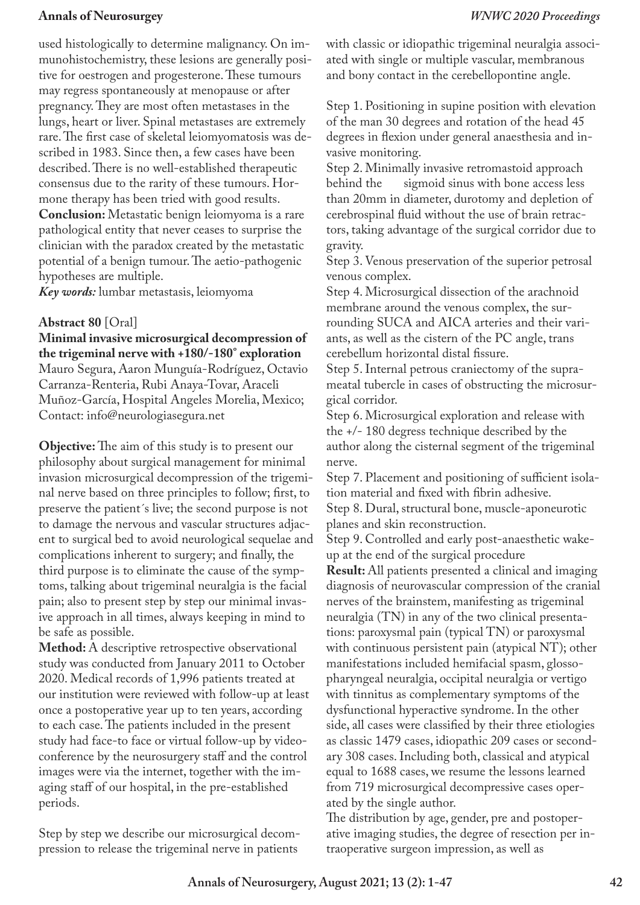used histologically to determine malignancy. On immunohistochemistry, these lesions are generally positive for oestrogen and progesterone. These tumours may regress spontaneously at menopause or after pregnancy. They are most often metastases in the lungs, heart or liver. Spinal metastases are extremely rare. The first case of skeletal leiomyomatosis was described in 1983. Since then, a few cases have been described. There is no well-established therapeutic consensus due to the rarity of these tumours. Hormone therapy has been tried with good results.

**Conclusion:** Metastatic benign leiomyoma is a rare pathological entity that never ceases to surprise the clinician with the paradox created by the metastatic potential of a benign tumour. The aetio-pathogenic hypotheses are multiple.

*Key words:* lumbar metastasis, leiomyoma

#### **Abstract 80** [Oral]

**Minimal invasive microsurgical decompression of the trigeminal nerve with +180/-180° exploration** Mauro Segura, Aaron Munguía-Rodríguez, Octavio Carranza-Renteria, Rubi Anaya-Tovar, Araceli Muñoz-García, Hospital Angeles Morelia, Mexico; Contact: info@neurologiasegura.net

**Objective:** The aim of this study is to present our philosophy about surgical management for minimal invasion microsurgical decompression of the trigeminal nerve based on three principles to follow; first, to preserve the patient´s live; the second purpose is not to damage the nervous and vascular structures adjacent to surgical bed to avoid neurological sequelae and complications inherent to surgery; and finally, the third purpose is to eliminate the cause of the symptoms, talking about trigeminal neuralgia is the facial pain; also to present step by step our minimal invasive approach in all times, always keeping in mind to be safe as possible.

**Method:** A descriptive retrospective observational study was conducted from January 2011 to October 2020. Medical records of 1,996 patients treated at our institution were reviewed with follow-up at least once a postoperative year up to ten years, according to each case. The patients included in the present study had face-to face or virtual follow-up by videoconference by the neurosurgery staff and the control images were via the internet, together with the imaging staff of our hospital, in the pre-established periods.

Step by step we describe our microsurgical decompression to release the trigeminal nerve in patients

with classic or idiopathic trigeminal neuralgia associated with single or multiple vascular, membranous and bony contact in the cerebellopontine angle.

Step 1. Positioning in supine position with elevation of the man 30 degrees and rotation of the head 45 degrees in flexion under general anaesthesia and invasive monitoring.

Step 2. Minimally invasive retromastoid approach behind the sigmoid sinus with bone access less than 20mm in diameter, durotomy and depletion of cerebrospinal fluid without the use of brain retractors, taking advantage of the surgical corridor due to gravity.

Step 3. Venous preservation of the superior petrosal venous complex.

Step 4. Microsurgical dissection of the arachnoid membrane around the venous complex, the surrounding SUCA and AICA arteries and their variants, as well as the cistern of the PC angle, trans cerebellum horizontal distal fissure.

Step 5. Internal petrous craniectomy of the suprameatal tubercle in cases of obstructing the microsurgical corridor.

Step 6. Microsurgical exploration and release with the +/- 180 degress technique described by the author along the cisternal segment of the trigeminal nerve.

Step 7. Placement and positioning of sufficient isolation material and fixed with fibrin adhesive.

Step 8. Dural, structural bone, muscle-aponeurotic planes and skin reconstruction.

Step 9. Controlled and early post-anaesthetic wakeup at the end of the surgical procedure

**Result:** All patients presented a clinical and imaging diagnosis of neurovascular compression of the cranial nerves of the brainstem, manifesting as trigeminal neuralgia (TN) in any of the two clinical presentations: paroxysmal pain (typical TN) or paroxysmal with continuous persistent pain (atypical NT); other manifestations included hemifacial spasm, glossopharyngeal neuralgia, occipital neuralgia or vertigo with tinnitus as complementary symptoms of the dysfunctional hyperactive syndrome. In the other side, all cases were classified by their three etiologies as classic 1479 cases, idiopathic 209 cases or secondary 308 cases. Including both, classical and atypical equal to 1688 cases, we resume the lessons learned from 719 microsurgical decompressive cases operated by the single author.

The distribution by age, gender, pre and postoperative imaging studies, the degree of resection per intraoperative surgeon impression, as well as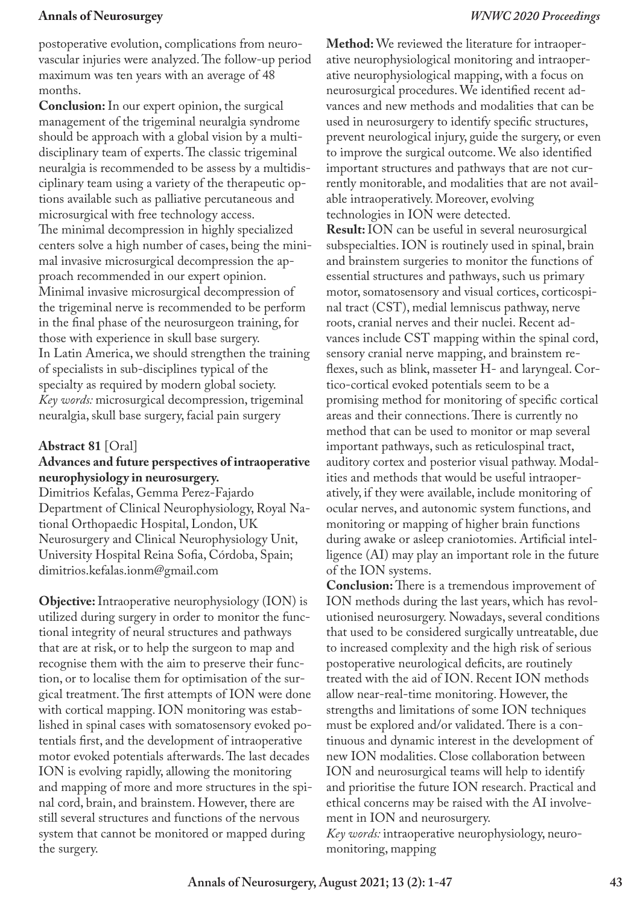postoperative evolution, complications from neurovascular injuries were analyzed. The follow-up period maximum was ten years with an average of 48 months.

**Conclusion:** In our expert opinion, the surgical management of the trigeminal neuralgia syndrome should be approach with a global vision by a multidisciplinary team of experts. The classic trigeminal neuralgia is recommended to be assess by a multidisciplinary team using a variety of the therapeutic options available such as palliative percutaneous and microsurgical with free technology access. The minimal decompression in highly specialized centers solve a high number of cases, being the minimal invasive microsurgical decompression the approach recommended in our expert opinion. Minimal invasive microsurgical decompression of the trigeminal nerve is recommended to be perform in the final phase of the neurosurgeon training, for those with experience in skull base surgery. In Latin America, we should strengthen the training of specialists in sub-disciplines typical of the specialty as required by modern global society. *Key words:* microsurgical decompression, trigeminal neuralgia, skull base surgery, facial pain surgery

## **Abstract 81** [Oral]

## **Advances and future perspectives of intraoperative neurophysiology in neurosurgery.**

Dimitrios Kefalas, Gemma Perez-Fajardo Department of Clinical Neurophysiology, Royal National Orthopaedic Hospital, London, UK Neurosurgery and Clinical Neurophysiology Unit, University Hospital Reina Sofia, Córdoba, Spain; dimitrios.kefalas.ionm@gmail.com

**Objective:** Intraoperative neurophysiology (ION) is utilized during surgery in order to monitor the functional integrity of neural structures and pathways that are at risk, or to help the surgeon to map and recognise them with the aim to preserve their function, or to localise them for optimisation of the surgical treatment. The first attempts of ION were done with cortical mapping. ION monitoring was established in spinal cases with somatosensory evoked potentials first, and the development of intraoperative motor evoked potentials afterwards. The last decades ION is evolving rapidly, allowing the monitoring and mapping of more and more structures in the spinal cord, brain, and brainstem. However, there are still several structures and functions of the nervous system that cannot be monitored or mapped during the surgery.

**Method:** We reviewed the literature for intraoperative neurophysiological monitoring and intraoperative neurophysiological mapping, with a focus on neurosurgical procedures. We identified recent advances and new methods and modalities that can be used in neurosurgery to identify specific structures, prevent neurological injury, guide the surgery, or even to improve the surgical outcome. We also identified important structures and pathways that are not currently monitorable, and modalities that are not available intraoperatively. Moreover, evolving technologies in ION were detected.

**Result:** ION can be useful in several neurosurgical subspecialties. ION is routinely used in spinal, brain and brainstem surgeries to monitor the functions of essential structures and pathways, such us primary motor, somatosensory and visual cortices, corticospinal tract (CST), medial lemniscus pathway, nerve roots, cranial nerves and their nuclei. Recent advances include CST mapping within the spinal cord, sensory cranial nerve mapping, and brainstem reflexes, such as blink, masseter H- and laryngeal. Cortico-cortical evoked potentials seem to be a promising method for monitoring of specific cortical areas and their connections. There is currently no method that can be used to monitor or map several important pathways, such as reticulospinal tract, auditory cortex and posterior visual pathway. Modalities and methods that would be useful intraoperatively, if they were available, include monitoring of ocular nerves, and autonomic system functions, and monitoring or mapping of higher brain functions during awake or asleep craniotomies. Artificial intelligence (AI) may play an important role in the future of the ION systems.

**Conclusion:** There is a tremendous improvement of ION methods during the last years, which has revolutionised neurosurgery. Nowadays, several conditions that used to be considered surgically untreatable, due to increased complexity and the high risk of serious postoperative neurological deficits, are routinely treated with the aid of ION. Recent ION methods allow near-real-time monitoring. However, the strengths and limitations of some ION techniques must be explored and/or validated. There is a continuous and dynamic interest in the development of new ION modalities. Close collaboration between ION and neurosurgical teams will help to identify and prioritise the future ION research. Practical and ethical concerns may be raised with the AI involvement in ION and neurosurgery.

*Key words:* intraoperative neurophysiology, neuromonitoring, mapping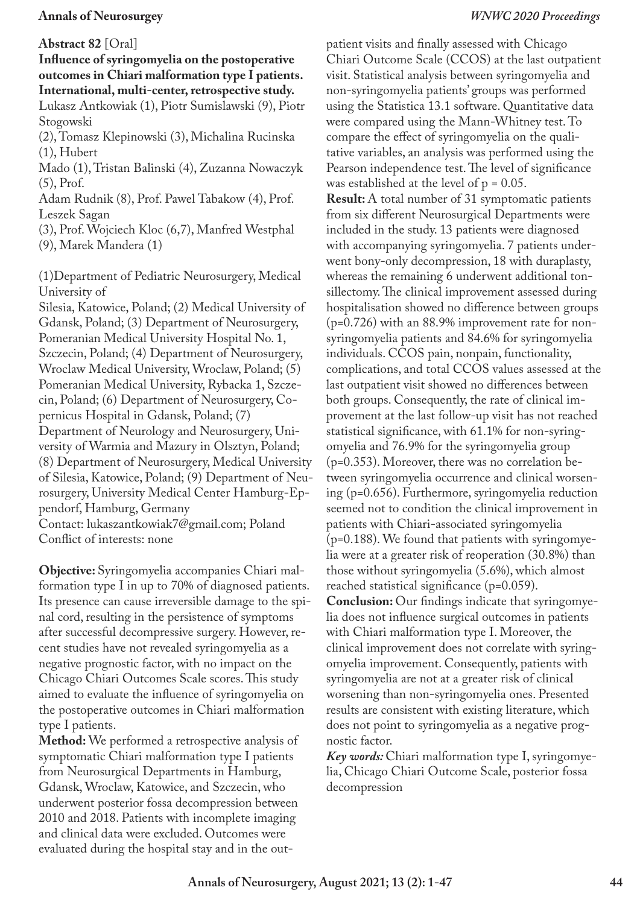#### **Abstract 82** [Oral]

## **Influence of syringomyelia on the postoperative outcomes in Chiari malformation type I patients. International, multi-center, retrospective study.**

Lukasz Antkowiak (1), Piotr Sumislawski (9), Piotr Stogowski

(2), Tomasz Klepinowski (3), Michalina Rucinska (1), Hubert

Mado (1), Tristan Balinski (4), Zuzanna Nowaczyk (5), Prof.

Adam Rudnik (8), Prof. Pawel Tabakow (4), Prof. Leszek Sagan

(3), Prof. Wojciech Kloc (6,7), Manfred Westphal (9), Marek Mandera (1)

(1)Department of Pediatric Neurosurgery, Medical University of

Silesia, Katowice, Poland; (2) Medical University of Gdansk, Poland; (3) Department of Neurosurgery, Pomeranian Medical University Hospital No. 1, Szczecin, Poland; (4) Department of Neurosurgery, Wroclaw Medical University, Wroclaw, Poland; (5) Pomeranian Medical University, Rybacka 1, Szczecin, Poland; (6) Department of Neurosurgery, Copernicus Hospital in Gdansk, Poland; (7) Department of Neurology and Neurosurgery, University of Warmia and Mazury in Olsztyn, Poland; (8) Department of Neurosurgery, Medical University of Silesia, Katowice, Poland; (9) Department of Neurosurgery, University Medical Center Hamburg-Eppendorf, Hamburg, Germany

Contact: lukaszantkowiak7@gmail.com; Poland Conflict of interests: none

**Objective:** Syringomyelia accompanies Chiari malformation type I in up to 70% of diagnosed patients. Its presence can cause irreversible damage to the spinal cord, resulting in the persistence of symptoms after successful decompressive surgery. However, recent studies have not revealed syringomyelia as a negative prognostic factor, with no impact on the Chicago Chiari Outcomes Scale scores. This study aimed to evaluate the influence of syringomyelia on the postoperative outcomes in Chiari malformation type I patients.

**Method:** We performed a retrospective analysis of symptomatic Chiari malformation type I patients from Neurosurgical Departments in Hamburg, Gdansk, Wroclaw, Katowice, and Szczecin, who underwent posterior fossa decompression between 2010 and 2018. Patients with incomplete imaging and clinical data were excluded. Outcomes were evaluated during the hospital stay and in the outpatient visits and finally assessed with Chicago Chiari Outcome Scale (CCOS) at the last outpatient visit. Statistical analysis between syringomyelia and non-syringomyelia patients' groups was performed using the Statistica 13.1 software. Quantitative data were compared using the Mann-Whitney test. To compare the effect of syringomyelia on the qualitative variables, an analysis was performed using the Pearson independence test. The level of significance was established at the level of  $p = 0.05$ . **Result:** A total number of 31 symptomatic patients from six different Neurosurgical Departments were included in the study. 13 patients were diagnosed with accompanying syringomyelia. 7 patients underwent bony-only decompression, 18 with duraplasty, whereas the remaining 6 underwent additional tonsillectomy. The clinical improvement assessed during hospitalisation showed no difference between groups (p=0.726) with an 88.9% improvement rate for nonsyringomyelia patients and 84.6% for syringomyelia individuals. CCOS pain, nonpain, functionality, complications, and total CCOS values assessed at the last outpatient visit showed no differences between both groups. Consequently, the rate of clinical improvement at the last follow-up visit has not reached statistical significance, with 61.1% for non-syringomyelia and 76.9% for the syringomyelia group (p=0.353). Moreover, there was no correlation between syringomyelia occurrence and clinical worsening (p=0.656). Furthermore, syringomyelia reduction seemed not to condition the clinical improvement in patients with Chiari-associated syringomyelia (p=0.188). We found that patients with syringomyelia were at a greater risk of reoperation (30.8%) than those without syringomyelia (5.6%), which almost reached statistical significance (p=0.059). **Conclusion:** Our findings indicate that syringomyelia does not influence surgical outcomes in patients with Chiari malformation type I. Moreover, the clinical improvement does not correlate with syringomyelia improvement. Consequently, patients with syringomyelia are not at a greater risk of clinical worsening than non-syringomyelia ones. Presented results are consistent with existing literature, which does not point to syringomyelia as a negative prognostic factor.

*Key words:* Chiari malformation type I, syringomyelia, Chicago Chiari Outcome Scale, posterior fossa decompression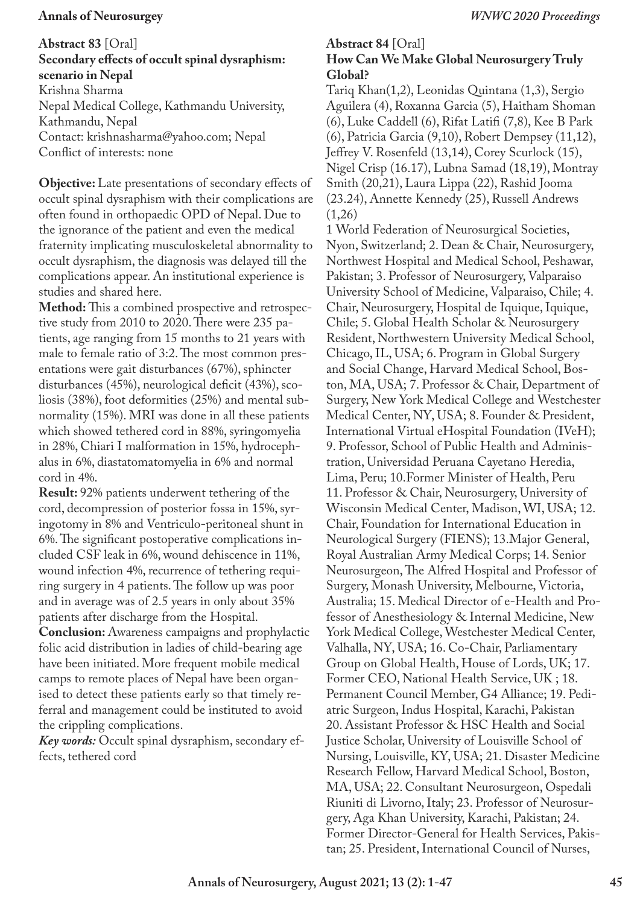**Abstract 83** [Oral]

## **Secondary effects of occult spinal dysraphism: scenario in Nepal**

Krishna Sharma Nepal Medical College, Kathmandu University, Kathmandu, Nepal Contact: krishnasharma@yahoo.com; Nepal Conflict of interests: none

**Objective:** Late presentations of secondary effects of occult spinal dysraphism with their complications are often found in orthopaedic OPD of Nepal. Due to the ignorance of the patient and even the medical fraternity implicating musculoskeletal abnormality to occult dysraphism, the diagnosis was delayed till the complications appear. An institutional experience is studies and shared here.

**Method:** This a combined prospective and retrospective study from 2010 to 2020. There were 235 patients, age ranging from 15 months to 21 years with male to female ratio of 3:2. The most common presentations were gait disturbances (67%), sphincter disturbances (45%), neurological deficit (43%), scoliosis (38%), foot deformities (25%) and mental subnormality (15%). MRI was done in all these patients which showed tethered cord in 88%, syringomyelia in 28%, Chiari I malformation in 15%, hydrocephalus in 6%, diastatomatomyelia in 6% and normal cord in 4%.

**Result:** 92% patients underwent tethering of the cord, decompression of posterior fossa in 15%, syringotomy in 8% and Ventriculo-peritoneal shunt in 6%. The significant postoperative complications included CSF leak in 6%, wound dehiscence in 11%, wound infection 4%, recurrence of tethering requiring surgery in 4 patients. The follow up was poor and in average was of 2.5 years in only about 35% patients after discharge from the Hospital.

**Conclusion:** Awareness campaigns and prophylactic folic acid distribution in ladies of child-bearing age have been initiated. More frequent mobile medical camps to remote places of Nepal have been organised to detect these patients early so that timely referral and management could be instituted to avoid the crippling complications.

*Key words:* Occult spinal dysraphism, secondary effects, tethered cord

### **Abstract 84** [Oral] **How Can We Make Global Neurosurgery Truly Global?**

Tariq Khan(1,2), Leonidas Quintana (1,3), Sergio Aguilera (4), Roxanna Garcia (5), Haitham Shoman (6), Luke Caddell (6), Rifat Latifi (7,8), Kee B Park (6), Patricia Garcia (9,10), Robert Dempsey (11,12), Jeffrey V. Rosenfeld (13,14), Corey Scurlock (15), Nigel Crisp (16.17), Lubna Samad (18,19), Montray Smith (20,21), Laura Lippa (22), Rashid Jooma (23.24), Annette Kennedy (25), Russell Andrews (1,26)

1 World Federation of Neurosurgical Societies, Nyon, Switzerland; 2. Dean & Chair, Neurosurgery, Northwest Hospital and Medical School, Peshawar, Pakistan; 3. Professor of Neurosurgery, Valparaiso University School of Medicine, Valparaiso, Chile; 4. Chair, Neurosurgery, Hospital de Iquique, Iquique, Chile; 5. Global Health Scholar & Neurosurgery Resident, Northwestern University Medical School, Chicago, IL, USA; 6. Program in Global Surgery and Social Change, Harvard Medical School, Boston, MA, USA; 7. Professor & Chair, Department of Surgery, New York Medical College and Westchester Medical Center, NY, USA; 8. Founder & President, International Virtual eHospital Foundation (IVeH); 9. Professor, School of Public Health and Administration, Universidad Peruana Cayetano Heredia, Lima, Peru; 10.Former Minister of Health, Peru 11. Professor & Chair, Neurosurgery, University of Wisconsin Medical Center, Madison, WI, USA; 12. Chair, Foundation for International Education in Neurological Surgery (FIENS); 13.Major General, Royal Australian Army Medical Corps; 14. Senior Neurosurgeon, The Alfred Hospital and Professor of Surgery, Monash University, Melbourne, Victoria, Australia; 15. Medical Director of e-Health and Professor of Anesthesiology & Internal Medicine, New York Medical College, Westchester Medical Center, Valhalla, NY, USA; 16. Co-Chair, Parliamentary Group on Global Health, House of Lords, UK; 17. Former CEO, National Health Service, UK ; 18. Permanent Council Member, G4 Alliance; 19. Pediatric Surgeon, Indus Hospital, Karachi, Pakistan 20. Assistant Professor & HSC Health and Social Justice Scholar, University of Louisville School of Nursing, Louisville, KY, USA; 21. Disaster Medicine Research Fellow, Harvard Medical School, Boston, MA, USA; 22. Consultant Neurosurgeon, Ospedali Riuniti di Livorno, Italy; 23. Professor of Neurosurgery, Aga Khan University, Karachi, Pakistan; 24. Former Director-General for Health Services, Pakistan; 25. President, International Council of Nurses,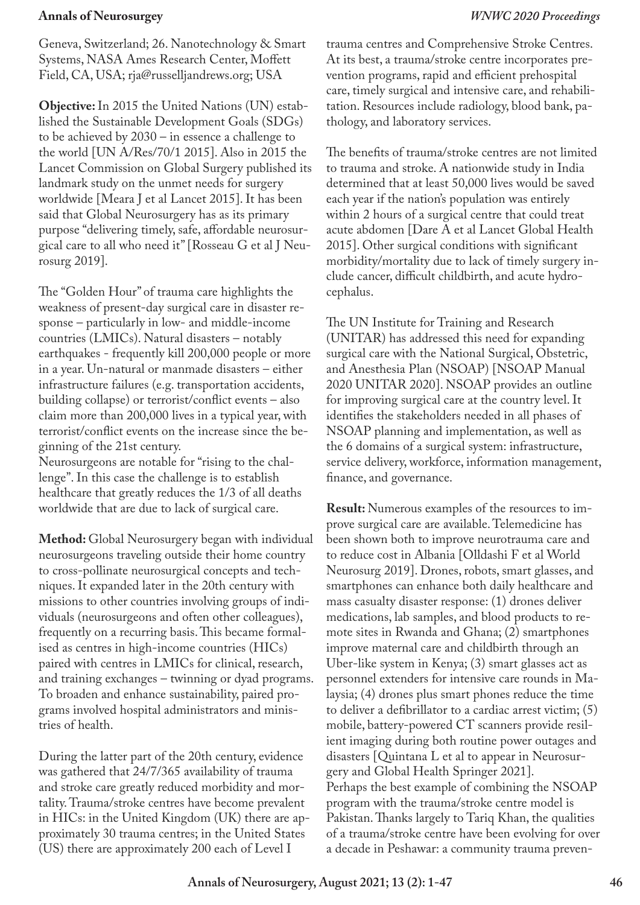Geneva, Switzerland; 26. Nanotechnology & Smart Systems, NASA Ames Research Center, Moffett Field, CA, USA; rja@russelljandrews.org; USA

**Objective:** In 2015 the United Nations (UN) established the Sustainable Development Goals (SDGs) to be achieved by 2030 – in essence a challenge to the world [UN A/Res/70/1 2015]. Also in 2015 the Lancet Commission on Global Surgery published its landmark study on the unmet needs for surgery worldwide [Meara J et al Lancet 2015]. It has been said that Global Neurosurgery has as its primary purpose "delivering timely, safe, affordable neurosurgical care to all who need it" [Rosseau G et al J Neurosurg 2019].

The "Golden Hour" of trauma care highlights the weakness of present-day surgical care in disaster response – particularly in low- and middle-income countries (LMICs). Natural disasters – notably earthquakes - frequently kill 200,000 people or more in a year. Un-natural or manmade disasters – either infrastructure failures (e.g. transportation accidents, building collapse) or terrorist/conflict events – also claim more than 200,000 lives in a typical year, with terrorist/conflict events on the increase since the beginning of the 21st century.

Neurosurgeons are notable for "rising to the challenge". In this case the challenge is to establish healthcare that greatly reduces the 1/3 of all deaths worldwide that are due to lack of surgical care.

**Method:** Global Neurosurgery began with individual neurosurgeons traveling outside their home country to cross-pollinate neurosurgical concepts and techniques. It expanded later in the 20th century with missions to other countries involving groups of individuals (neurosurgeons and often other colleagues), frequently on a recurring basis. This became formalised as centres in high-income countries (HICs) paired with centres in LMICs for clinical, research, and training exchanges – twinning or dyad programs. To broaden and enhance sustainability, paired programs involved hospital administrators and ministries of health.

During the latter part of the 20th century, evidence was gathered that 24/7/365 availability of trauma and stroke care greatly reduced morbidity and mortality. Trauma/stroke centres have become prevalent in HICs: in the United Kingdom (UK) there are approximately 30 trauma centres; in the United States (US) there are approximately 200 each of Level I

trauma centres and Comprehensive Stroke Centres. At its best, a trauma/stroke centre incorporates prevention programs, rapid and efficient prehospital care, timely surgical and intensive care, and rehabilitation. Resources include radiology, blood bank, pathology, and laboratory services.

The benefits of trauma/stroke centres are not limited to trauma and stroke. A nationwide study in India determined that at least 50,000 lives would be saved each year if the nation's population was entirely within 2 hours of a surgical centre that could treat acute abdomen [Dare A et al Lancet Global Health 2015]. Other surgical conditions with significant morbidity/mortality due to lack of timely surgery include cancer, difficult childbirth, and acute hydrocephalus.

The UN Institute for Training and Research (UNITAR) has addressed this need for expanding surgical care with the National Surgical, Obstetric, and Anesthesia Plan (NSOAP) [NSOAP Manual 2020 UNITAR 2020]. NSOAP provides an outline for improving surgical care at the country level. It identifies the stakeholders needed in all phases of NSOAP planning and implementation, as well as the 6 domains of a surgical system: infrastructure, service delivery, workforce, information management, finance, and governance.

**Result:** Numerous examples of the resources to improve surgical care are available. Telemedicine has been shown both to improve neurotrauma care and to reduce cost in Albania [Olldashi F et al World Neurosurg 2019]. Drones, robots, smart glasses, and smartphones can enhance both daily healthcare and mass casualty disaster response: (1) drones deliver medications, lab samples, and blood products to remote sites in Rwanda and Ghana; (2) smartphones improve maternal care and childbirth through an Uber-like system in Kenya; (3) smart glasses act as personnel extenders for intensive care rounds in Malaysia; (4) drones plus smart phones reduce the time to deliver a defibrillator to a cardiac arrest victim; (5) mobile, battery-powered CT scanners provide resilient imaging during both routine power outages and disasters [Quintana L et al to appear in Neurosurgery and Global Health Springer 2021]. Perhaps the best example of combining the NSOAP program with the trauma/stroke centre model is Pakistan. Thanks largely to Tariq Khan, the qualities of a trauma/stroke centre have been evolving for over a decade in Peshawar: a community trauma preven-